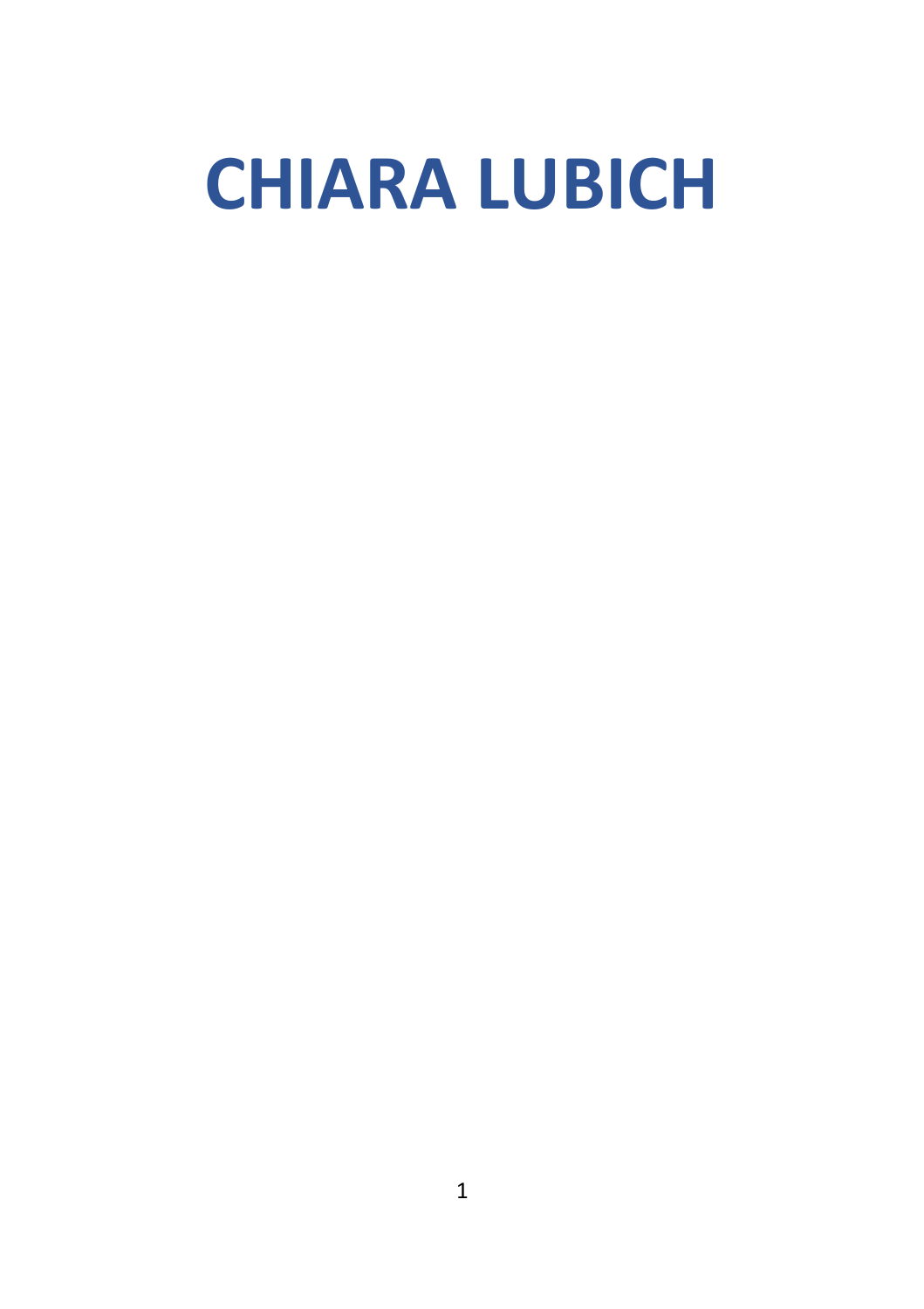# **CHIARA LUBICH**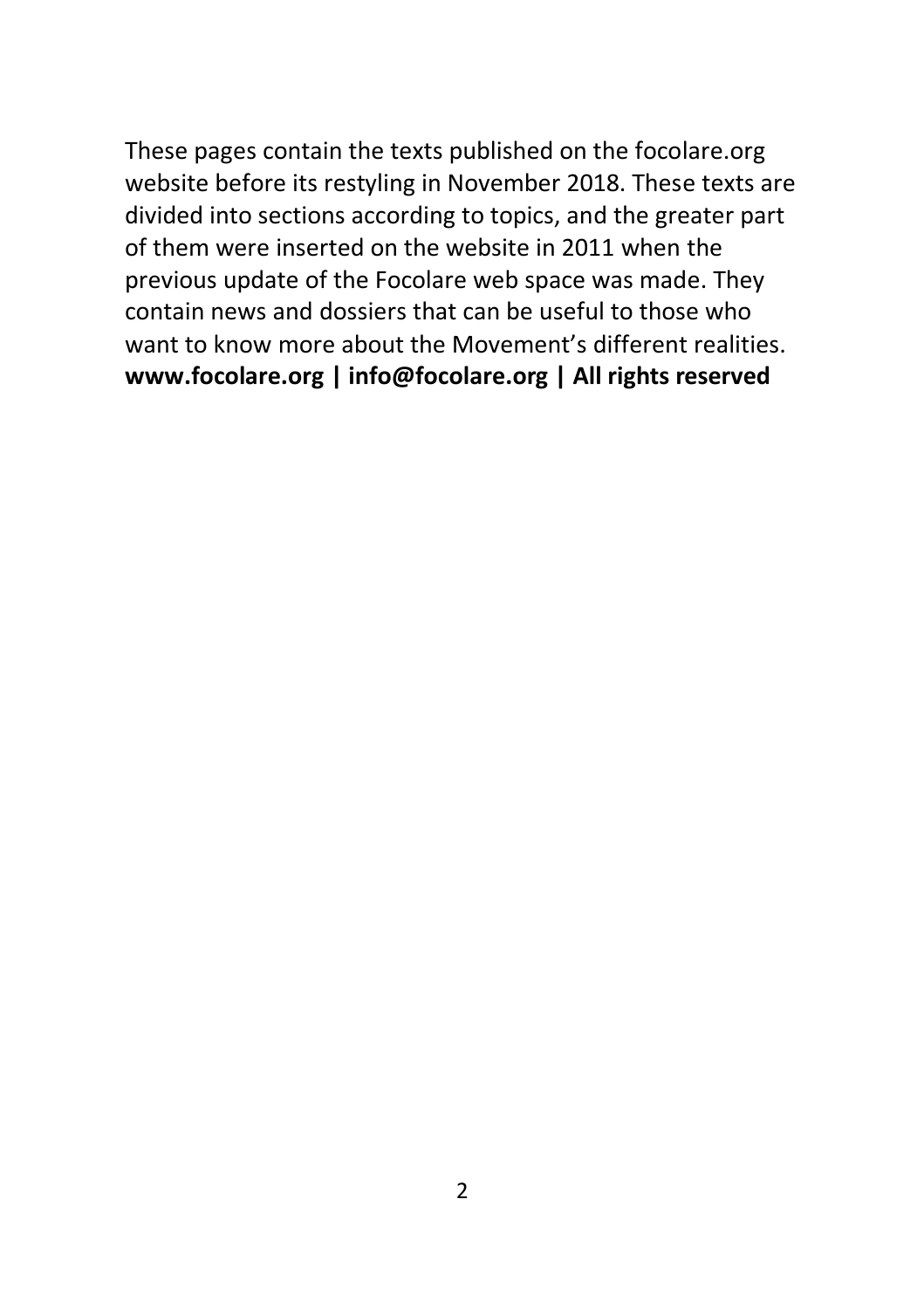These pages contain the texts published on the focolare.org website before its restyling in November 2018. These texts are divided into sections according to topics, and the greater part of them were inserted on the website in 2011 when the previous update of the Focolare web space was made. They contain news and dossiers that can be useful to those who want to know more about the Movement's different realities. **www.focolare.org | info@focolare.org | All rights reserved**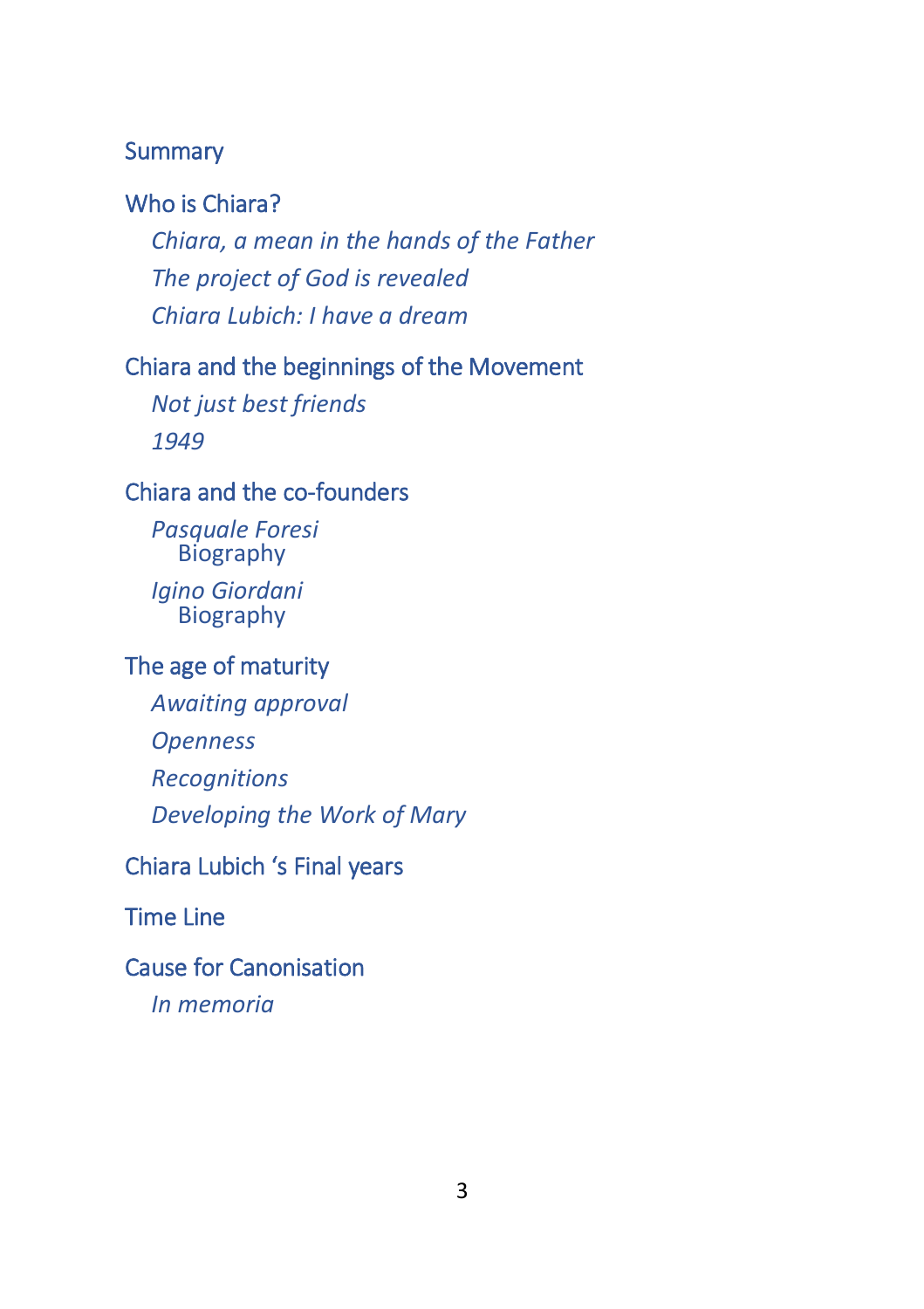#### **Summary**

#### [Who is Chiara?](#page-3-0)

*[Chiara, a mean in the hands of the Father](#page-3-1) [The project of God is revealed](#page-5-0) [Chiara Lubich: I have a dream](#page-11-0)*

### [Chiara and the beginnings of the Movement](#page-13-0)

*[Not just best friends](#page-13-1) [1949](#page-16-0)*

#### [Chiara and the co-founders](#page-17-0)

*[Pasquale Foresi](#page-18-0)* **[Biography](#page-18-1)** *[Igino Giordani](#page-20-0)* [Biography](#page-22-0)

#### [The age of maturity](#page-36-0)

*[Awaiting approval](#page-36-1) [Openness](#page-38-0) [Recognitions](#page-40-0) [Developing the Work of Mary](#page-46-0)*

# [Chiara Lubich 's Final years](#page-48-0)

[Time Line](#page-49-0)

#### [Cause for Canonisation](#page-60-0)

*[In memoria](#page-63-0)*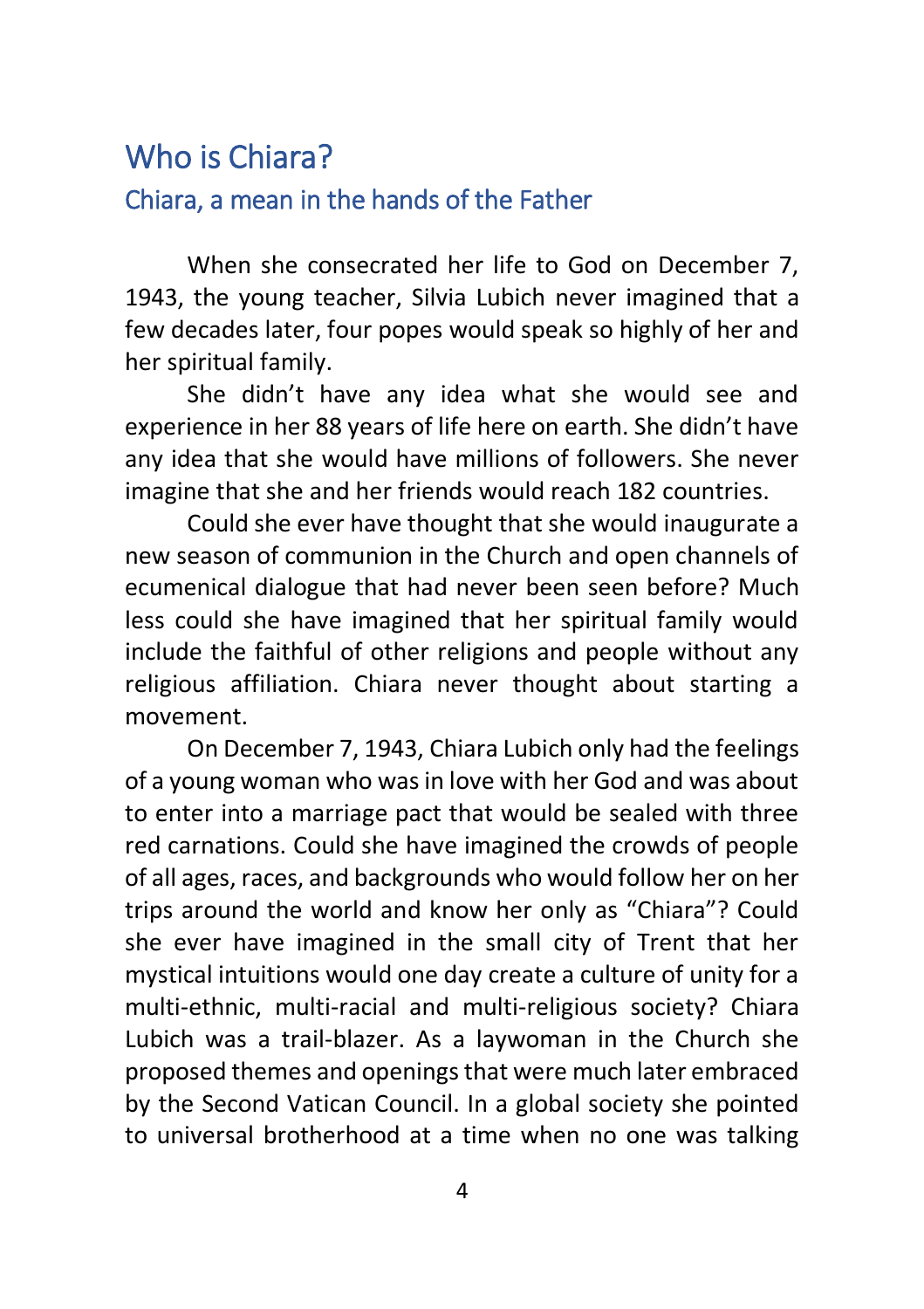# <span id="page-3-1"></span><span id="page-3-0"></span>Who is Chiara? Chiara, a mean in the hands of the Father

When she consecrated her life to God on December 7, 1943, the young teacher, Silvia Lubich never imagined that a few decades later, four popes would speak so highly of her and her spiritual family.

She didn't have any idea what she would see and experience in her 88 years of life here on earth. She didn't have any idea that she would have millions of followers. She never imagine that she and her friends would reach 182 countries.

Could she ever have thought that she would inaugurate a new season of communion in the Church and open channels of ecumenical dialogue that had never been seen before? Much less could she have imagined that her spiritual family would include the faithful of other religions and people without any religious affiliation. Chiara never thought about starting a movement.

On December 7, 1943, Chiara Lubich only had the feelings of a young woman who was in love with her God and was about to enter into a marriage pact that would be sealed with three red carnations. Could she have imagined the crowds of people of all ages, races, and backgrounds who would follow her on her trips around the world and know her only as "Chiara"? Could she ever have imagined in the small city of Trent that her mystical intuitions would one day create a culture of unity for a multi-ethnic, multi-racial and multi-religious society? Chiara Lubich was a trail-blazer. As a laywoman in the Church she proposed themes and openings that were much later embraced by the Second Vatican Council. In a global society she pointed to universal brotherhood at a time when no one was talking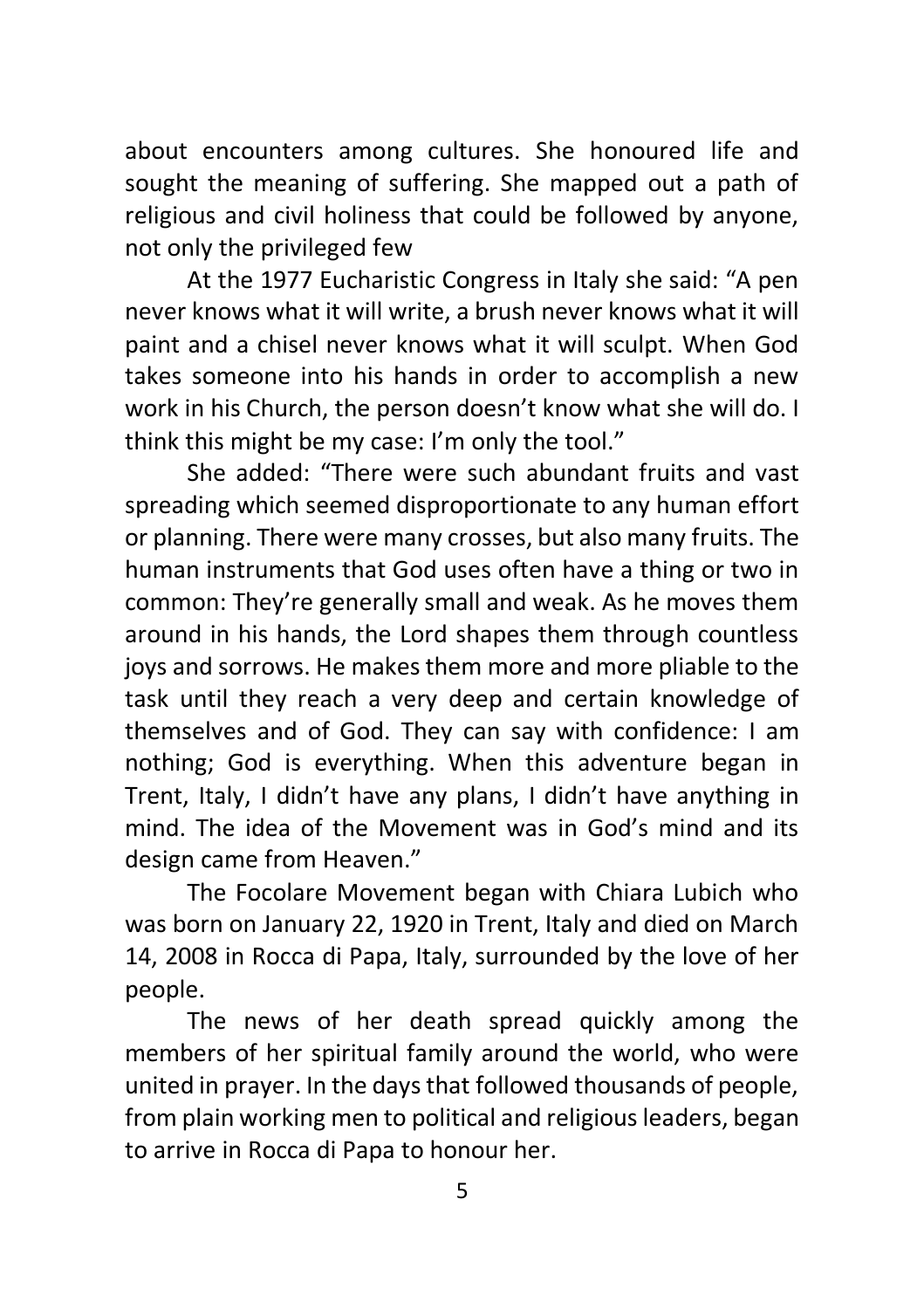about encounters among cultures. She honoured life and sought the meaning of suffering. She mapped out a path of religious and civil holiness that could be followed by anyone, not only the privileged few

At the 1977 Eucharistic Congress in Italy she said: "A pen never knows what it will write, a brush never knows what it will paint and a chisel never knows what it will sculpt. When God takes someone into his hands in order to accomplish a new work in his Church, the person doesn't know what she will do. I think this might be my case: I'm only the tool."

She added: "There were such abundant fruits and vast spreading which seemed disproportionate to any human effort or planning. There were many crosses, but also many fruits. The human instruments that God uses often have a thing or two in common: They're generally small and weak. As he moves them around in his hands, the Lord shapes them through countless joys and sorrows. He makes them more and more pliable to the task until they reach a very deep and certain knowledge of themselves and of God. They can say with confidence: I am nothing; God is everything. When this adventure began in Trent, Italy, I didn't have any plans, I didn't have anything in mind. The idea of the Movement was in God's mind and its design came from Heaven."

The Focolare Movement began with Chiara Lubich who was born on January 22, 1920 in Trent, Italy and died on March 14, 2008 in Rocca di Papa, Italy, surrounded by the love of her people.

The news of her death spread quickly among the members of her spiritual family around the world, who were united in prayer. In the days that followed thousands of people, from plain working men to political and religious leaders, began to arrive in Rocca di Papa to honour her.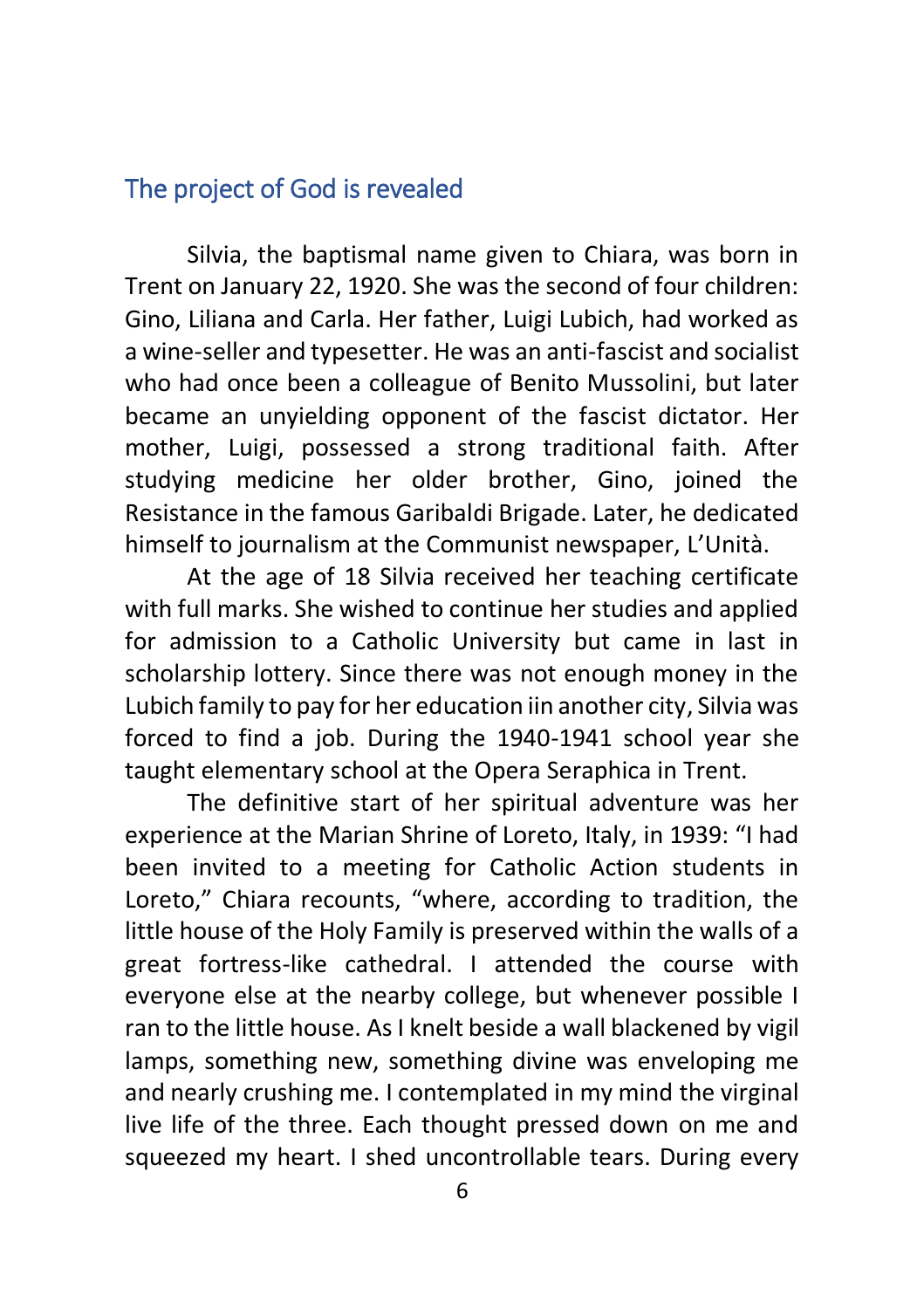## <span id="page-5-0"></span>The project of God is revealed

Silvia, the baptismal name given to Chiara, was born in Trent on January 22, 1920. She was the second of four children: Gino, Liliana and Carla. Her father, Luigi Lubich, had worked as a wine-seller and typesetter. He was an anti-fascist and socialist who had once been a colleague of Benito Mussolini, but later became an unyielding opponent of the fascist dictator. Her mother, Luigi, possessed a strong traditional faith. After studying medicine her older brother, Gino, joined the Resistance in the famous Garibaldi Brigade. Later, he dedicated himself to journalism at the Communist newspaper, L'Unità.

At the age of 18 Silvia received her teaching certificate with full marks. She wished to continue her studies and applied for admission to a Catholic University but came in last in scholarship lottery. Since there was not enough money in the Lubich family to pay for her education iin another city, Silvia was forced to find a job. During the 1940-1941 school year she taught elementary school at the Opera Seraphica in Trent.

The definitive start of her spiritual adventure was her experience at the Marian Shrine of Loreto, Italy, in 1939: "I had been invited to a meeting for Catholic Action students in Loreto," Chiara recounts, "where, according to tradition, the little house of the Holy Family is preserved within the walls of a great fortress-like cathedral. I attended the course with everyone else at the nearby college, but whenever possible I ran to the little house. As I knelt beside a wall blackened by vigil lamps, something new, something divine was enveloping me and nearly crushing me. I contemplated in my mind the virginal live life of the three. Each thought pressed down on me and squeezed my heart. I shed uncontrollable tears. During every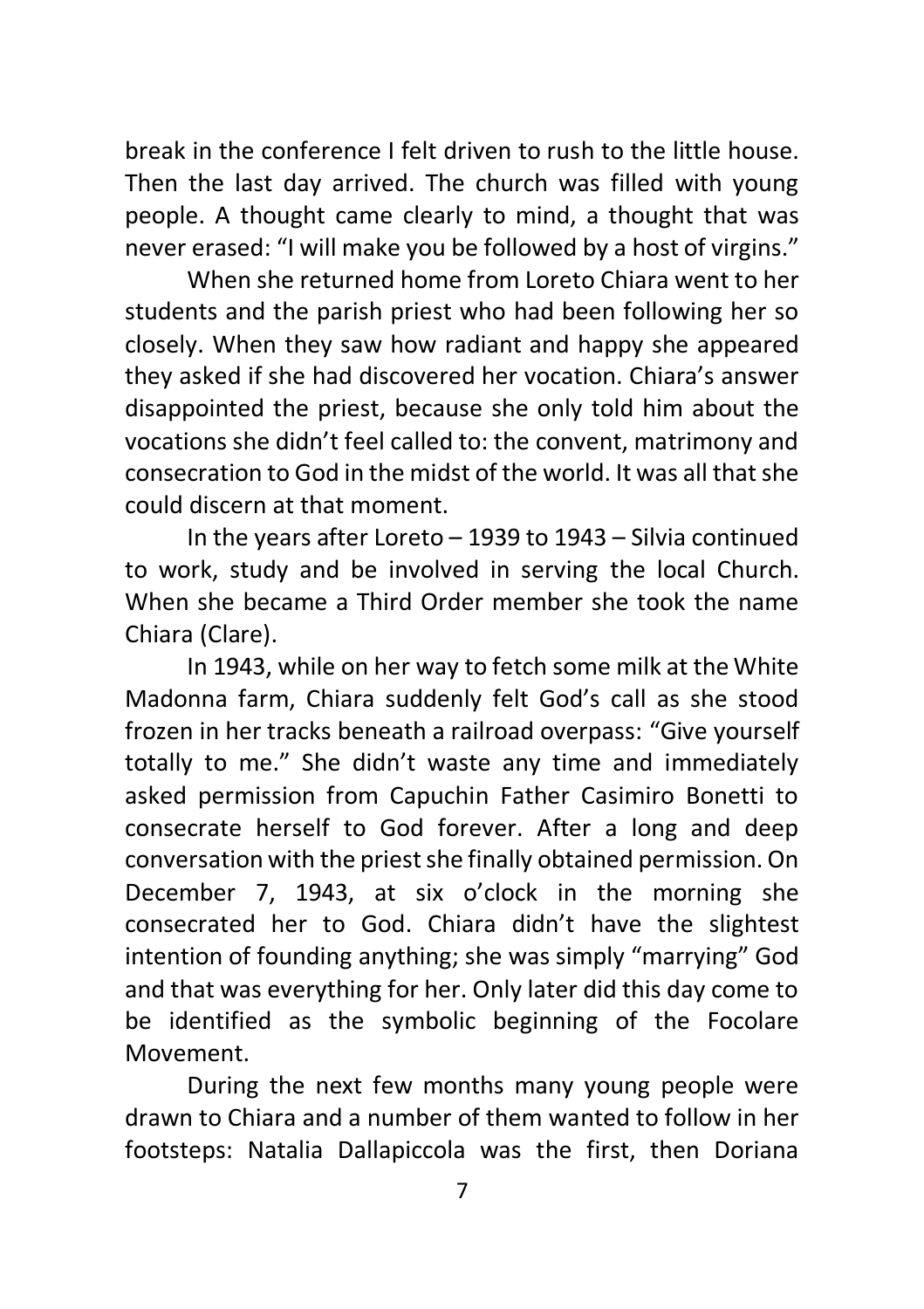break in the conference I felt driven to rush to the little house. Then the last day arrived. The church was filled with young people. A thought came clearly to mind, a thought that was never erased: "I will make you be followed by a host of virgins."

When she returned home from Loreto Chiara went to her students and the parish priest who had been following her so closely. When they saw how radiant and happy she appeared they asked if she had discovered her vocation. Chiara's answer disappointed the priest, because she only told him about the vocations she didn't feel called to: the convent, matrimony and consecration to God in the midst of the world. It was all that she could discern at that moment.

In the years after Loreto – 1939 to 1943 – Silvia continued to work, study and be involved in serving the local Church. When she became a Third Order member she took the name Chiara (Clare).

In 1943, while on her way to fetch some milk at the White Madonna farm, Chiara suddenly felt God's call as she stood frozen in her tracks beneath a railroad overpass: "Give yourself totally to me." She didn't waste any time and immediately asked permission from Capuchin Father Casimiro Bonetti to consecrate herself to God forever. After a long and deep conversation with the priest she finally obtained permission. On December 7, 1943, at six o'clock in the morning she consecrated her to God. Chiara didn't have the slightest intention of founding anything; she was simply "marrying" God and that was everything for her. Only later did this day come to be identified as the symbolic beginning of the Focolare Movement.

During the next few months many young people were drawn to Chiara and a number of them wanted to follow in her footsteps: Natalia Dallapiccola was the first, then Doriana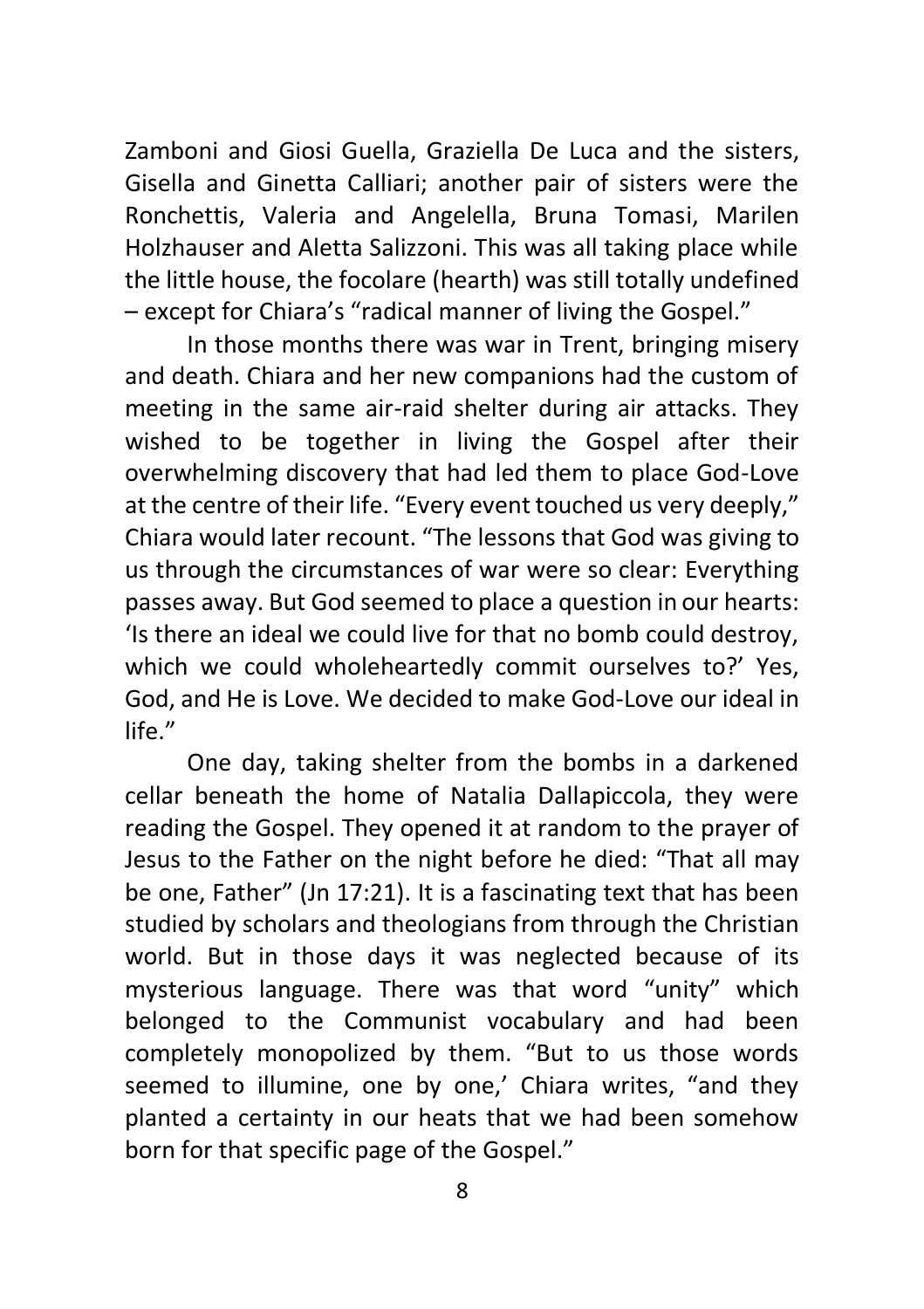Zamboni and Giosi Guella, Graziella De Luca and the sisters, Gisella and Ginetta Calliari; another pair of sisters were the Ronchettis, Valeria and Angelella, Bruna Tomasi, Marilen Holzhauser and Aletta Salizzoni. This was all taking place while the little house, the focolare (hearth) was still totally undefined – except for Chiara's "radical manner of living the Gospel."

In those months there was war in Trent, bringing misery and death. Chiara and her new companions had the custom of meeting in the same air-raid shelter during air attacks. They wished to be together in living the Gospel after their overwhelming discovery that had led them to place God-Love at the centre of their life. "Every event touched us very deeply," Chiara would later recount. "The lessons that God was giving to us through the circumstances of war were so clear: Everything passes away. But God seemed to place a question in our hearts: 'Is there an ideal we could live for that no bomb could destroy, which we could wholeheartedly commit ourselves to?' Yes, God, and He is Love. We decided to make God-Love our ideal in life."

One day, taking shelter from the bombs in a darkened cellar beneath the home of Natalia Dallapiccola, they were reading the Gospel. They opened it at random to the prayer of Jesus to the Father on the night before he died: "That all may be one, Father" (Jn 17:21). It is a fascinating text that has been studied by scholars and theologians from through the Christian world. But in those days it was neglected because of its mysterious language. There was that word "unity" which belonged to the Communist vocabulary and had been completely monopolized by them. "But to us those words seemed to illumine, one by one,' Chiara writes, "and they planted a certainty in our heats that we had been somehow born for that specific page of the Gospel."

8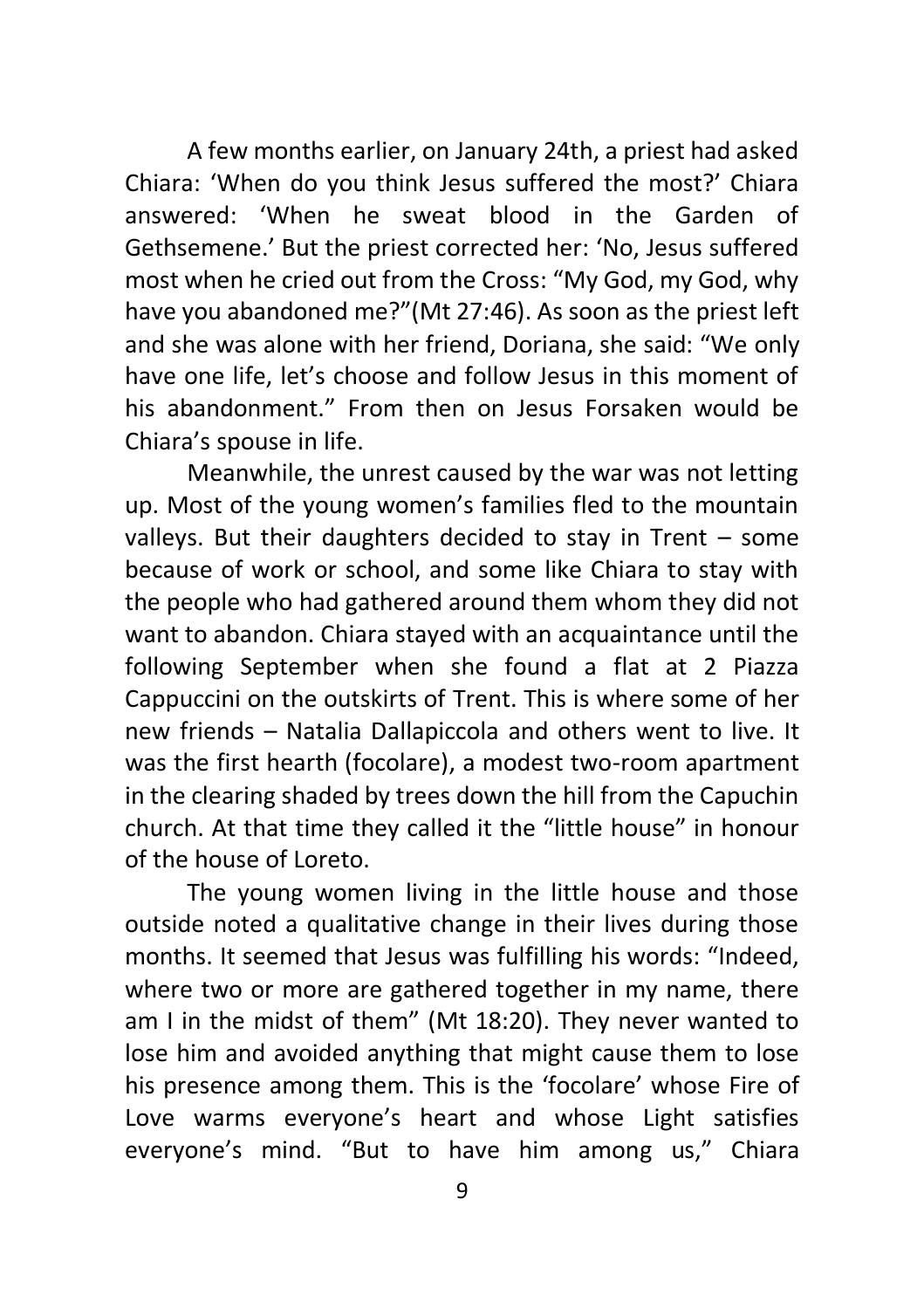A few months earlier, on January 24th, a priest had asked Chiara: 'When do you think Jesus suffered the most?' Chiara answered: 'When he sweat blood in the Garden of Gethsemene.' But the priest corrected her: 'No, Jesus suffered most when he cried out from the Cross: "My God, my God, why have you abandoned me?"(Mt 27:46). As soon as the priest left and she was alone with her friend, Doriana, she said: "We only have one life, let's choose and follow Jesus in this moment of his abandonment." From then on Jesus Forsaken would be Chiara's spouse in life.

Meanwhile, the unrest caused by the war was not letting up. Most of the young women's families fled to the mountain valleys. But their daughters decided to stay in Trent – some because of work or school, and some like Chiara to stay with the people who had gathered around them whom they did not want to abandon. Chiara stayed with an acquaintance until the following September when she found a flat at 2 Piazza Cappuccini on the outskirts of Trent. This is where some of her new friends – Natalia Dallapiccola and others went to live. It was the first hearth (focolare), a modest two-room apartment in the clearing shaded by trees down the hill from the Capuchin church. At that time they called it the "little house" in honour of the house of Loreto.

The young women living in the little house and those outside noted a qualitative change in their lives during those months. It seemed that Jesus was fulfilling his words: "Indeed, where two or more are gathered together in my name, there am I in the midst of them" (Mt 18:20). They never wanted to lose him and avoided anything that might cause them to lose his presence among them. This is the 'focolare' whose Fire of Love warms everyone's heart and whose Light satisfies everyone's mind. "But to have him among us," Chiara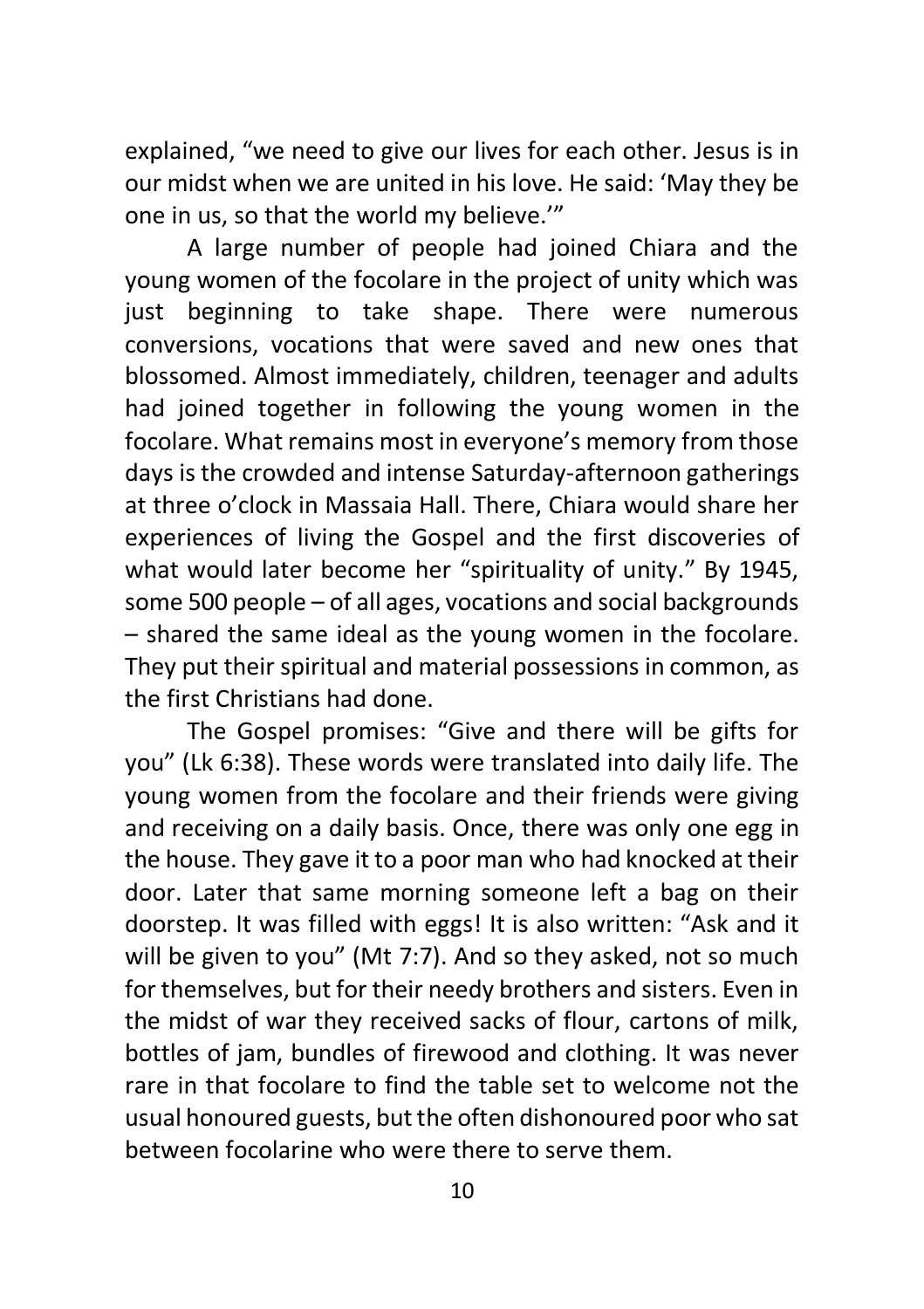explained, "we need to give our lives for each other. Jesus is in our midst when we are united in his love. He said: 'May they be one in us, so that the world my believe.'"

A large number of people had joined Chiara and the young women of the focolare in the project of unity which was just beginning to take shape. There were numerous conversions, vocations that were saved and new ones that blossomed. Almost immediately, children, teenager and adults had joined together in following the young women in the focolare. What remains most in everyone's memory from those days is the crowded and intense Saturday-afternoon gatherings at three o'clock in Massaia Hall. There, Chiara would share her experiences of living the Gospel and the first discoveries of what would later become her "spirituality of unity." By 1945, some 500 people – of all ages, vocations and social backgrounds – shared the same ideal as the young women in the focolare. They put their spiritual and material possessions in common, as the first Christians had done.

The Gospel promises: "Give and there will be gifts for you" (Lk 6:38). These words were translated into daily life. The young women from the focolare and their friends were giving and receiving on a daily basis. Once, there was only one egg in the house. They gave it to a poor man who had knocked at their door. Later that same morning someone left a bag on their doorstep. It was filled with eggs! It is also written: "Ask and it will be given to you" (Mt 7:7). And so they asked, not so much for themselves, but for their needy brothers and sisters. Even in the midst of war they received sacks of flour, cartons of milk, bottles of jam, bundles of firewood and clothing. It was never rare in that focolare to find the table set to welcome not the usual honoured guests, but the often dishonoured poor who sat between focolarine who were there to serve them.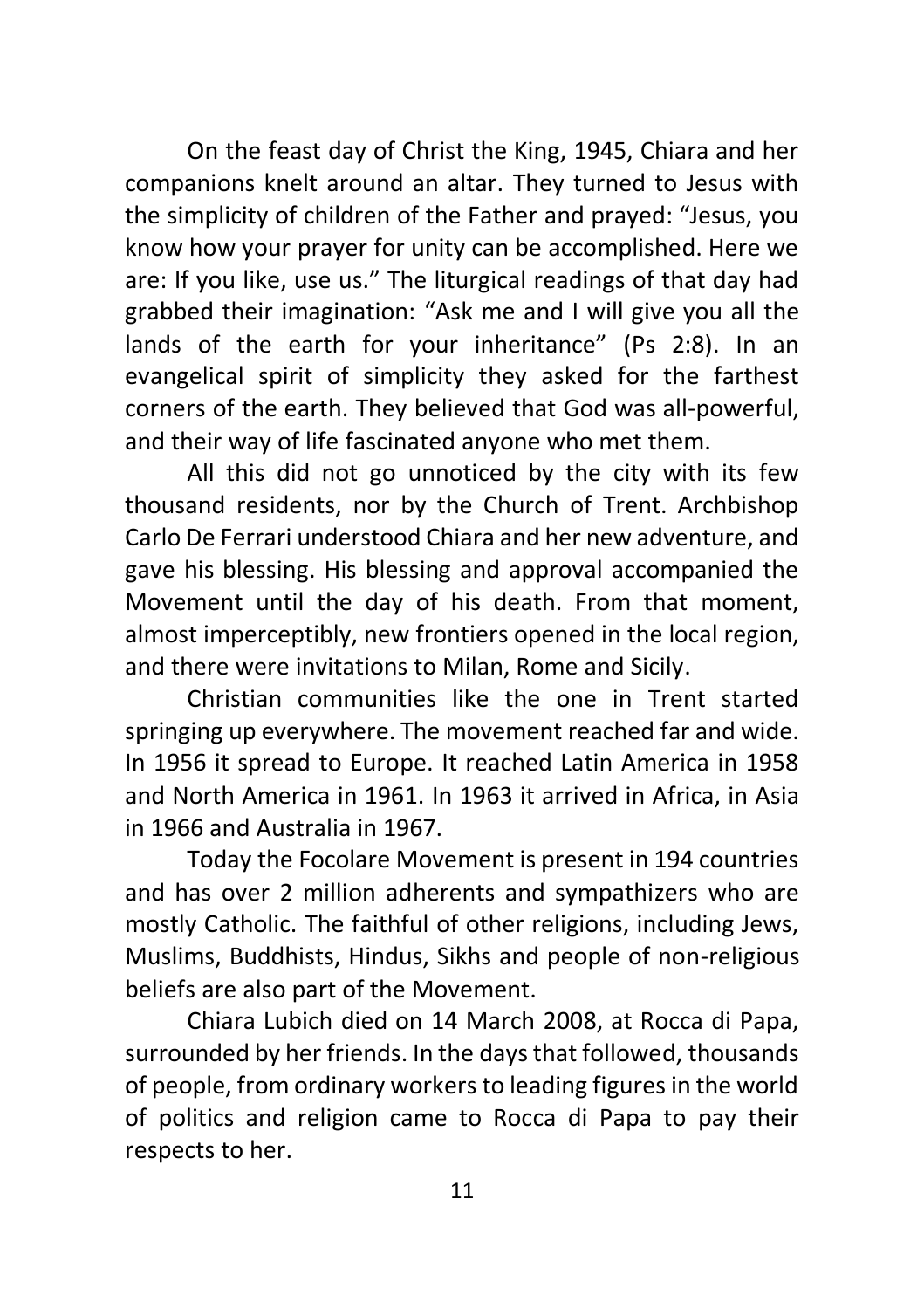On the feast day of Christ the King, 1945, Chiara and her companions knelt around an altar. They turned to Jesus with the simplicity of children of the Father and prayed: "Jesus, you know how your prayer for unity can be accomplished. Here we are: If you like, use us." The liturgical readings of that day had grabbed their imagination: "Ask me and I will give you all the lands of the earth for your inheritance" (Ps 2:8). In an evangelical spirit of simplicity they asked for the farthest corners of the earth. They believed that God was all-powerful, and their way of life fascinated anyone who met them.

All this did not go unnoticed by the city with its few thousand residents, nor by the Church of Trent. Archbishop Carlo De Ferrari understood Chiara and her new adventure, and gave his blessing. His blessing and approval accompanied the Movement until the day of his death. From that moment, almost imperceptibly, new frontiers opened in the local region, and there were invitations to Milan, Rome and Sicily.

Christian communities like the one in Trent started springing up everywhere. The movement reached far and wide. In 1956 it spread to Europe. It reached Latin America in 1958 and North America in 1961. In 1963 it arrived in Africa, in Asia in 1966 and Australia in 1967.

Today the Focolare Movement is present in 194 countries and has over 2 million adherents and sympathizers who are mostly Catholic. The faithful of other religions, including Jews, Muslims, Buddhists, Hindus, Sikhs and people of non-religious beliefs are also part of the Movement.

Chiara Lubich died on 14 March 2008, at Rocca di Papa, surrounded by her friends. In the days that followed, thousands of people, from ordinary workers to leading figures in the world of politics and religion came to Rocca di Papa to pay their respects to her.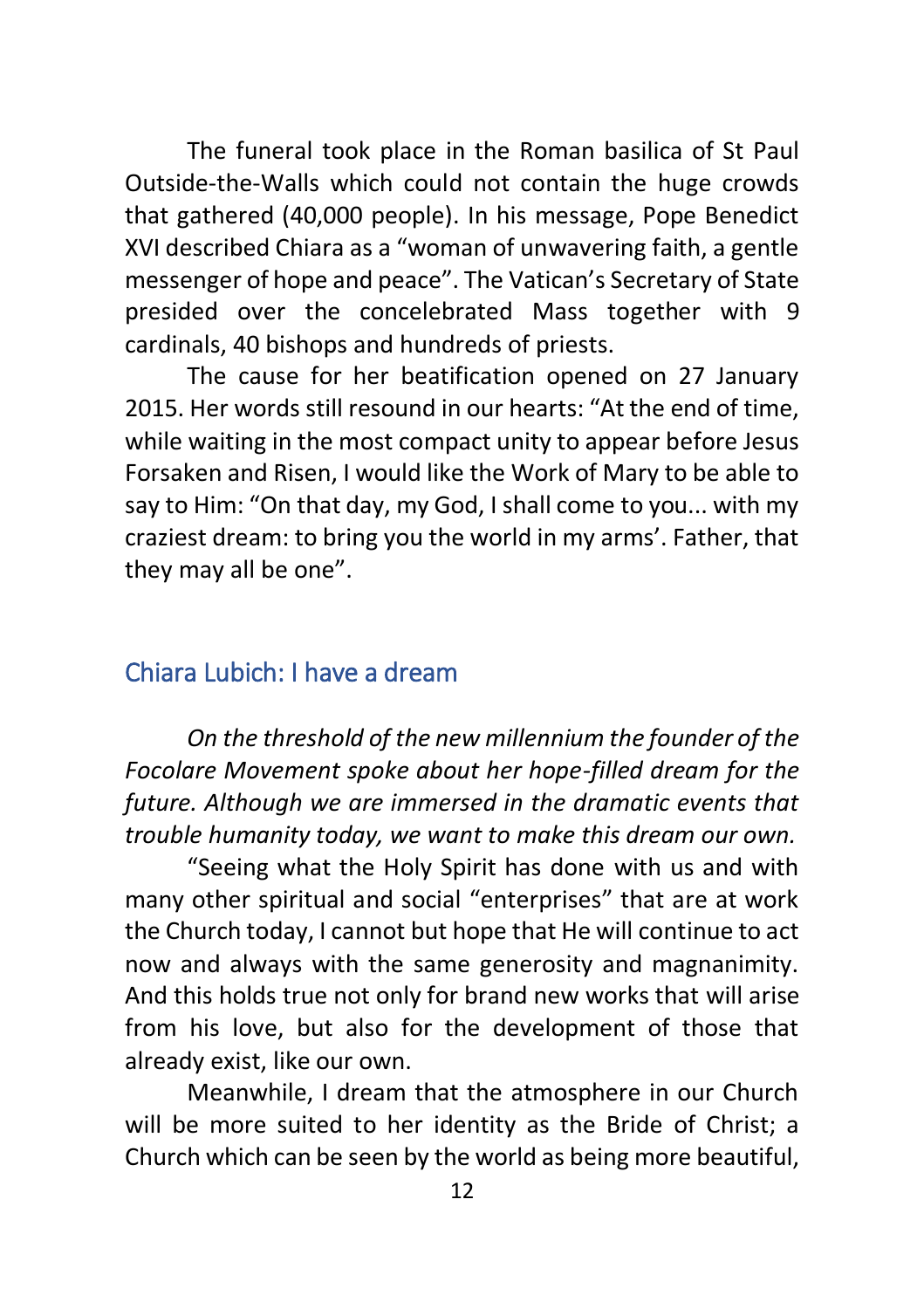The funeral took place in the Roman basilica of St Paul Outside-the-Walls which could not contain the huge crowds that gathered (40,000 people). In his message, Pope Benedict XVI described Chiara as a "woman of unwavering faith, a gentle messenger of hope and peace". The Vatican's Secretary of State presided over the concelebrated Mass together with 9 cardinals, 40 bishops and hundreds of priests.

The cause for her beatification opened on 27 January 2015. Her words still resound in our hearts: "At the end of time, while waiting in the most compact unity to appear before Jesus Forsaken and Risen, I would like the Work of Mary to be able to say to Him: "On that day, my God, I shall come to you... with my craziest dream: to bring you the world in my arms'. Father, that they may all be one".

# <span id="page-11-0"></span>Chiara Lubich: I have a dream

*On the threshold of the new millennium the founder of the Focolare Movement spoke about her hope-filled dream for the future. Although we are immersed in the dramatic events that trouble humanity today, we want to make this dream our own.*

"Seeing what the Holy Spirit has done with us and with many other spiritual and social "enterprises" that are at work the Church today, I cannot but hope that He will continue to act now and always with the same generosity and magnanimity. And this holds true not only for brand new works that will arise from his love, but also for the development of those that already exist, like our own.

Meanwhile, I dream that the atmosphere in our Church will be more suited to her identity as the Bride of Christ; a Church which can be seen by the world as being more beautiful,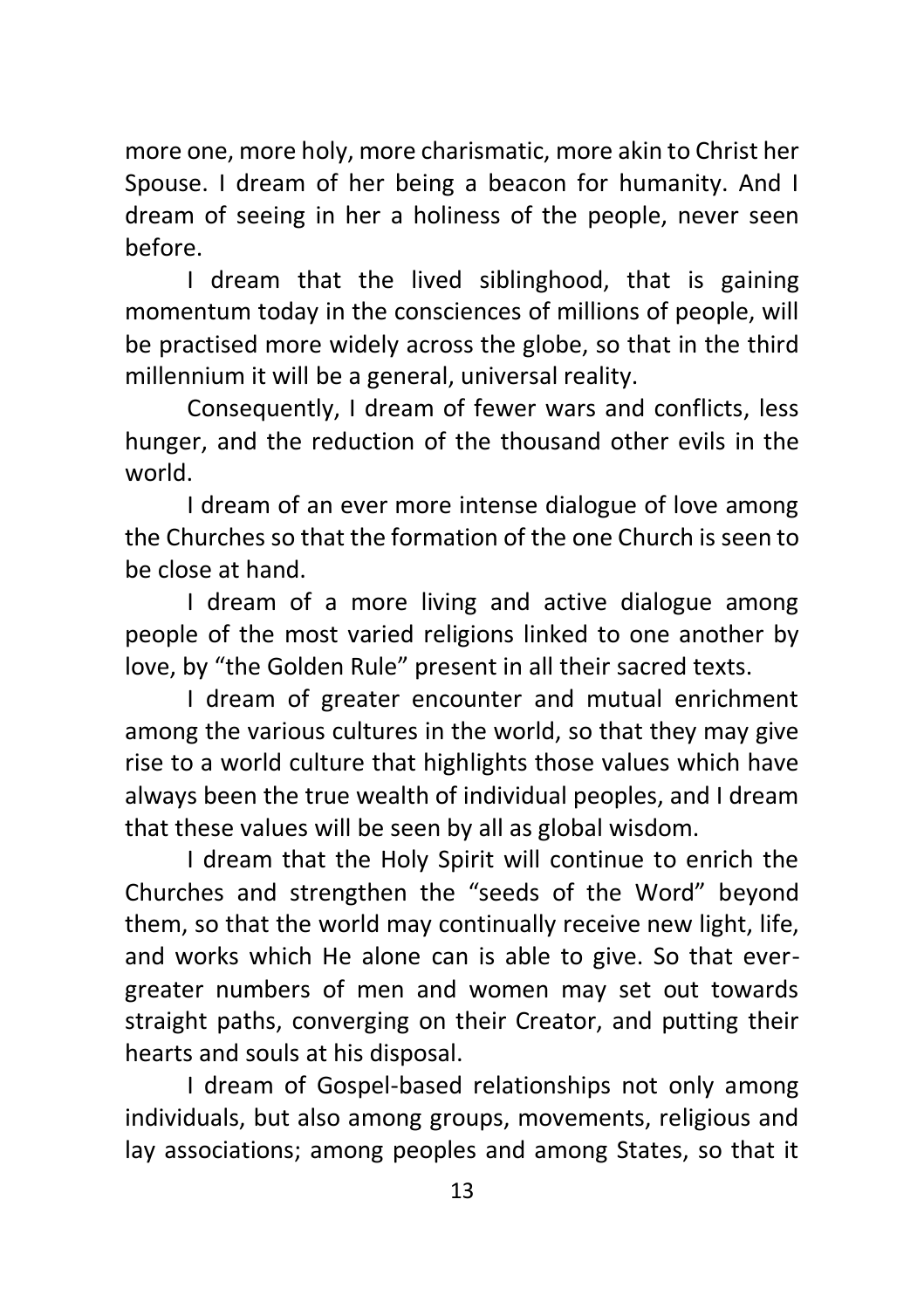more one, more holy, more charismatic, more akin to Christ her Spouse. I dream of her being a beacon for humanity. And I dream of seeing in her a holiness of the people, never seen before.

I dream that the lived siblinghood, that is gaining momentum today in the consciences of millions of people, will be practised more widely across the globe, so that in the third millennium it will be a general, universal reality.

Consequently, I dream of fewer wars and conflicts, less hunger, and the reduction of the thousand other evils in the world.

I dream of an ever more intense dialogue of love among the Churches so that the formation of the one Church is seen to be close at hand.

I dream of a more living and active dialogue among people of the most varied religions linked to one another by love, by "the Golden Rule" present in all their sacred texts.

I dream of greater encounter and mutual enrichment among the various cultures in the world, so that they may give rise to a world culture that highlights those values which have always been the true wealth of individual peoples, and I dream that these values will be seen by all as global wisdom.

I dream that the Holy Spirit will continue to enrich the Churches and strengthen the "seeds of the Word" beyond them, so that the world may continually receive new light, life, and works which He alone can is able to give. So that evergreater numbers of men and women may set out towards straight paths, converging on their Creator, and putting their hearts and souls at his disposal.

I dream of Gospel-based relationships not only among individuals, but also among groups, movements, religious and lay associations; among peoples and among States, so that it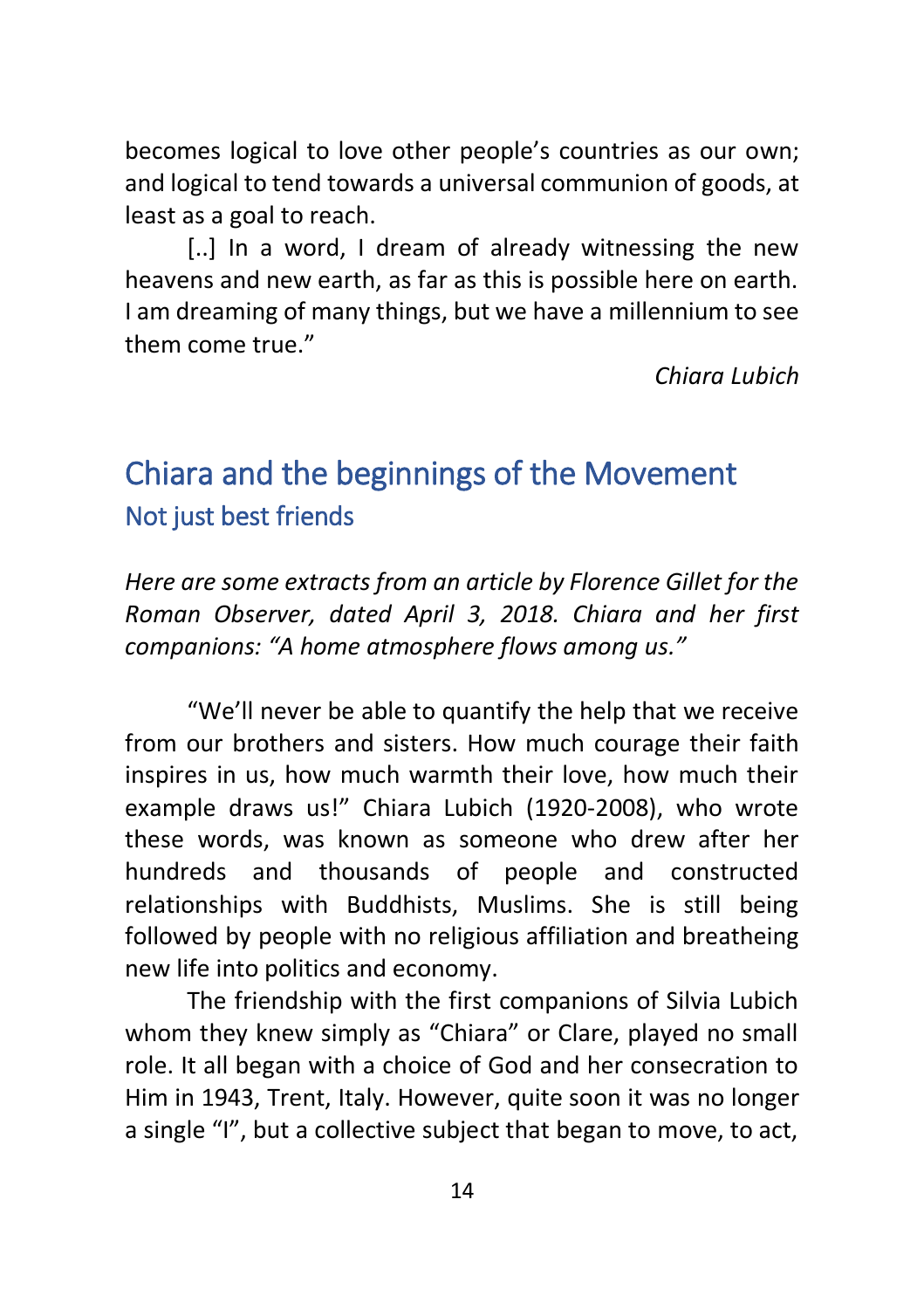becomes logical to love other people's countries as our own; and logical to tend towards a universal communion of goods, at least as a goal to reach.

[..] In a word, I dream of already witnessing the new heavens and new earth, as far as this is possible here on earth. I am dreaming of many things, but we have a millennium to see them come true."

*Chiara Lubich*

# <span id="page-13-1"></span><span id="page-13-0"></span>Chiara and the beginnings of the Movement Not just best friends

*Here are some extracts from an article by Florence Gillet for the Roman Observer, dated April 3, 2018. Chiara and her first companions: "A home atmosphere flows among us."*

"We'll never be able to quantify the help that we receive from our brothers and sisters. How much courage their faith inspires in us, how much warmth their love, how much their example draws us!" Chiara Lubich (1920-2008), who wrote these words, was known as someone who drew after her hundreds and thousands of people and constructed relationships with Buddhists, Muslims. She is still being followed by people with no religious affiliation and breatheing new life into politics and economy.

The friendship with the first companions of Silvia Lubich whom they knew simply as "Chiara" or Clare, played no small role. It all began with a choice of God and her consecration to Him in 1943, Trent, Italy. However, quite soon it was no longer a single "I", but a collective subject that began to move, to act,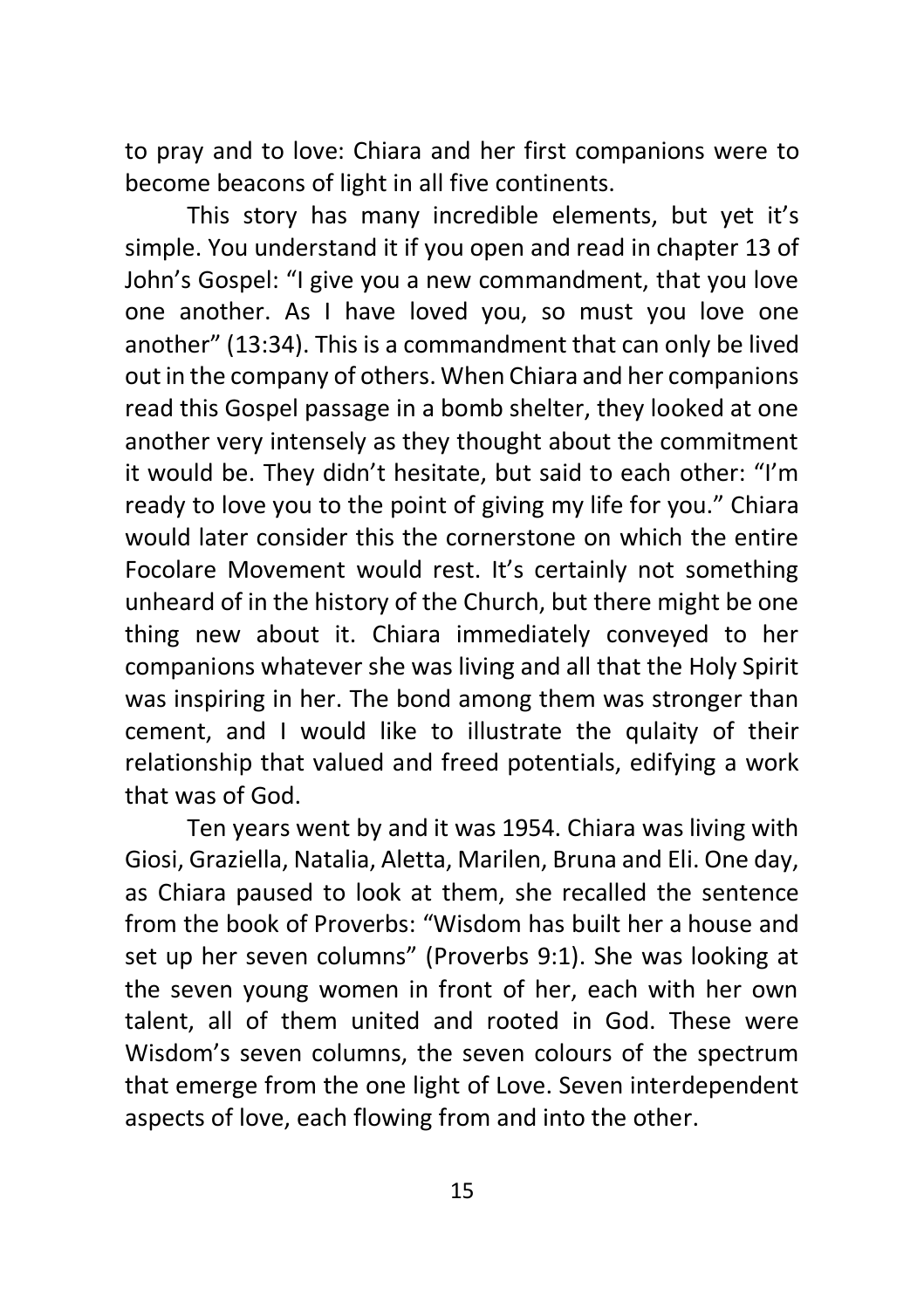to pray and to love: Chiara and her first companions were to become beacons of light in all five continents.

This story has many incredible elements, but yet it's simple. You understand it if you open and read in chapter 13 of John's Gospel: "I give you a new commandment, that you love one another. As I have loved you, so must you love one another" (13:34). This is a commandment that can only be lived out in the company of others. When Chiara and her companions read this Gospel passage in a bomb shelter, they looked at one another very intensely as they thought about the commitment it would be. They didn't hesitate, but said to each other: "I'm ready to love you to the point of giving my life for you." Chiara would later consider this the cornerstone on which the entire Focolare Movement would rest. It's certainly not something unheard of in the history of the Church, but there might be one thing new about it. Chiara immediately conveyed to her companions whatever she was living and all that the Holy Spirit was inspiring in her. The bond among them was stronger than cement, and I would like to illustrate the qulaity of their relationship that valued and freed potentials, edifying a work that was of God.

Ten years went by and it was 1954. Chiara was living with Giosi, Graziella, Natalia, Aletta, Marilen, Bruna and Eli. One day, as Chiara paused to look at them, she recalled the sentence from the book of Proverbs: "Wisdom has built her a house and set up her seven columns" (Proverbs 9:1). She was looking at the seven young women in front of her, each with her own talent, all of them united and rooted in God. These were Wisdom's seven columns, the seven colours of the spectrum that emerge from the one light of Love. Seven interdependent aspects of love, each flowing from and into the other.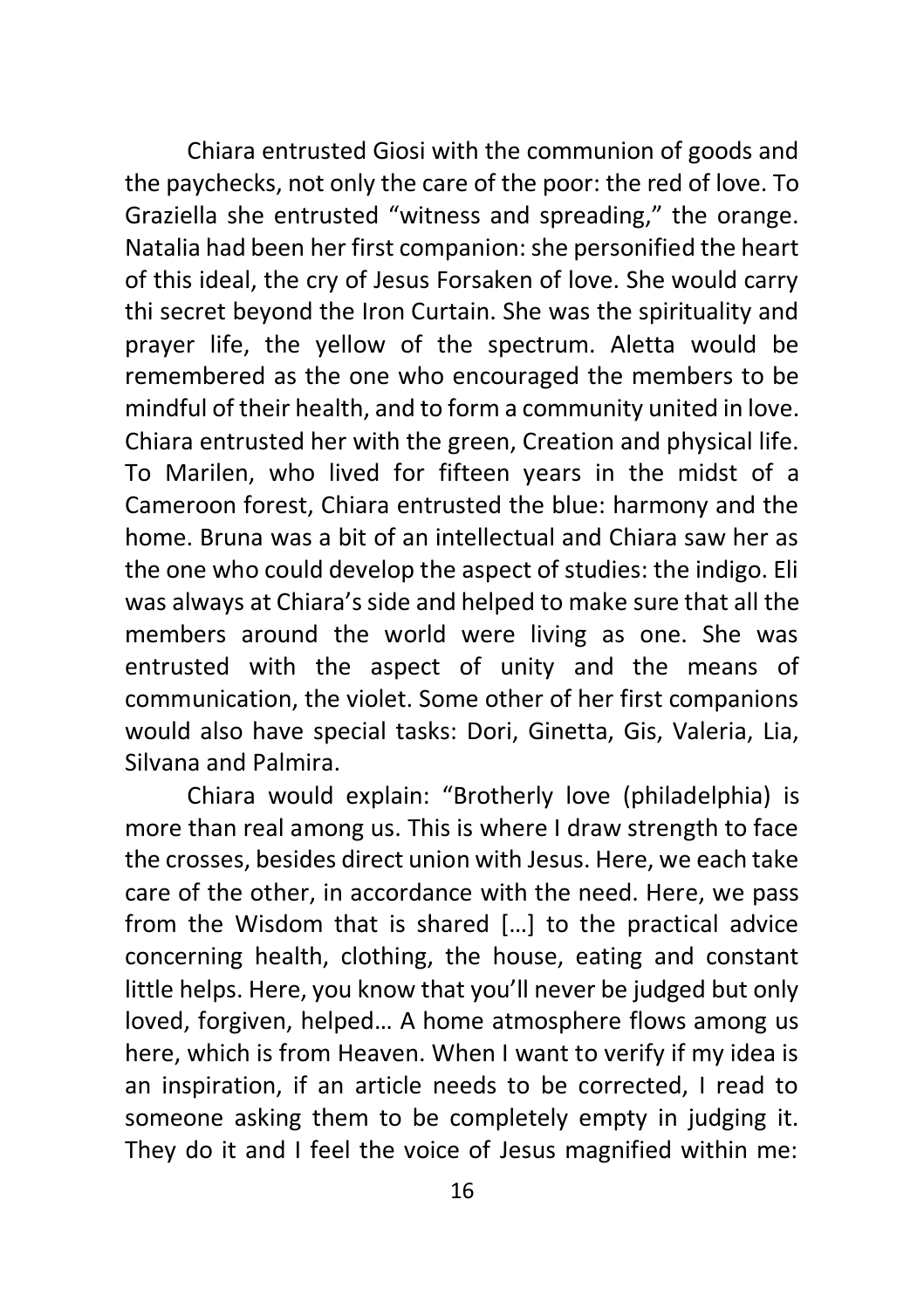Chiara entrusted Giosi with the communion of goods and the paychecks, not only the care of the poor: the red of love. To Graziella she entrusted "witness and spreading," the orange. Natalia had been her first companion: she personified the heart of this ideal, the cry of Jesus Forsaken of love. She would carry thi secret beyond the Iron Curtain. She was the spirituality and prayer life, the yellow of the spectrum. Aletta would be remembered as the one who encouraged the members to be mindful of their health, and to form a community united in love. Chiara entrusted her with the green, Creation and physical life. To Marilen, who lived for fifteen years in the midst of a Cameroon forest, Chiara entrusted the blue: harmony and the home. Bruna was a bit of an intellectual and Chiara saw her as the one who could develop the aspect of studies: the indigo. Eli was always at Chiara's side and helped to make sure that all the members around the world were living as one. She was entrusted with the aspect of unity and the means of communication, the violet. Some other of her first companions would also have special tasks: Dori, Ginetta, Gis, Valeria, Lia, Silvana and Palmira.

Chiara would explain: "Brotherly love (philadelphia) is more than real among us. This is where I draw strength to face the crosses, besides direct union with Jesus. Here, we each take care of the other, in accordance with the need. Here, we pass from the Wisdom that is shared […] to the practical advice concerning health, clothing, the house, eating and constant little helps. Here, you know that you'll never be judged but only loved, forgiven, helped… A home atmosphere flows among us here, which is from Heaven. When I want to verify if my idea is an inspiration, if an article needs to be corrected, I read to someone asking them to be completely empty in judging it. They do it and I feel the voice of Jesus magnified within me: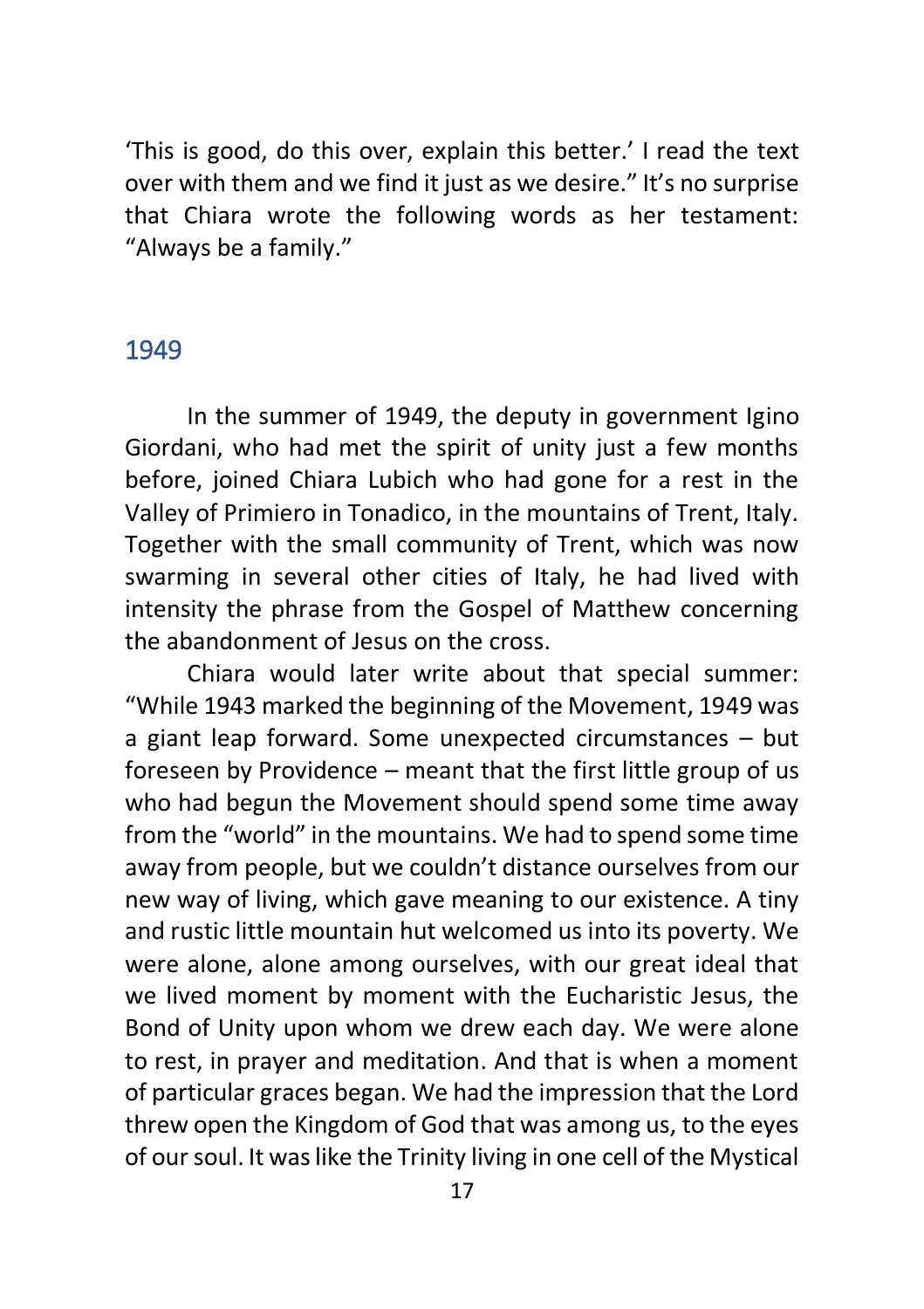'This is good, do this over, explain this better.' I read the text over with them and we find it just as we desire." It's no surprise that Chiara wrote the following words as her testament: "Always be a family."

#### <span id="page-16-0"></span>1949

In the summer of 1949, the deputy in government Igino Giordani, who had met the spirit of unity just a few months before, joined Chiara Lubich who had gone for a rest in the Valley of Primiero in Tonadico, in the mountains of Trent, Italy. Together with the small community of Trent, which was now swarming in several other cities of Italy, he had lived with intensity the phrase from the Gospel of Matthew concerning the abandonment of Jesus on the cross.

Chiara would later write about that special summer: "While 1943 marked the beginning of the Movement, 1949 was a giant leap forward. Some unexpected circumstances – but foreseen by Providence – meant that the first little group of us who had begun the Movement should spend some time away from the "world" in the mountains. We had to spend some time away from people, but we couldn't distance ourselves from our new way of living, which gave meaning to our existence. A tiny and rustic little mountain hut welcomed us into its poverty. We were alone, alone among ourselves, with our great ideal that we lived moment by moment with the Eucharistic Jesus, the Bond of Unity upon whom we drew each day. We were alone to rest, in prayer and meditation. And that is when a moment of particular graces began. We had the impression that the Lord threw open the Kingdom of God that was among us, to the eyes of our soul. It was like the Trinity living in one cell of the Mystical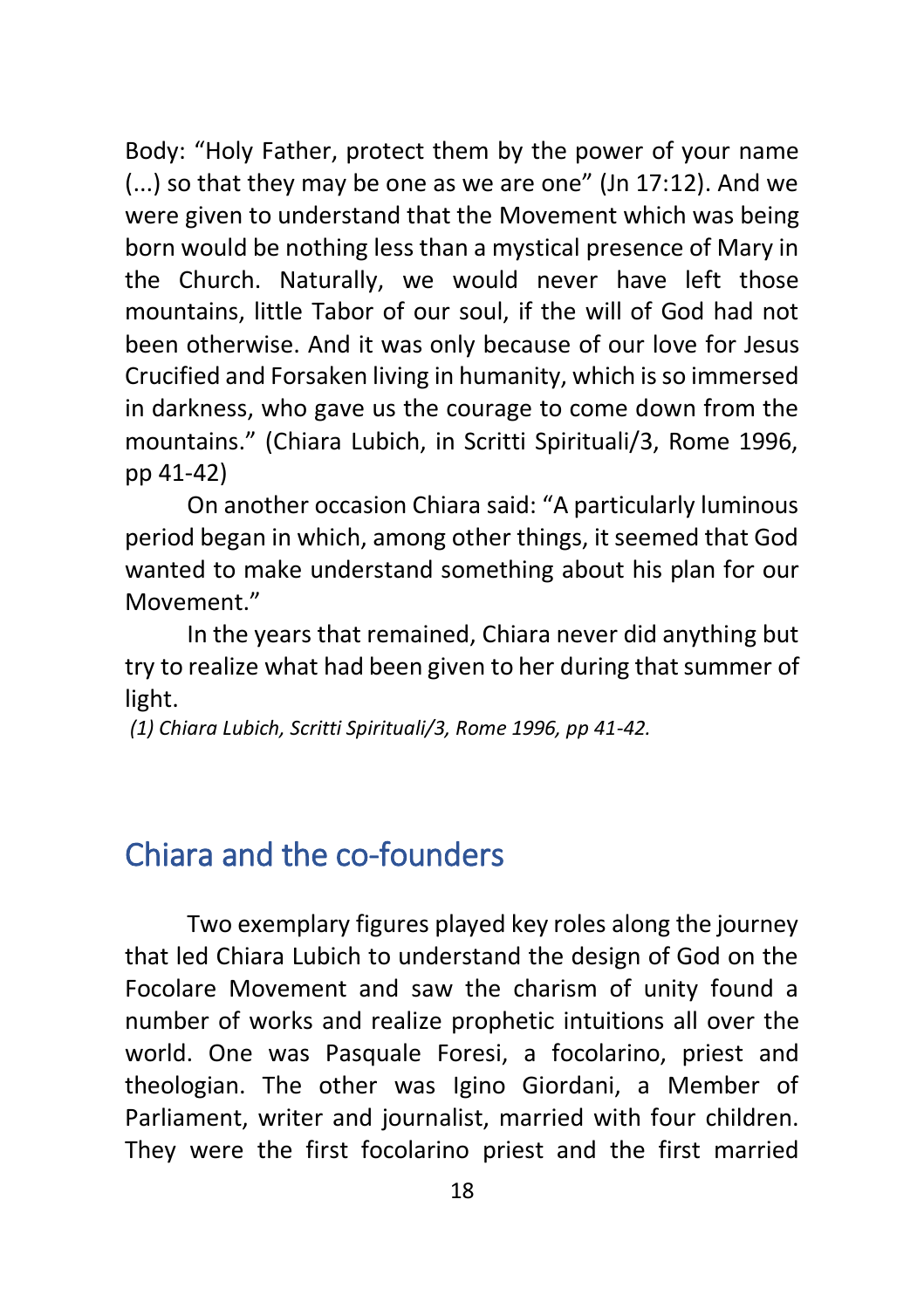Body: "Holy Father, protect them by the power of your name (...) so that they may be one as we are one" (Jn 17:12). And we were given to understand that the Movement which was being born would be nothing less than a mystical presence of Mary in the Church. Naturally, we would never have left those mountains, little Tabor of our soul, if the will of God had not been otherwise. And it was only because of our love for Jesus Crucified and Forsaken living in humanity, which is so immersed in darkness, who gave us the courage to come down from the mountains." (Chiara Lubich, in Scritti Spirituali/3, Rome 1996, pp 41-42)

On another occasion Chiara said: "A particularly luminous period began in which, among other things, it seemed that God wanted to make understand something about his plan for our Movement."

In the years that remained, Chiara never did anything but try to realize what had been given to her during that summer of light.

*(1) Chiara Lubich, Scritti Spirituali/3, Rome 1996, pp 41-42.*

# <span id="page-17-0"></span>Chiara and the co-founders

Two exemplary figures played key roles along the journey that led Chiara Lubich to understand the design of God on the Focolare Movement and saw the charism of unity found a number of works and realize prophetic intuitions all over the world. One was Pasquale Foresi, a focolarino, priest and theologian. The other was Igino Giordani, a Member of Parliament, writer and journalist, married with four children. They were the first focolarino priest and the first married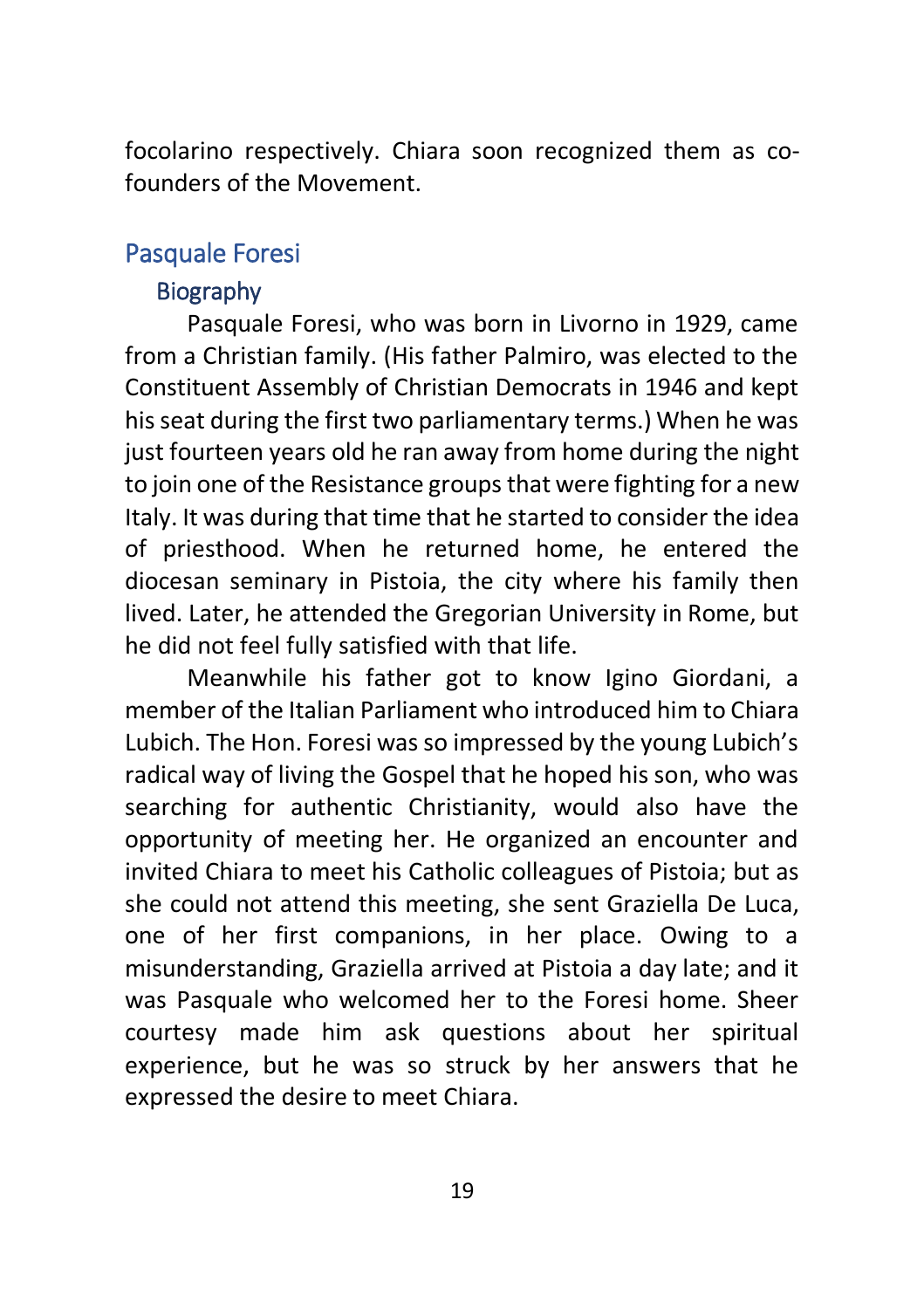focolarino respectively. Chiara soon recognized them as cofounders of the Movement.

## <span id="page-18-1"></span><span id="page-18-0"></span>Pasquale Foresi

#### **Biography**

Pasquale Foresi, who was born in Livorno in 1929, came from a Christian family. (His father Palmiro, was elected to the Constituent Assembly of Christian Democrats in 1946 and kept his seat during the first two parliamentary terms.) When he was just fourteen years old he ran away from home during the night to join one of the Resistance groups that were fighting for a new Italy. It was during that time that he started to consider the idea of priesthood. When he returned home, he entered the diocesan seminary in Pistoia, the city where his family then lived. Later, he attended the Gregorian University in Rome, but he did not feel fully satisfied with that life.

Meanwhile his father got to know Igino Giordani, a member of the Italian Parliament who introduced him to Chiara Lubich. The Hon. Foresi was so impressed by the young Lubich's radical way of living the Gospel that he hoped his son, who was searching for authentic Christianity, would also have the opportunity of meeting her. He organized an encounter and invited Chiara to meet his Catholic colleagues of Pistoia; but as she could not attend this meeting, she sent Graziella De Luca, one of her first companions, in her place. Owing to a misunderstanding, Graziella arrived at Pistoia a day late; and it was Pasquale who welcomed her to the Foresi home. Sheer courtesy made him ask questions about her spiritual experience, but he was so struck by her answers that he expressed the desire to meet Chiara.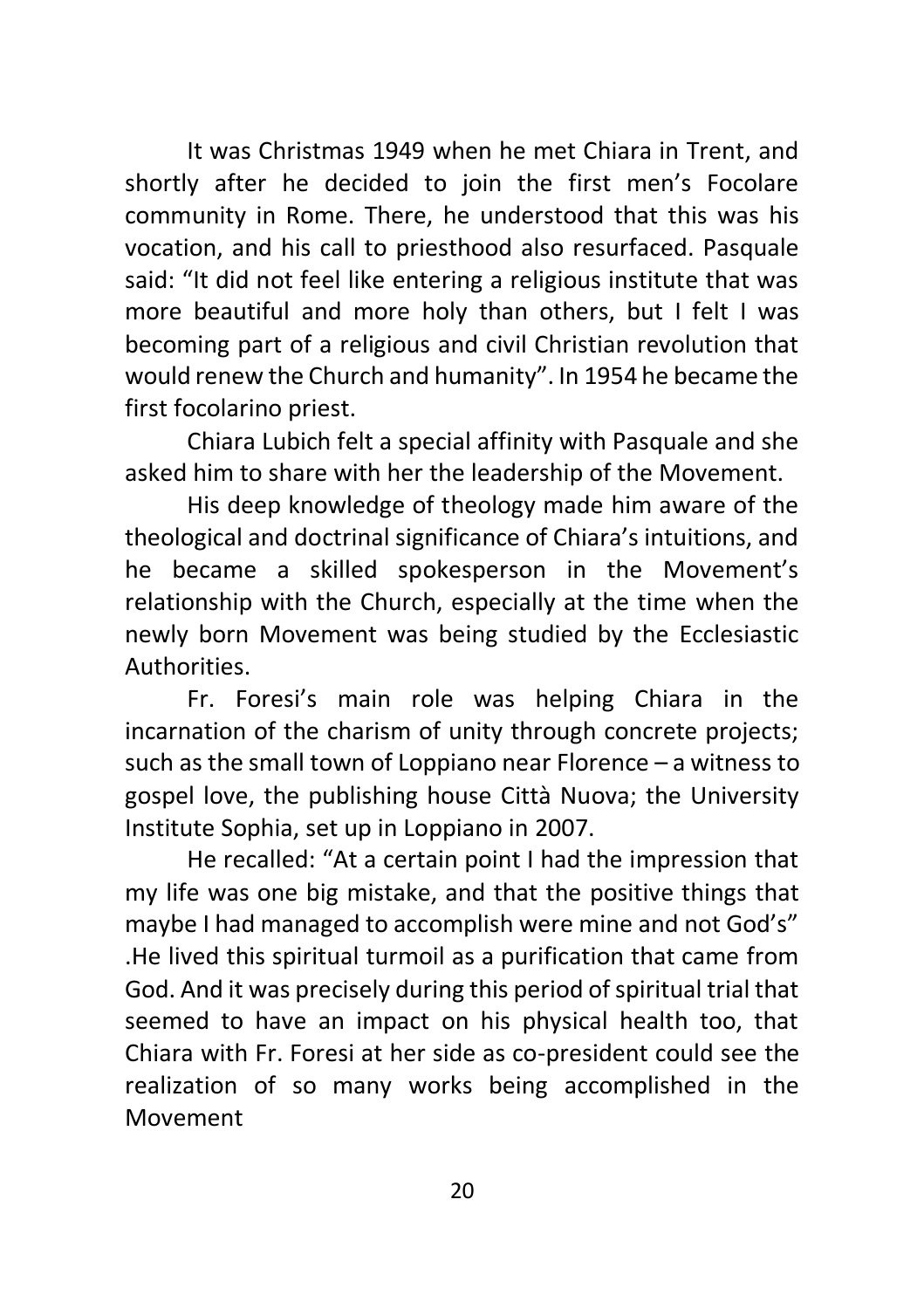It was Christmas 1949 when he met Chiara in Trent, and shortly after he decided to join the first men's Focolare community in Rome. There, he understood that this was his vocation, and his call to priesthood also resurfaced. Pasquale said: "It did not feel like entering a religious institute that was more beautiful and more holy than others, but I felt I was becoming part of a religious and civil Christian revolution that would renew the Church and humanity". In 1954 he became the first focolarino priest.

Chiara Lubich felt a special affinity with Pasquale and she asked him to share with her the leadership of the Movement.

His deep knowledge of theology made him aware of the theological and doctrinal significance of Chiara's intuitions, and he became a skilled spokesperson in the Movement's relationship with the Church, especially at the time when the newly born Movement was being studied by the Ecclesiastic Authorities.

Fr. Foresi's main role was helping Chiara in the incarnation of the charism of unity through concrete projects; such as the small town of Loppiano near Florence – a witness to gospel love, the publishing house Città Nuova; the University Institute Sophia, set up in Loppiano in 2007.

He recalled: "At a certain point I had the impression that my life was one big mistake, and that the positive things that maybe I had managed to accomplish were mine and not God's" .He lived this spiritual turmoil as a purification that came from God. And it was precisely during this period of spiritual trial that seemed to have an impact on his physical health too, that Chiara with Fr. Foresi at her side as co-president could see the realization of so many works being accomplished in the Movement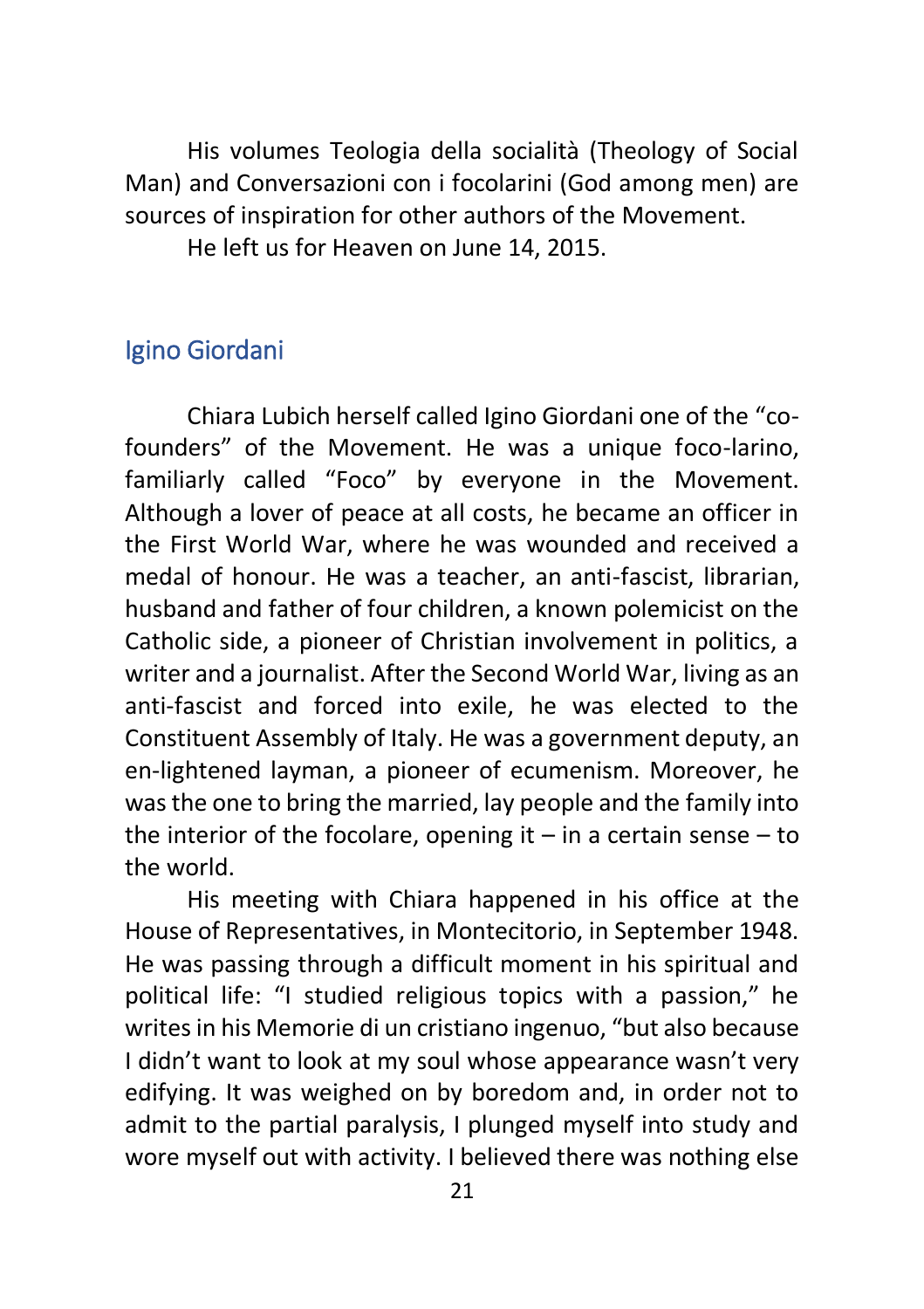His volumes Teologia della socialità (Theology of Social Man) and Conversazioni con i focolarini (God among men) are sources of inspiration for other authors of the Movement. He left us for Heaven on June 14, 2015.

<span id="page-20-0"></span>Igino Giordani

Chiara Lubich herself called Igino Giordani one of the "cofounders" of the Movement. He was a unique foco-larino, familiarly called "Foco" by everyone in the Movement. Although a lover of peace at all costs, he became an officer in the First World War, where he was wounded and received a medal of honour. He was a teacher, an anti-fascist, librarian, husband and father of four children, a known polemicist on the Catholic side, a pioneer of Christian involvement in politics, a writer and a journalist. After the Second World War, living as an anti-fascist and forced into exile, he was elected to the Constituent Assembly of Italy. He was a government deputy, an en-lightened layman, a pioneer of ecumenism. Moreover, he was the one to bring the married, lay people and the family into the interior of the focolare, opening it  $-$  in a certain sense  $-$  to the world.

His meeting with Chiara happened in his office at the House of Representatives, in Montecitorio, in September 1948. He was passing through a difficult moment in his spiritual and political life: "I studied religious topics with a passion," he writes in his Memorie di un cristiano ingenuo, "but also because I didn't want to look at my soul whose appearance wasn't very edifying. It was weighed on by boredom and, in order not to admit to the partial paralysis, I plunged myself into study and wore myself out with activity. I believed there was nothing else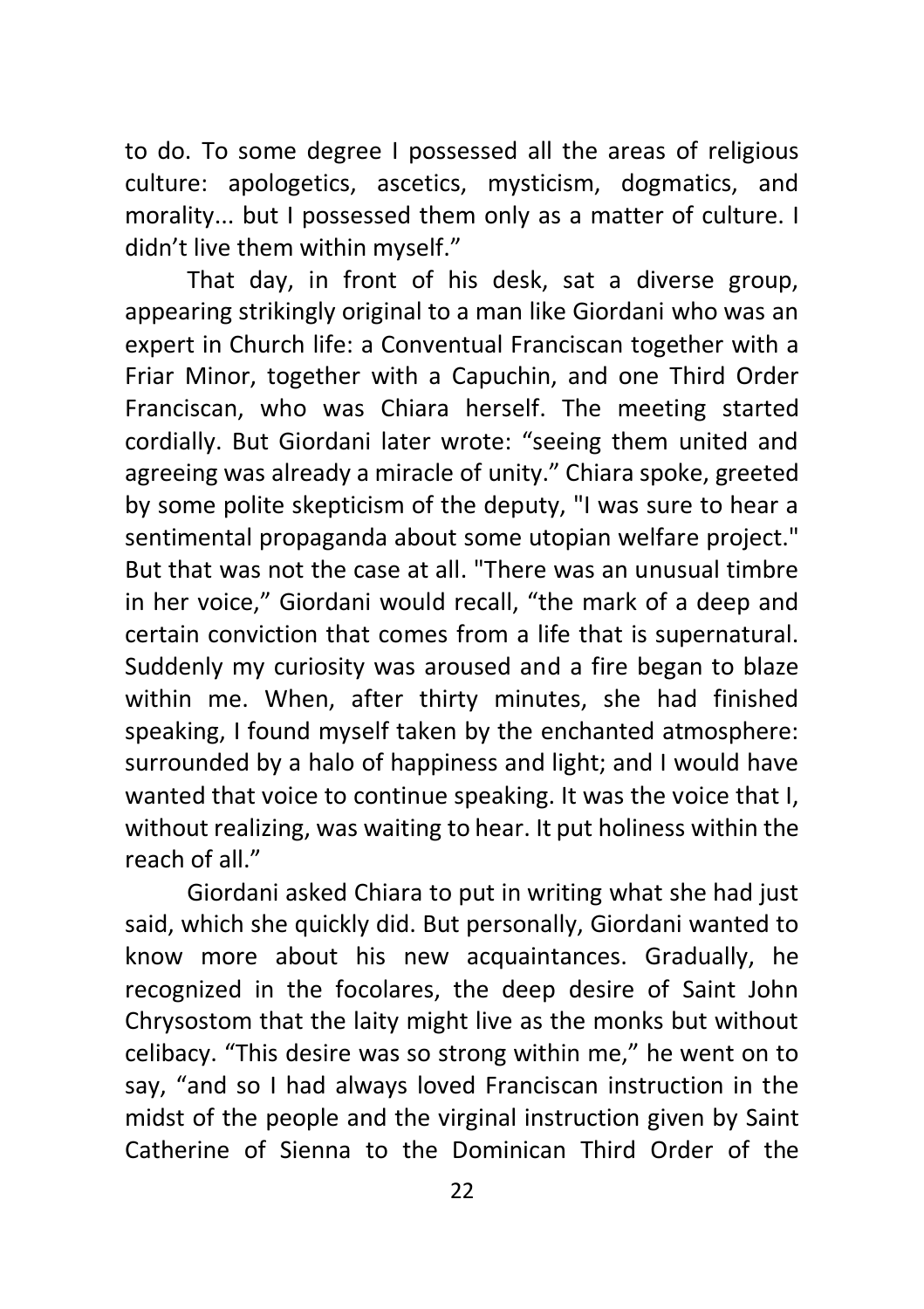to do. To some degree I possessed all the areas of religious culture: apologetics, ascetics, mysticism, dogmatics, and morality... but I possessed them only as a matter of culture. I didn't live them within myself."

That day, in front of his desk, sat a diverse group, appearing strikingly original to a man like Giordani who was an expert in Church life: a Conventual Franciscan together with a Friar Minor, together with a Capuchin, and one Third Order Franciscan, who was Chiara herself. The meeting started cordially. But Giordani later wrote: "seeing them united and agreeing was already a miracle of unity." Chiara spoke, greeted by some polite skepticism of the deputy, "I was sure to hear a sentimental propaganda about some utopian welfare project." But that was not the case at all. "There was an unusual timbre in her voice," Giordani would recall, "the mark of a deep and certain conviction that comes from a life that is supernatural. Suddenly my curiosity was aroused and a fire began to blaze within me. When, after thirty minutes, she had finished speaking, I found myself taken by the enchanted atmosphere: surrounded by a halo of happiness and light; and I would have wanted that voice to continue speaking. It was the voice that I, without realizing, was waiting to hear. It put holiness within the reach of all."

Giordani asked Chiara to put in writing what she had just said, which she quickly did. But personally, Giordani wanted to know more about his new acquaintances. Gradually, he recognized in the focolares, the deep desire of Saint John Chrysostom that the laity might live as the monks but without celibacy. "This desire was so strong within me," he went on to say, "and so I had always loved Franciscan instruction in the midst of the people and the virginal instruction given by Saint Catherine of Sienna to the Dominican Third Order of the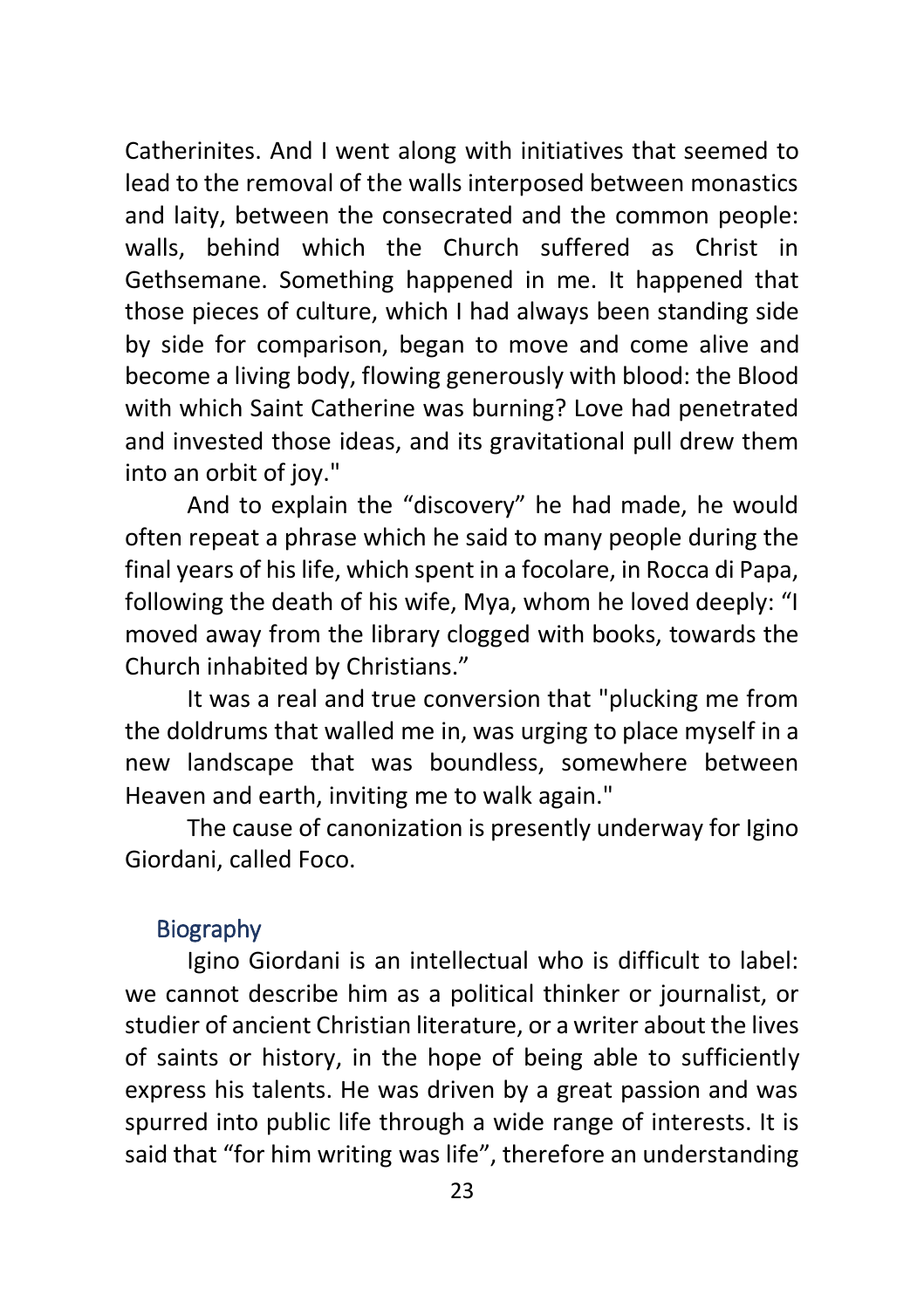Catherinites. And I went along with initiatives that seemed to lead to the removal of the walls interposed between monastics and laity, between the consecrated and the common people: walls, behind which the Church suffered as Christ in Gethsemane. Something happened in me. It happened that those pieces of culture, which I had always been standing side by side for comparison, began to move and come alive and become a living body, flowing generously with blood: the Blood with which Saint Catherine was burning? Love had penetrated and invested those ideas, and its gravitational pull drew them into an orbit of joy."

And to explain the "discovery" he had made, he would often repeat a phrase which he said to many people during the final years of his life, which spent in a focolare, in Rocca di Papa, following the death of his wife, Mya, whom he loved deeply: "I moved away from the library clogged with books, towards the Church inhabited by Christians."

It was a real and true conversion that "plucking me from the doldrums that walled me in, was urging to place myself in a new landscape that was boundless, somewhere between Heaven and earth, inviting me to walk again."

The cause of canonization is presently underway for Igino Giordani, called Foco.

#### <span id="page-22-0"></span>**Biography**

Igino Giordani is an intellectual who is difficult to label: we cannot describe him as a political thinker or journalist, or studier of ancient Christian literature, or a writer about the lives of saints or history, in the hope of being able to sufficiently express his talents. He was driven by a great passion and was spurred into public life through a wide range of interests. It is said that "for him writing was life", therefore an understanding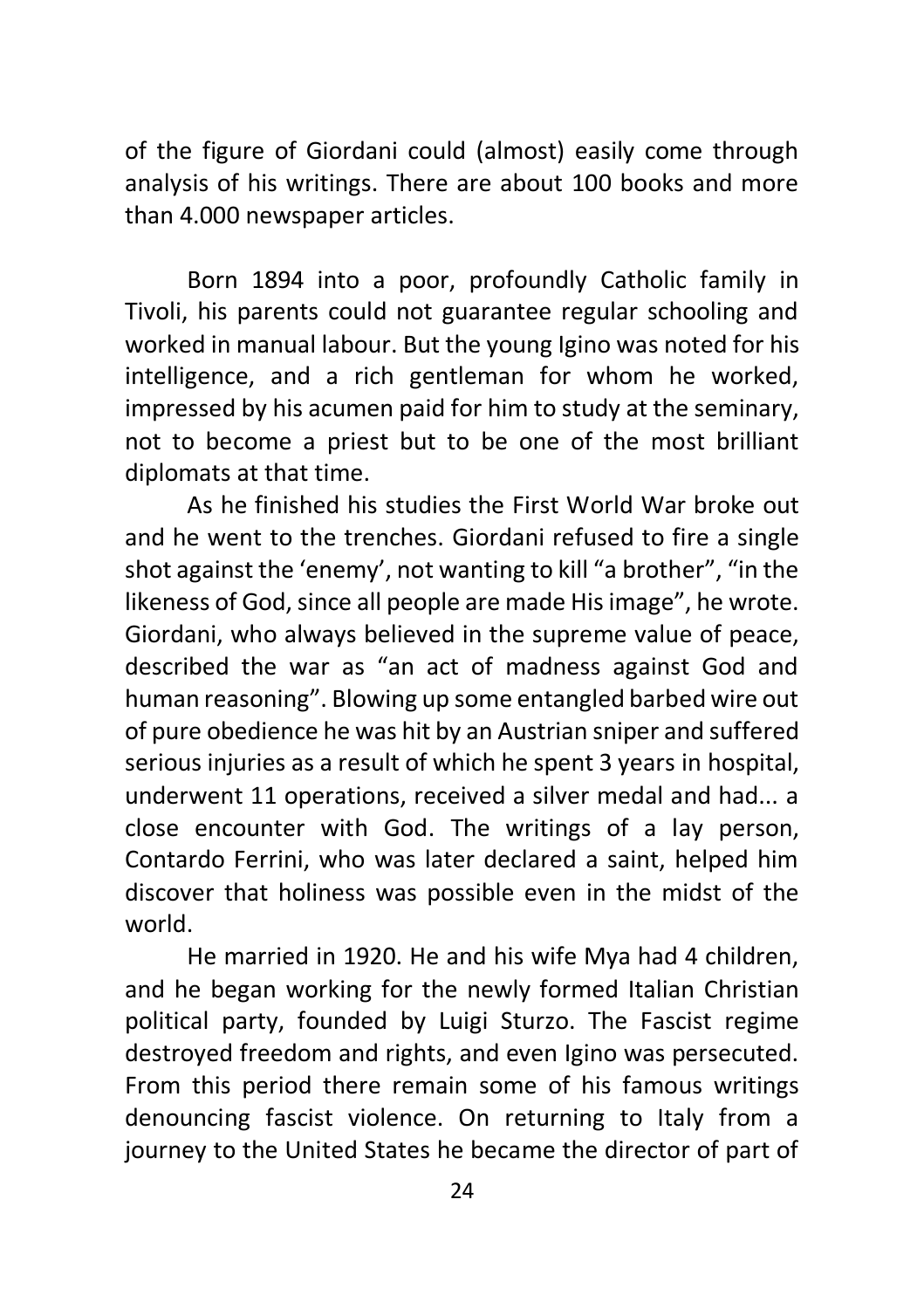of the figure of Giordani could (almost) easily come through analysis of his writings. There are about 100 books and more than 4.000 newspaper articles.

Born 1894 into a poor, profoundly Catholic family in Tivoli, his parents could not guarantee regular schooling and worked in manual labour. But the young Igino was noted for his intelligence, and a rich gentleman for whom he worked, impressed by his acumen paid for him to study at the seminary, not to become a priest but to be one of the most brilliant diplomats at that time.

As he finished his studies the First World War broke out and he went to the trenches. Giordani refused to fire a single shot against the 'enemy', not wanting to kill "a brother", "in the likeness of God, since all people are made His image", he wrote. Giordani, who always believed in the supreme value of peace, described the war as "an act of madness against God and human reasoning". Blowing up some entangled barbed wire out of pure obedience he was hit by an Austrian sniper and suffered serious injuries as a result of which he spent 3 years in hospital, underwent 11 operations, received a silver medal and had... a close encounter with God. The writings of a lay person, Contardo Ferrini, who was later declared a saint, helped him discover that holiness was possible even in the midst of the world.

He married in 1920. He and his wife Mya had 4 children, and he began working for the newly formed Italian Christian political party, founded by Luigi Sturzo. The Fascist regime destroyed freedom and rights, and even Igino was persecuted. From this period there remain some of his famous writings denouncing fascist violence. On returning to Italy from a journey to the United States he became the director of part of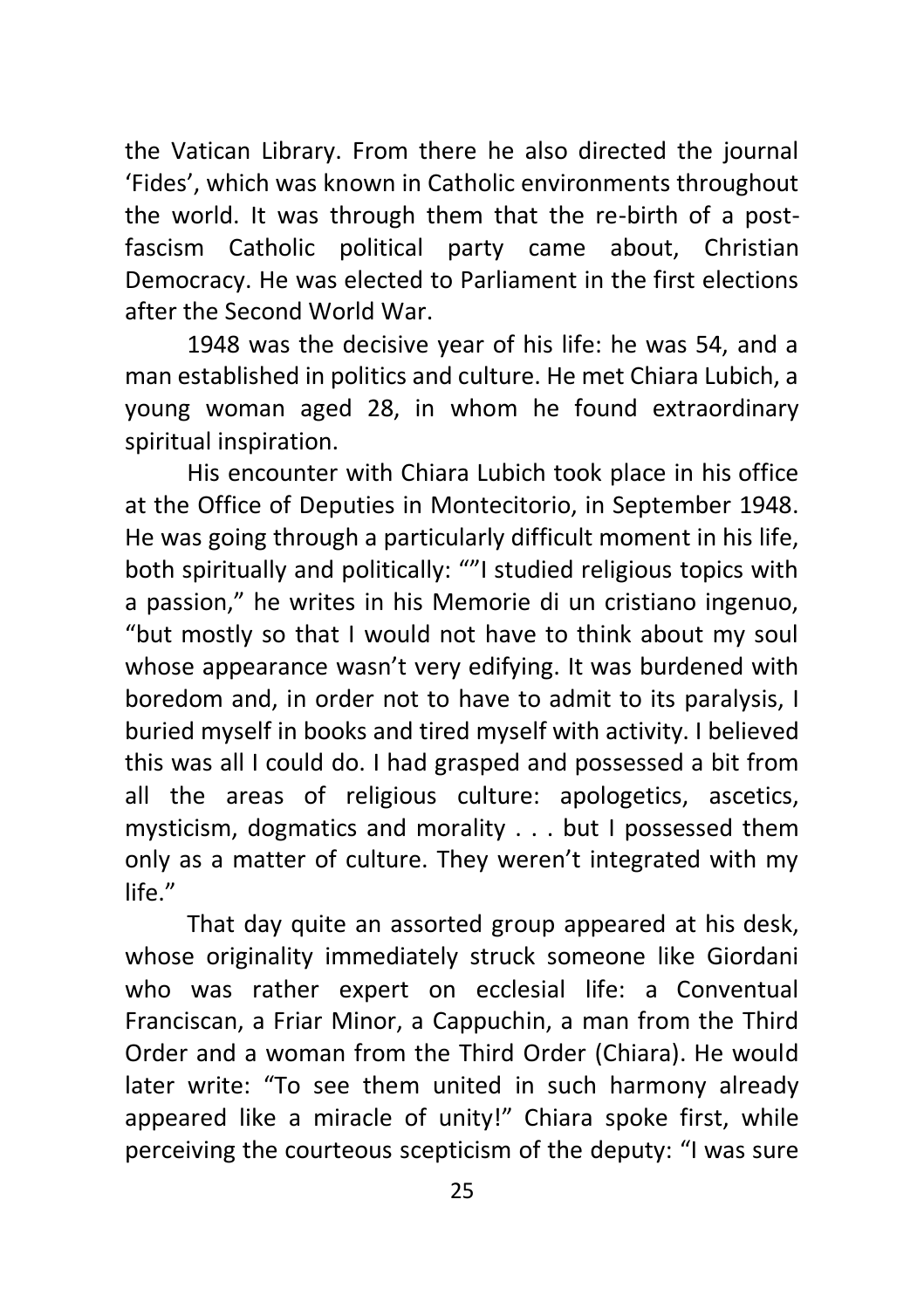the Vatican Library. From there he also directed the journal 'Fides', which was known in Catholic environments throughout the world. It was through them that the re-birth of a postfascism Catholic political party came about, Christian Democracy. He was elected to Parliament in the first elections after the Second World War.

1948 was the decisive year of his life: he was 54, and a man established in politics and culture. He met Chiara Lubich, a young woman aged 28, in whom he found extraordinary spiritual inspiration.

His encounter with Chiara Lubich took place in his office at the Office of Deputies in Montecitorio, in September 1948. He was going through a particularly difficult moment in his life, both spiritually and politically: ""I studied religious topics with a passion," he writes in his Memorie di un cristiano ingenuo, "but mostly so that I would not have to think about my soul whose appearance wasn't very edifying. It was burdened with boredom and, in order not to have to admit to its paralysis, I buried myself in books and tired myself with activity. I believed this was all I could do. I had grasped and possessed a bit from all the areas of religious culture: apologetics, ascetics, mysticism, dogmatics and morality . . . but I possessed them only as a matter of culture. They weren't integrated with my life."

That day quite an assorted group appeared at his desk, whose originality immediately struck someone like Giordani who was rather expert on ecclesial life: a Conventual Franciscan, a Friar Minor, a Cappuchin, a man from the Third Order and a woman from the Third Order (Chiara). He would later write: "To see them united in such harmony already appeared like a miracle of unity!" Chiara spoke first, while perceiving the courteous scepticism of the deputy: "I was sure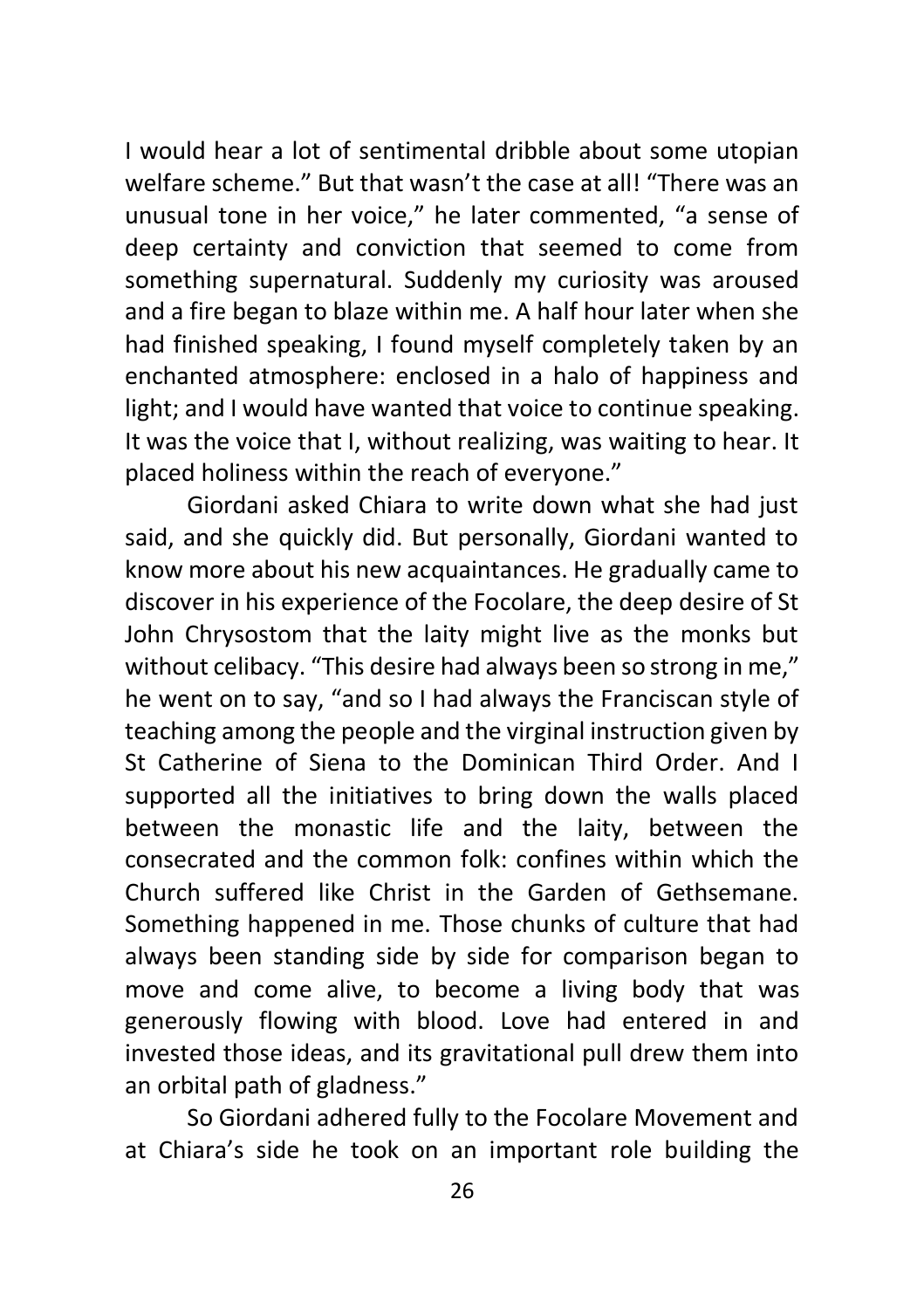I would hear a lot of sentimental dribble about some utopian welfare scheme." But that wasn't the case at all! "There was an unusual tone in her voice," he later commented, "a sense of deep certainty and conviction that seemed to come from something supernatural. Suddenly my curiosity was aroused and a fire began to blaze within me. A half hour later when she had finished speaking, I found myself completely taken by an enchanted atmosphere: enclosed in a halo of happiness and light; and I would have wanted that voice to continue speaking. It was the voice that I, without realizing, was waiting to hear. It placed holiness within the reach of everyone."

Giordani asked Chiara to write down what she had just said, and she quickly did. But personally, Giordani wanted to know more about his new acquaintances. He gradually came to discover in his experience of the Focolare, the deep desire of St John Chrysostom that the laity might live as the monks but without celibacy. "This desire had always been so strong in me," he went on to say, "and so I had always the Franciscan style of teaching among the people and the virginal instruction given by St Catherine of Siena to the Dominican Third Order. And I supported all the initiatives to bring down the walls placed between the monastic life and the laity, between the consecrated and the common folk: confines within which the Church suffered like Christ in the Garden of Gethsemane. Something happened in me. Those chunks of culture that had always been standing side by side for comparison began to move and come alive, to become a living body that was generously flowing with blood. Love had entered in and invested those ideas, and its gravitational pull drew them into an orbital path of gladness."

So Giordani adhered fully to the Focolare Movement and at Chiara's side he took on an important role building the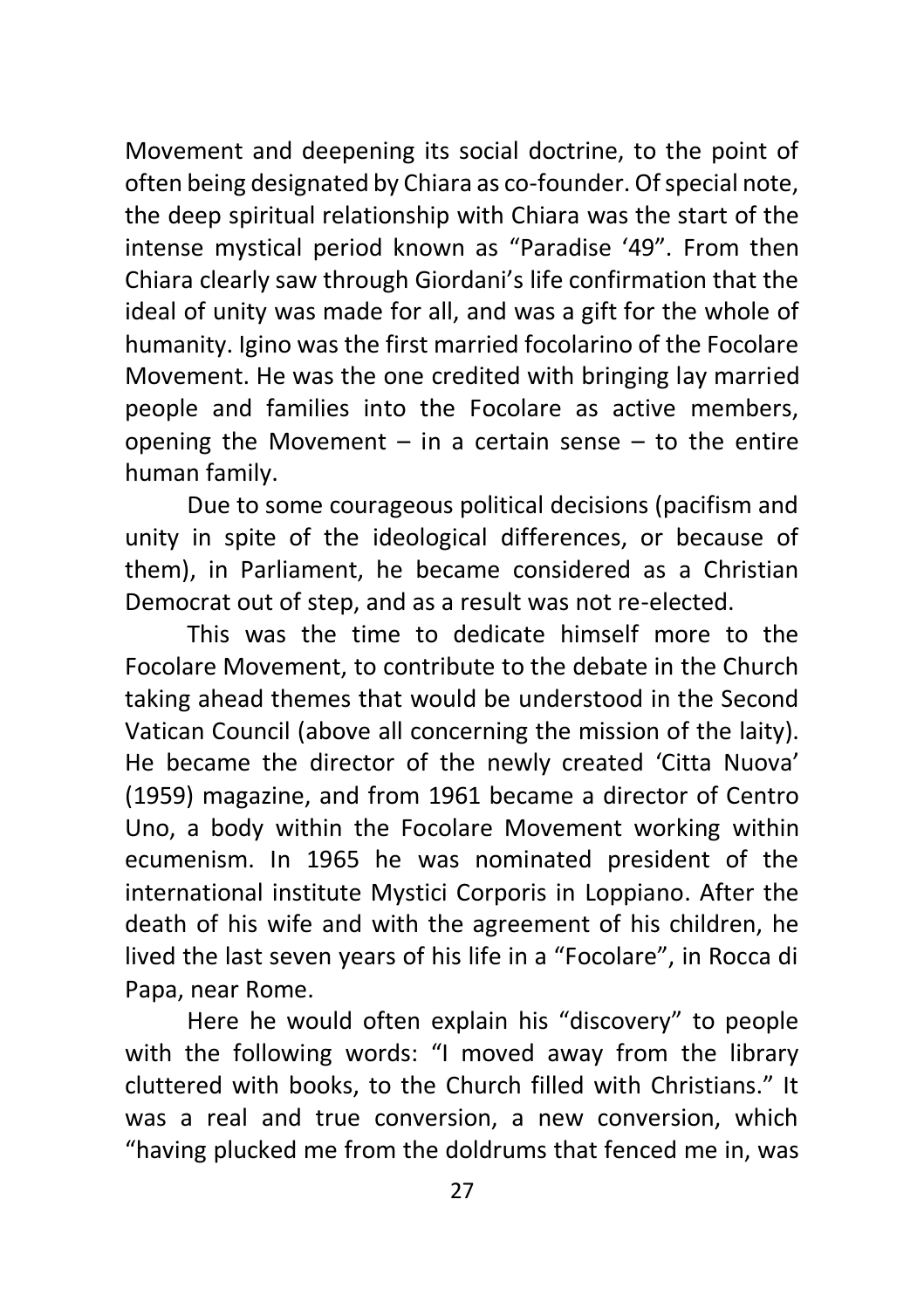Movement and deepening its social doctrine, to the point of often being designated by Chiara as co-founder. Of special note, the deep spiritual relationship with Chiara was the start of the intense mystical period known as "Paradise '49". From then Chiara clearly saw through Giordani's life confirmation that the ideal of unity was made for all, and was a gift for the whole of humanity. Igino was the first married focolarino of the Focolare Movement. He was the one credited with bringing lay married people and families into the Focolare as active members, opening the Movement  $-$  in a certain sense  $-$  to the entire human family.

Due to some courageous political decisions (pacifism and unity in spite of the ideological differences, or because of them), in Parliament, he became considered as a Christian Democrat out of step, and as a result was not re-elected.

This was the time to dedicate himself more to the Focolare Movement, to contribute to the debate in the Church taking ahead themes that would be understood in the Second Vatican Council (above all concerning the mission of the laity). He became the director of the newly created 'Citta Nuova' (1959) magazine, and from 1961 became a director of Centro Uno, a body within the Focolare Movement working within ecumenism. In 1965 he was nominated president of the international institute Mystici Corporis in Loppiano. After the death of his wife and with the agreement of his children, he lived the last seven years of his life in a "Focolare", in Rocca di Papa, near Rome.

Here he would often explain his "discovery" to people with the following words: "I moved away from the library cluttered with books, to the Church filled with Christians." It was a real and true conversion, a new conversion, which "having plucked me from the doldrums that fenced me in, was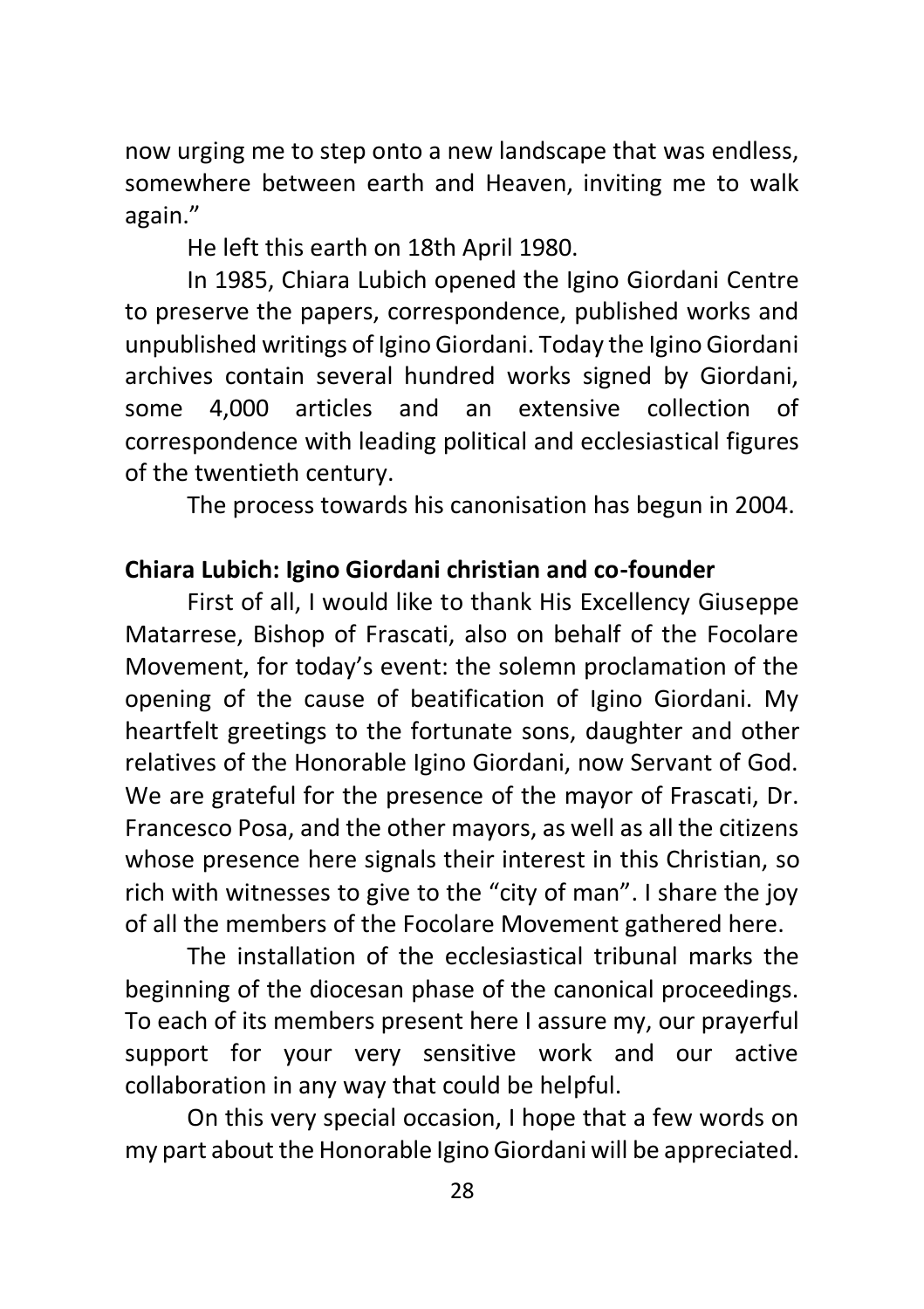now urging me to step onto a new landscape that was endless, somewhere between earth and Heaven, inviting me to walk again."

He left this earth on 18th April 1980.

In 1985, Chiara Lubich opened the Igino Giordani Centre to preserve the papers, correspondence, published works and unpublished writings of Igino Giordani. Today the Igino Giordani archives contain several hundred works signed by Giordani, some 4,000 articles and an extensive collection of correspondence with leading political and ecclesiastical figures of the twentieth century.

The process towards his canonisation has begun in 2004.

#### **Chiara Lubich: Igino Giordani christian and co-founder**

First of all, I would like to thank His Excellency Giuseppe Matarrese, Bishop of Frascati, also on behalf of the Focolare Movement, for today's event: the solemn proclamation of the opening of the cause of beatification of Igino Giordani. My heartfelt greetings to the fortunate sons, daughter and other relatives of the Honorable Igino Giordani, now Servant of God. We are grateful for the presence of the mayor of Frascati, Dr. Francesco Posa, and the other mayors, as well as all the citizens whose presence here signals their interest in this Christian, so rich with witnesses to give to the "city of man". I share the joy of all the members of the Focolare Movement gathered here.

The installation of the ecclesiastical tribunal marks the beginning of the diocesan phase of the canonical proceedings. To each of its members present here I assure my, our prayerful support for your very sensitive work and our active collaboration in any way that could be helpful.

On this very special occasion, I hope that a few words on my part about the Honorable Igino Giordani will be appreciated.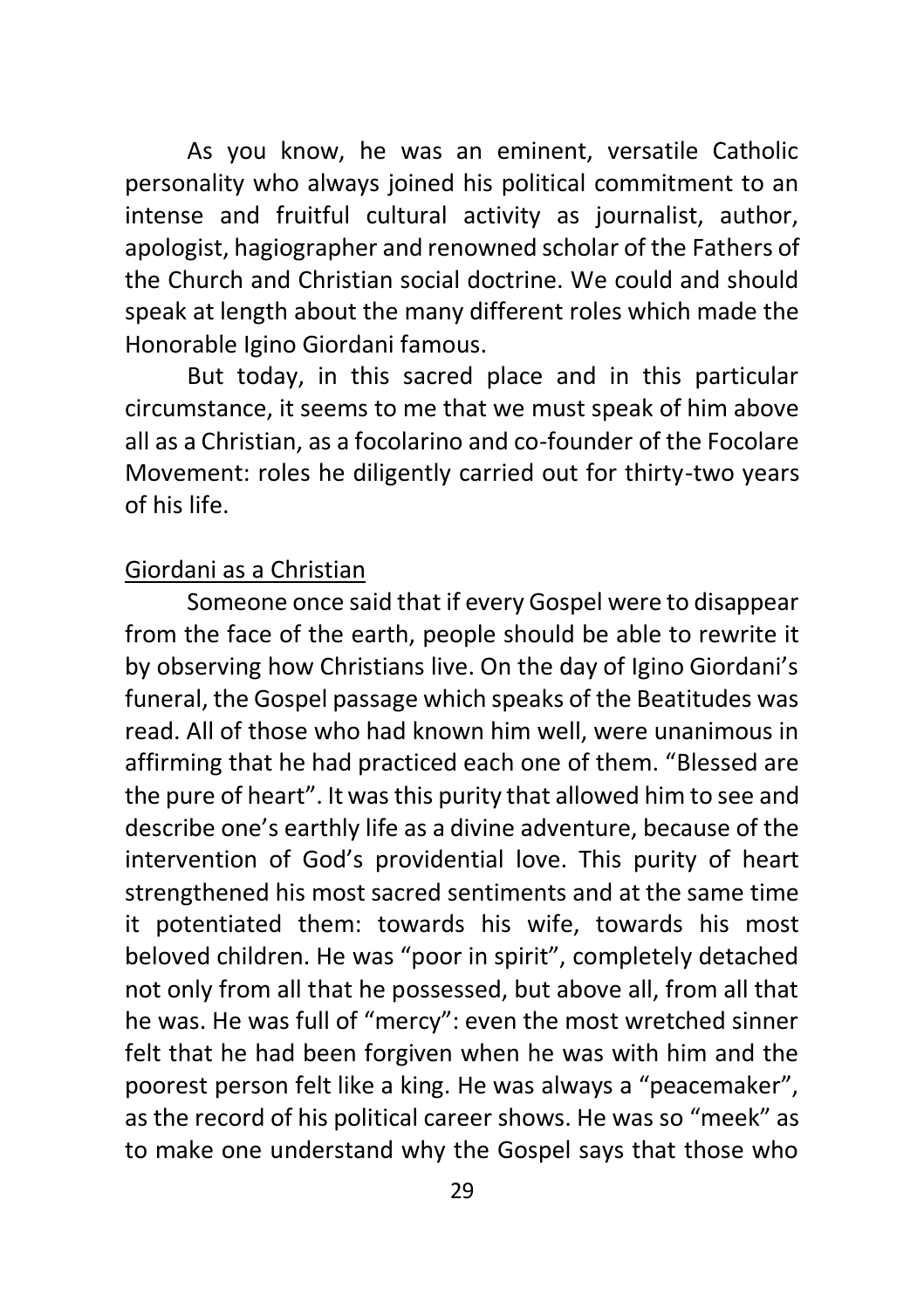As you know, he was an eminent, versatile Catholic personality who always joined his political commitment to an intense and fruitful cultural activity as journalist, author, apologist, hagiographer and renowned scholar of the Fathers of the Church and Christian social doctrine. We could and should speak at length about the many different roles which made the Honorable Igino Giordani famous.

But today, in this sacred place and in this particular circumstance, it seems to me that we must speak of him above all as a Christian, as a focolarino and co-founder of the Focolare Movement: roles he diligently carried out for thirty-two years of his life.

#### Giordani as a Christian

Someone once said that if every Gospel were to disappear from the face of the earth, people should be able to rewrite it by observing how Christians live. On the day of Igino Giordani's funeral, the Gospel passage which speaks of the Beatitudes was read. All of those who had known him well, were unanimous in affirming that he had practiced each one of them. "Blessed are the pure of heart". It was this purity that allowed him to see and describe one's earthly life as a divine adventure, because of the intervention of God's providential love. This purity of heart strengthened his most sacred sentiments and at the same time it potentiated them: towards his wife, towards his most beloved children. He was "poor in spirit", completely detached not only from all that he possessed, but above all, from all that he was. He was full of "mercy": even the most wretched sinner felt that he had been forgiven when he was with him and the poorest person felt like a king. He was always a "peacemaker", as the record of his political career shows. He was so "meek" as to make one understand why the Gospel says that those who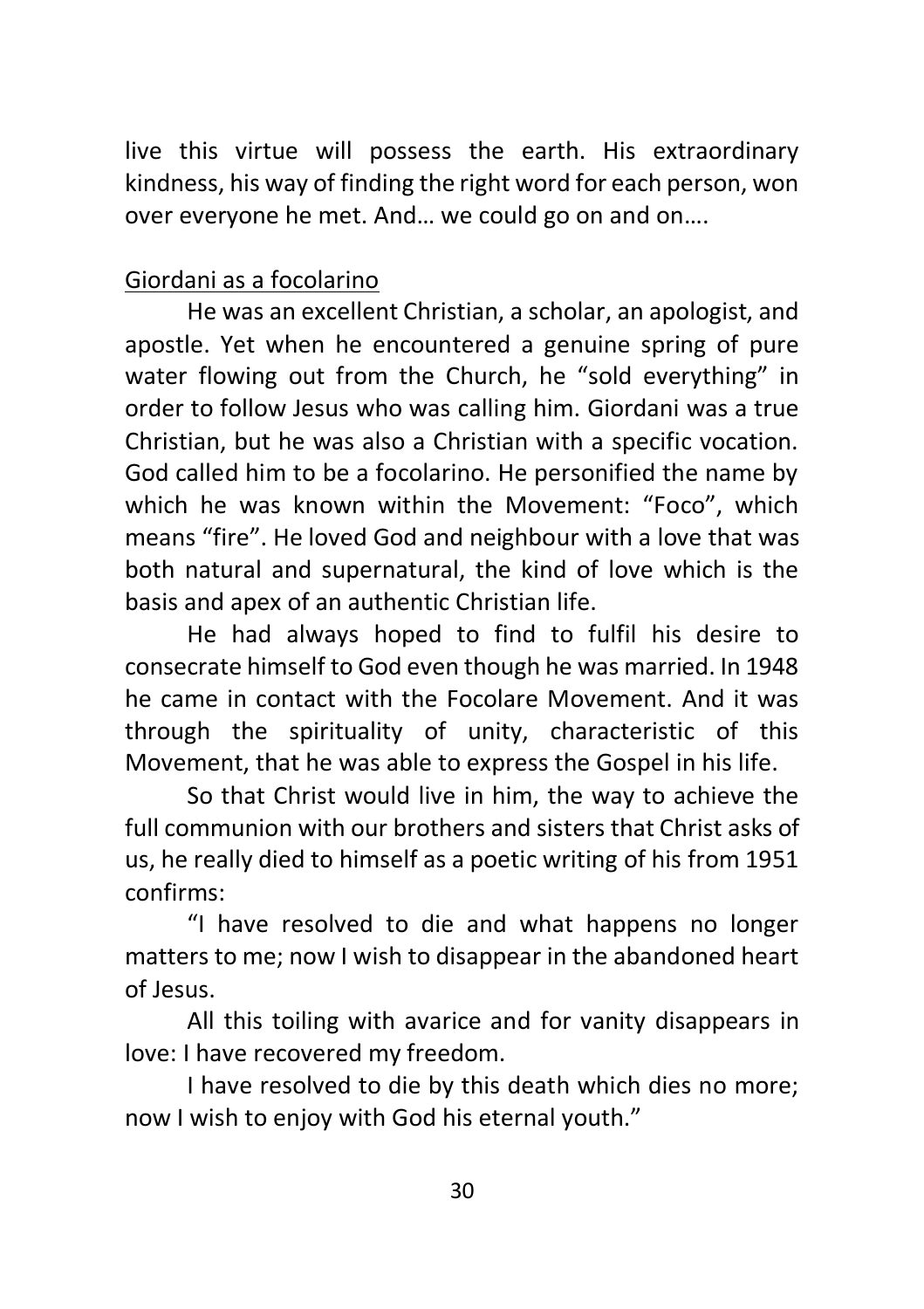live this virtue will possess the earth. His extraordinary kindness, his way of finding the right word for each person, won over everyone he met. And… we could go on and on….

## Giordani as a focolarino

He was an excellent Christian, a scholar, an apologist, and apostle. Yet when he encountered a genuine spring of pure water flowing out from the Church, he "sold everything" in order to follow Jesus who was calling him. Giordani was a true Christian, but he was also a Christian with a specific vocation. God called him to be a focolarino. He personified the name by which he was known within the Movement: "Foco", which means "fire". He loved God and neighbour with a love that was both natural and supernatural, the kind of love which is the basis and apex of an authentic Christian life.

He had always hoped to find to fulfil his desire to consecrate himself to God even though he was married. In 1948 he came in contact with the Focolare Movement. And it was through the spirituality of unity, characteristic of this Movement, that he was able to express the Gospel in his life.

So that Christ would live in him, the way to achieve the full communion with our brothers and sisters that Christ asks of us, he really died to himself as a poetic writing of his from 1951 confirms:

"I have resolved to die and what happens no longer matters to me; now I wish to disappear in the abandoned heart of Jesus.

All this toiling with avarice and for vanity disappears in love: I have recovered my freedom.

I have resolved to die by this death which dies no more; now I wish to enjoy with God his eternal youth."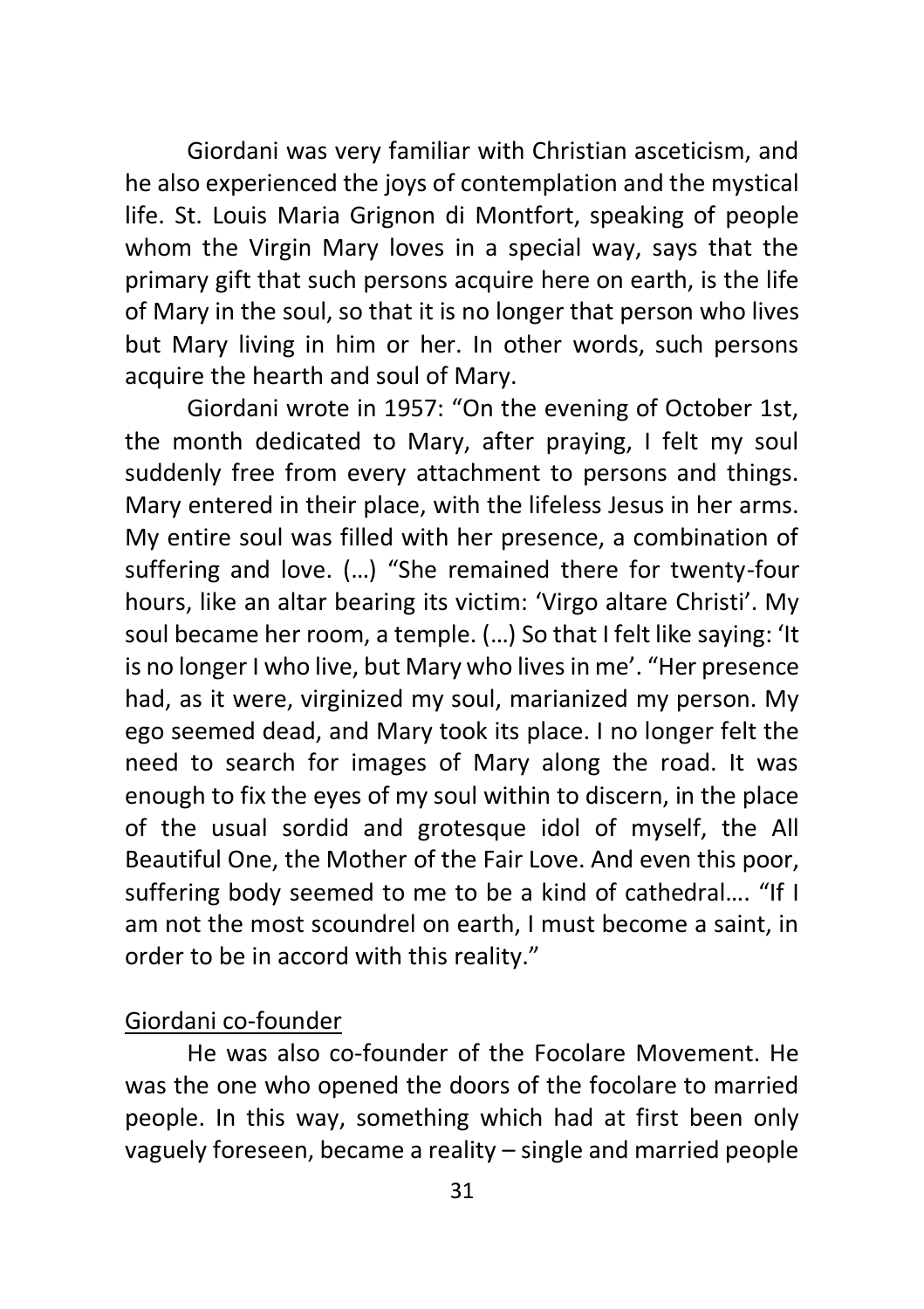Giordani was very familiar with Christian asceticism, and he also experienced the joys of contemplation and the mystical life. St. Louis Maria Grignon di Montfort, speaking of people whom the Virgin Mary loves in a special way, says that the primary gift that such persons acquire here on earth, is the life of Mary in the soul, so that it is no longer that person who lives but Mary living in him or her. In other words, such persons acquire the hearth and soul of Mary.

Giordani wrote in 1957: "On the evening of October 1st, the month dedicated to Mary, after praying, I felt my soul suddenly free from every attachment to persons and things. Mary entered in their place, with the lifeless Jesus in her arms. My entire soul was filled with her presence, a combination of suffering and love. (…) "She remained there for twenty-four hours, like an altar bearing its victim: 'Virgo altare Christi'. My soul became her room, a temple. (…) So that I felt like saying: 'It is no longer I who live, but Mary who lives in me'. "Her presence had, as it were, virginized my soul, marianized my person. My ego seemed dead, and Mary took its place. I no longer felt the need to search for images of Mary along the road. It was enough to fix the eyes of my soul within to discern, in the place of the usual sordid and grotesque idol of myself, the All Beautiful One, the Mother of the Fair Love. And even this poor, suffering body seemed to me to be a kind of cathedral…. "If I am not the most scoundrel on earth, I must become a saint, in order to be in accord with this reality."

## Giordani co-founder

He was also co-founder of the Focolare Movement. He was the one who opened the doors of the focolare to married people. In this way, something which had at first been only vaguely foreseen, became a reality – single and married people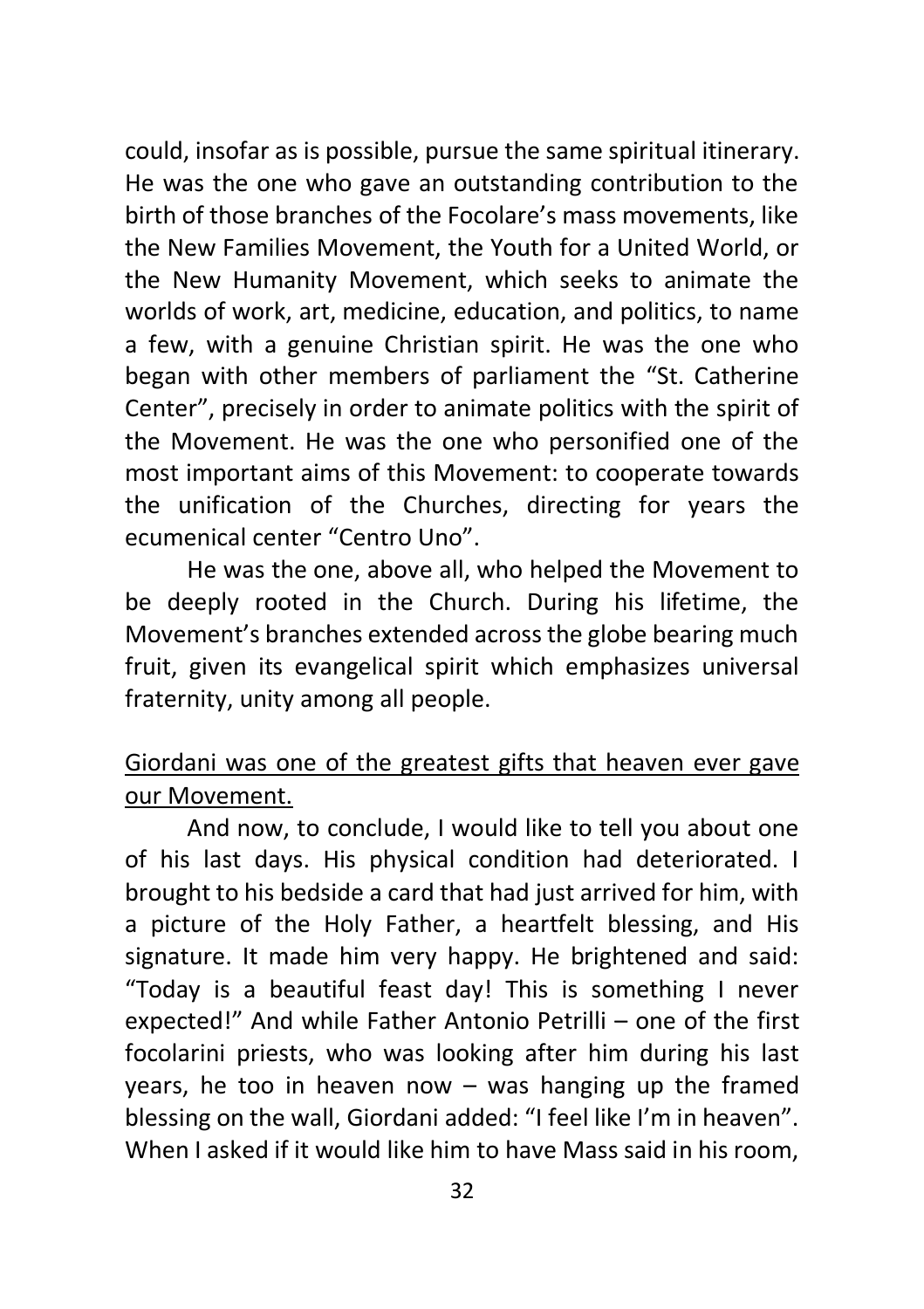could, insofar as is possible, pursue the same spiritual itinerary. He was the one who gave an outstanding contribution to the birth of those branches of the Focolare's mass movements, like the New Families Movement, the Youth for a United World, or the New Humanity Movement, which seeks to animate the worlds of work, art, medicine, education, and politics, to name a few, with a genuine Christian spirit. He was the one who began with other members of parliament the "St. Catherine Center", precisely in order to animate politics with the spirit of the Movement. He was the one who personified one of the most important aims of this Movement: to cooperate towards the unification of the Churches, directing for years the ecumenical center "Centro Uno".

He was the one, above all, who helped the Movement to be deeply rooted in the Church. During his lifetime, the Movement's branches extended across the globe bearing much fruit, given its evangelical spirit which emphasizes universal fraternity, unity among all people.

## Giordani was one of the greatest gifts that heaven ever gave our Movement.

And now, to conclude, I would like to tell you about one of his last days. His physical condition had deteriorated. I brought to his bedside a card that had just arrived for him, with a picture of the Holy Father, a heartfelt blessing, and His signature. It made him very happy. He brightened and said: "Today is a beautiful feast day! This is something I never expected!" And while Father Antonio Petrilli – one of the first focolarini priests, who was looking after him during his last years, he too in heaven now – was hanging up the framed blessing on the wall, Giordani added: "I feel like I'm in heaven". When I asked if it would like him to have Mass said in his room,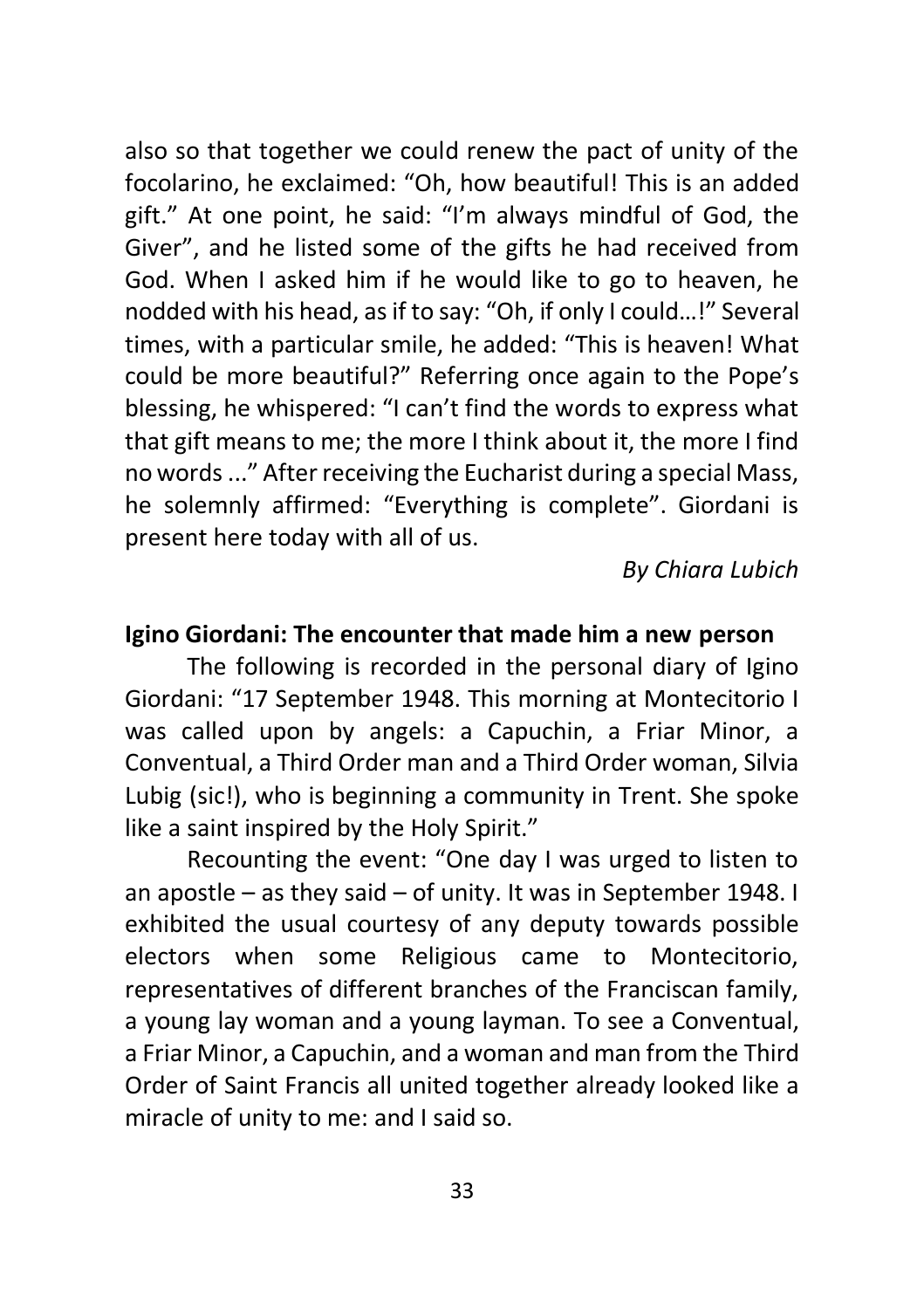also so that together we could renew the pact of unity of the focolarino, he exclaimed: "Oh, how beautiful! This is an added gift." At one point, he said: "I'm always mindful of God, the Giver", and he listed some of the gifts he had received from God. When I asked him if he would like to go to heaven, he nodded with his head, as if to say: "Oh, if only I could…!" Several times, with a particular smile, he added: "This is heaven! What could be more beautiful?" Referring once again to the Pope's blessing, he whispered: "I can't find the words to express what that gift means to me; the more I think about it, the more I find no words ..." After receiving the Eucharist during a special Mass, he solemnly affirmed: "Everything is complete". Giordani is present here today with all of us.

*By Chiara Lubich*

#### **Igino Giordani: The encounter that made him a new person**

The following is recorded in the personal diary of Igino Giordani: "17 September 1948. This morning at Montecitorio I was called upon by angels: a Capuchin, a Friar Minor, a Conventual, a Third Order man and a Third Order woman, Silvia Lubig (sic!), who is beginning a community in Trent. She spoke like a saint inspired by the Holy Spirit."

Recounting the event: "One day I was urged to listen to an apostle – as they said – of unity. It was in September 1948. I exhibited the usual courtesy of any deputy towards possible electors when some Religious came to Montecitorio, representatives of different branches of the Franciscan family, a young lay woman and a young layman. To see a Conventual, a Friar Minor, a Capuchin, and a woman and man from the Third Order of Saint Francis all united together already looked like a miracle of unity to me: and I said so.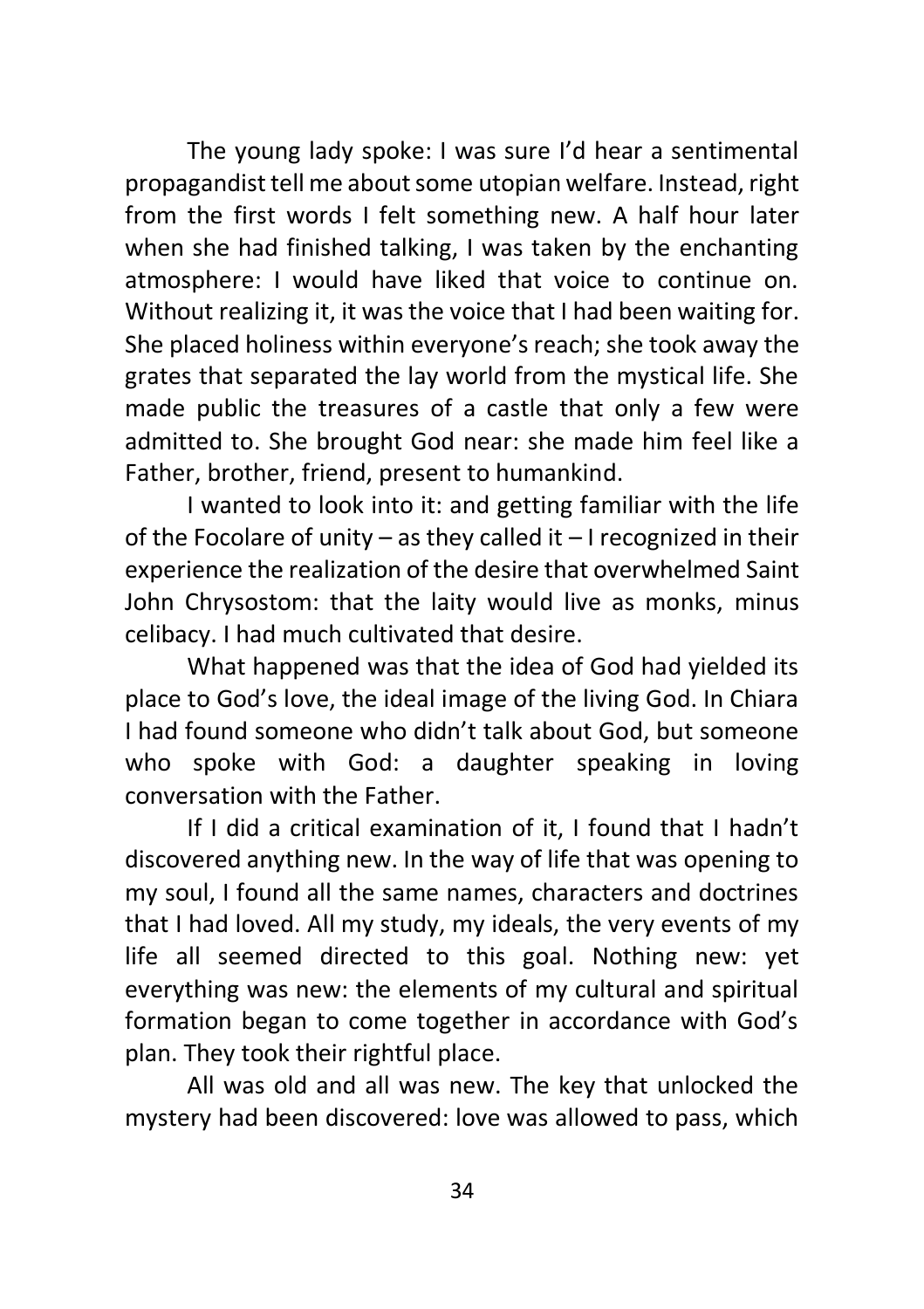The young lady spoke: I was sure I'd hear a sentimental propagandist tell me about some utopian welfare. Instead, right from the first words I felt something new. A half hour later when she had finished talking, I was taken by the enchanting atmosphere: I would have liked that voice to continue on. Without realizing it, it was the voice that I had been waiting for. She placed holiness within everyone's reach; she took away the grates that separated the lay world from the mystical life. She made public the treasures of a castle that only a few were admitted to. She brought God near: she made him feel like a Father, brother, friend, present to humankind.

I wanted to look into it: and getting familiar with the life of the Focolare of unity – as they called it – I recognized in their experience the realization of the desire that overwhelmed Saint John Chrysostom: that the laity would live as monks, minus celibacy. I had much cultivated that desire.

What happened was that the idea of God had yielded its place to God's love, the ideal image of the living God. In Chiara I had found someone who didn't talk about God, but someone who spoke with God: a daughter speaking in loving conversation with the Father.

If I did a critical examination of it, I found that I hadn't discovered anything new. In the way of life that was opening to my soul, I found all the same names, characters and doctrines that I had loved. All my study, my ideals, the very events of my life all seemed directed to this goal. Nothing new: yet everything was new: the elements of my cultural and spiritual formation began to come together in accordance with God's plan. They took their rightful place.

All was old and all was new. The key that unlocked the mystery had been discovered: love was allowed to pass, which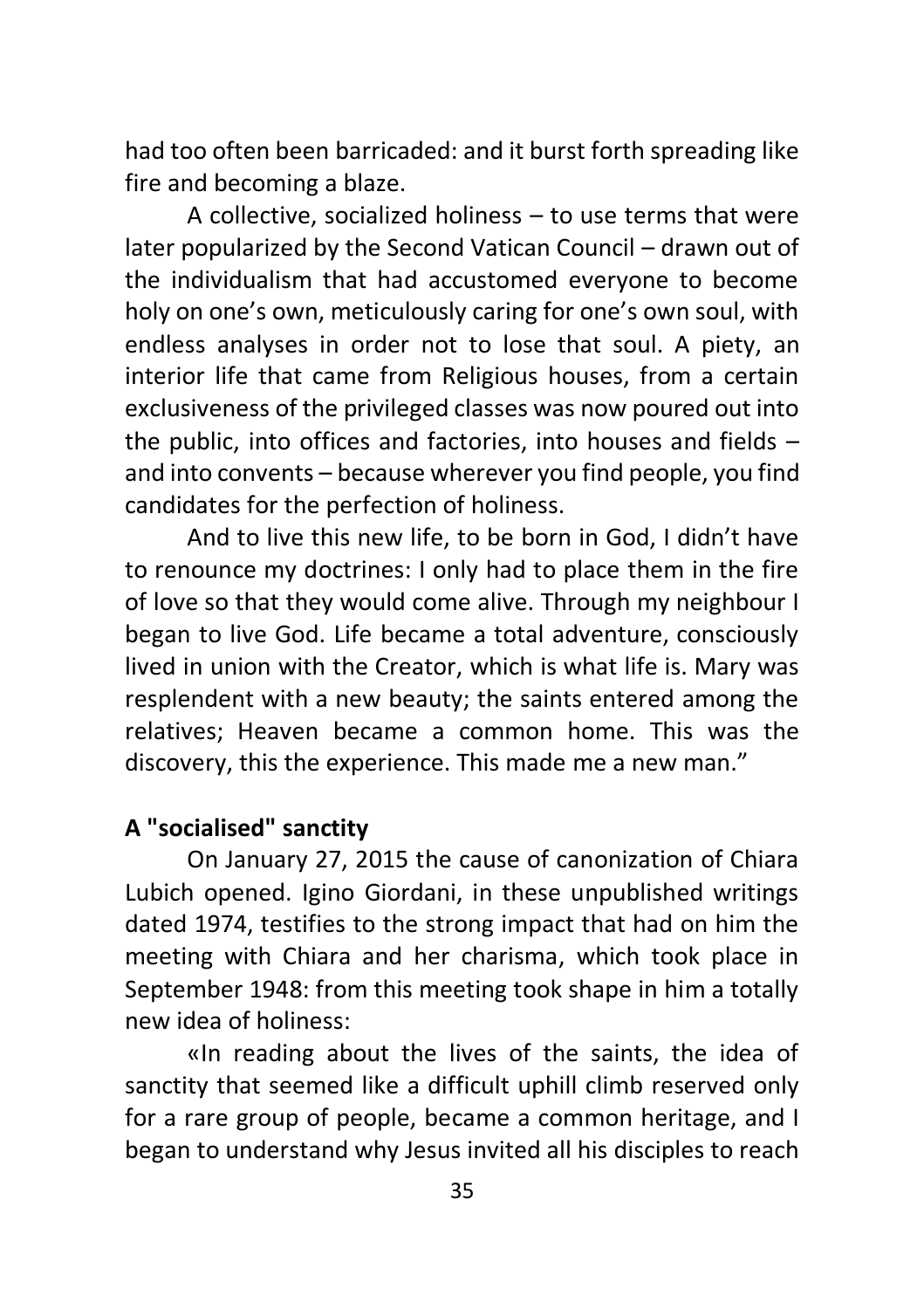had too often been barricaded: and it burst forth spreading like fire and becoming a blaze.

A collective, socialized holiness – to use terms that were later popularized by the Second Vatican Council – drawn out of the individualism that had accustomed everyone to become holy on one's own, meticulously caring for one's own soul, with endless analyses in order not to lose that soul. A piety, an interior life that came from Religious houses, from a certain exclusiveness of the privileged classes was now poured out into the public, into offices and factories, into houses and fields – and into convents – because wherever you find people, you find candidates for the perfection of holiness.

And to live this new life, to be born in God, I didn't have to renounce my doctrines: I only had to place them in the fire of love so that they would come alive. Through my neighbour I began to live God. Life became a total adventure, consciously lived in union with the Creator, which is what life is. Mary was resplendent with a new beauty; the saints entered among the relatives; Heaven became a common home. This was the discovery, this the experience. This made me a new man."

## **A "socialised" sanctity**

On January 27, 2015 the cause of canonization of Chiara Lubich opened. Igino Giordani, in these unpublished writings dated 1974, testifies to the strong impact that had on him the meeting with Chiara and her charisma, which took place in September 1948: from this meeting took shape in him a totally new idea of holiness:

«In reading about the lives of the saints, the idea of sanctity that seemed like a difficult uphill climb reserved only for a rare group of people, became a common heritage, and I began to understand why Jesus invited all his disciples to reach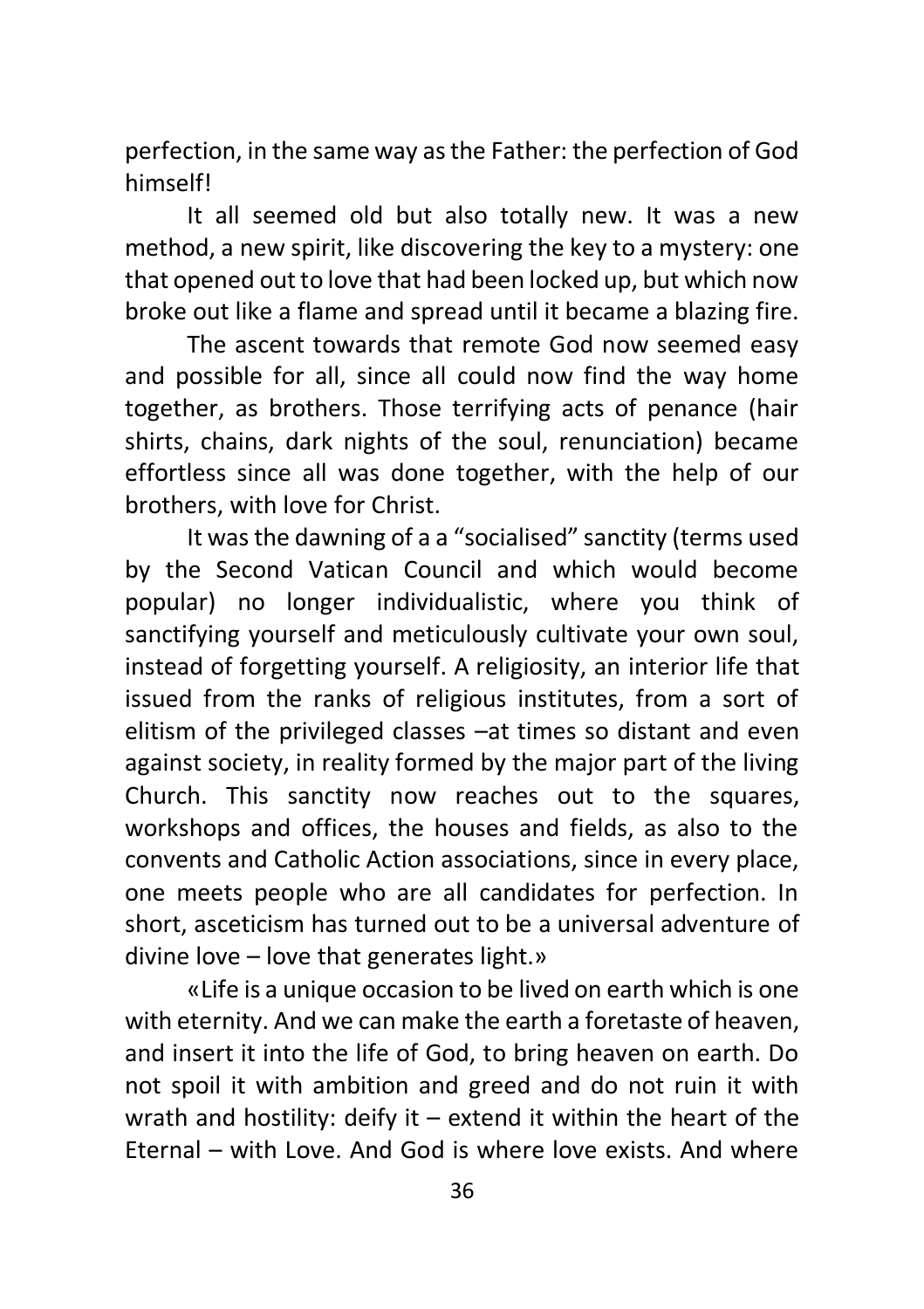perfection, in the same way as the Father: the perfection of God himself!

It all seemed old but also totally new. It was a new method, a new spirit, like discovering the key to a mystery: one that opened out to love that had been locked up, but which now broke out like a flame and spread until it became a blazing fire.

The ascent towards that remote God now seemed easy and possible for all, since all could now find the way home together, as brothers. Those terrifying acts of penance (hair shirts, chains, dark nights of the soul, renunciation) became effortless since all was done together, with the help of our brothers, with love for Christ.

It was the dawning of a a "socialised" sanctity (terms used by the Second Vatican Council and which would become popular) no longer individualistic, where you think of sanctifying yourself and meticulously cultivate your own soul, instead of forgetting yourself. A religiosity, an interior life that issued from the ranks of religious institutes, from a sort of elitism of the privileged classes –at times so distant and even against society, in reality formed by the major part of the living Church. This sanctity now reaches out to the squares, workshops and offices, the houses and fields, as also to the convents and Catholic Action associations, since in every place, one meets people who are all candidates for perfection. In short, asceticism has turned out to be a universal adventure of divine love – love that generates light.»

«Life is a unique occasion to be lived on earth which is one with eternity. And we can make the earth a foretaste of heaven, and insert it into the life of God, to bring heaven on earth. Do not spoil it with ambition and greed and do not ruin it with wrath and hostility: deify it – extend it within the heart of the Eternal – with Love. And God is where love exists. And where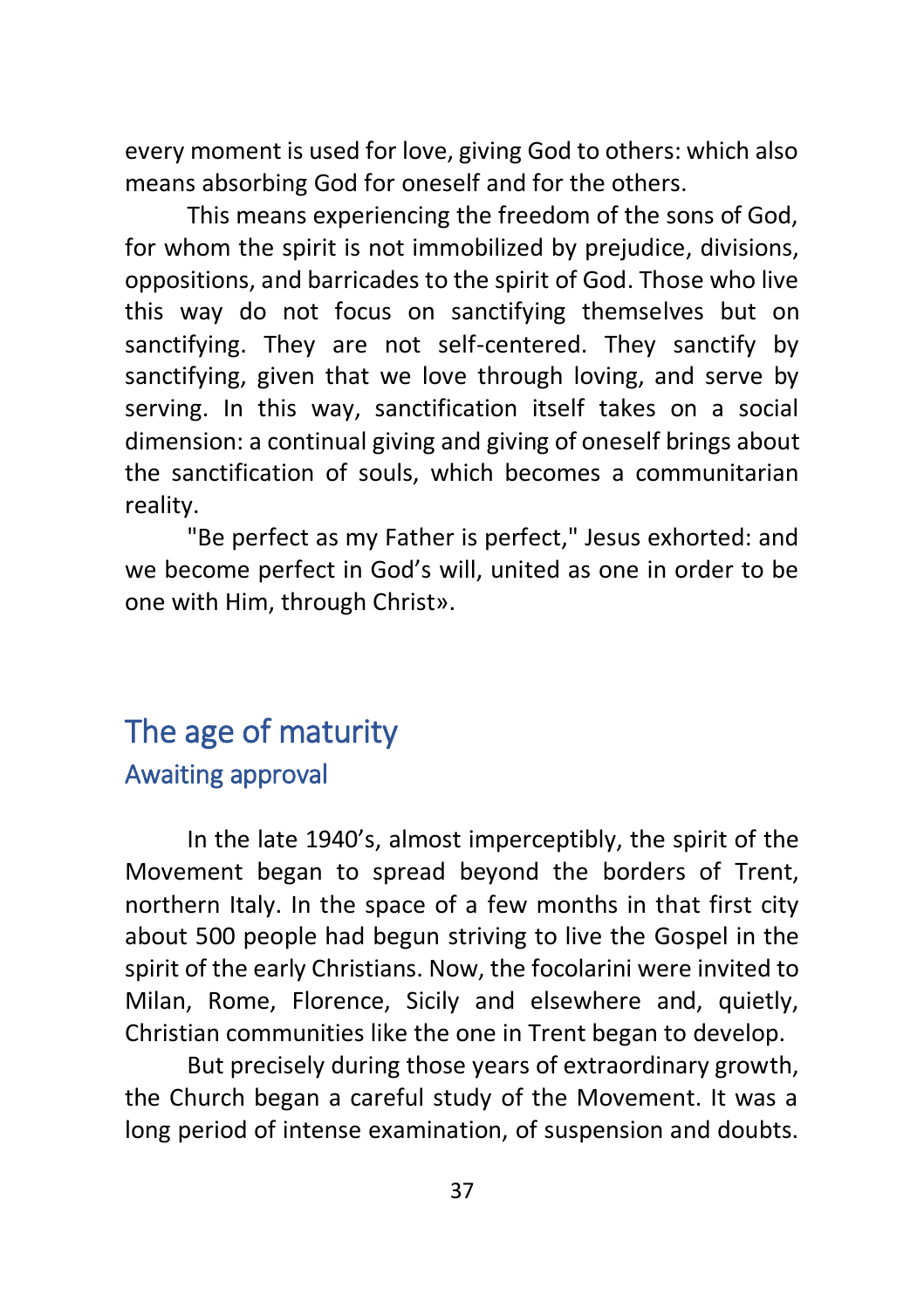every moment is used for love, giving God to others: which also means absorbing God for oneself and for the others.

This means experiencing the freedom of the sons of God, for whom the spirit is not immobilized by prejudice, divisions, oppositions, and barricades to the spirit of God. Those who live this way do not focus on sanctifying themselves but on sanctifying. They are not self-centered. They sanctify by sanctifying, given that we love through loving, and serve by serving. In this way, sanctification itself takes on a social dimension: a continual giving and giving of oneself brings about the sanctification of souls, which becomes a communitarian reality.

"Be perfect as my Father is perfect," Jesus exhorted: and we become perfect in God's will, united as one in order to be one with Him, through Christ».

# <span id="page-36-1"></span><span id="page-36-0"></span>The age of maturity Awaiting approval

In the late 1940's, almost imperceptibly, the spirit of the Movement began to spread beyond the borders of Trent, northern Italy. In the space of a few months in that first city about 500 people had begun striving to live the Gospel in the spirit of the early Christians. Now, the focolarini were invited to Milan, Rome, Florence, Sicily and elsewhere and, quietly, Christian communities like the one in Trent began to develop.

But precisely during those years of extraordinary growth, the Church began a careful study of the Movement. It was a long period of intense examination, of suspension and doubts.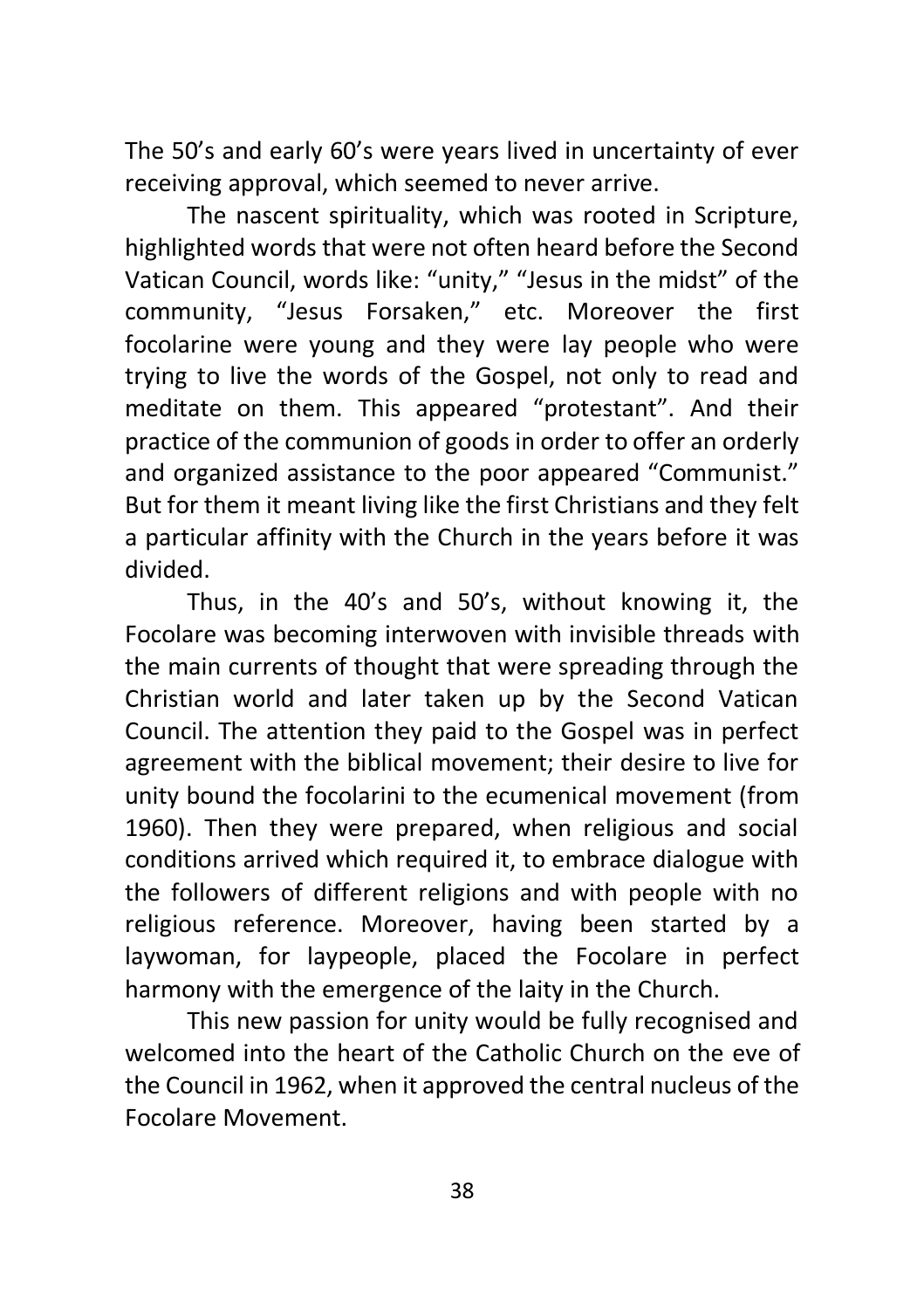The 50's and early 60's were years lived in uncertainty of ever receiving approval, which seemed to never arrive.

The nascent spirituality, which was rooted in Scripture, highlighted words that were not often heard before the Second Vatican Council, words like: "unity," "Jesus in the midst" of the community, "Jesus Forsaken," etc. Moreover the first focolarine were young and they were lay people who were trying to live the words of the Gospel, not only to read and meditate on them. This appeared "protestant". And their practice of the communion of goods in order to offer an orderly and organized assistance to the poor appeared "Communist." But for them it meant living like the first Christians and they felt a particular affinity with the Church in the years before it was divided.

Thus, in the 40's and 50's, without knowing it, the Focolare was becoming interwoven with invisible threads with the main currents of thought that were spreading through the Christian world and later taken up by the Second Vatican Council. The attention they paid to the Gospel was in perfect agreement with the biblical movement; their desire to live for unity bound the focolarini to the ecumenical movement (from 1960). Then they were prepared, when religious and social conditions arrived which required it, to embrace dialogue with the followers of different religions and with people with no religious reference. Moreover, having been started by a laywoman, for laypeople, placed the Focolare in perfect harmony with the emergence of the laity in the Church.

This new passion for unity would be fully recognised and welcomed into the heart of the Catholic Church on the eve of the Council in 1962, when it approved the central nucleus of the Focolare Movement.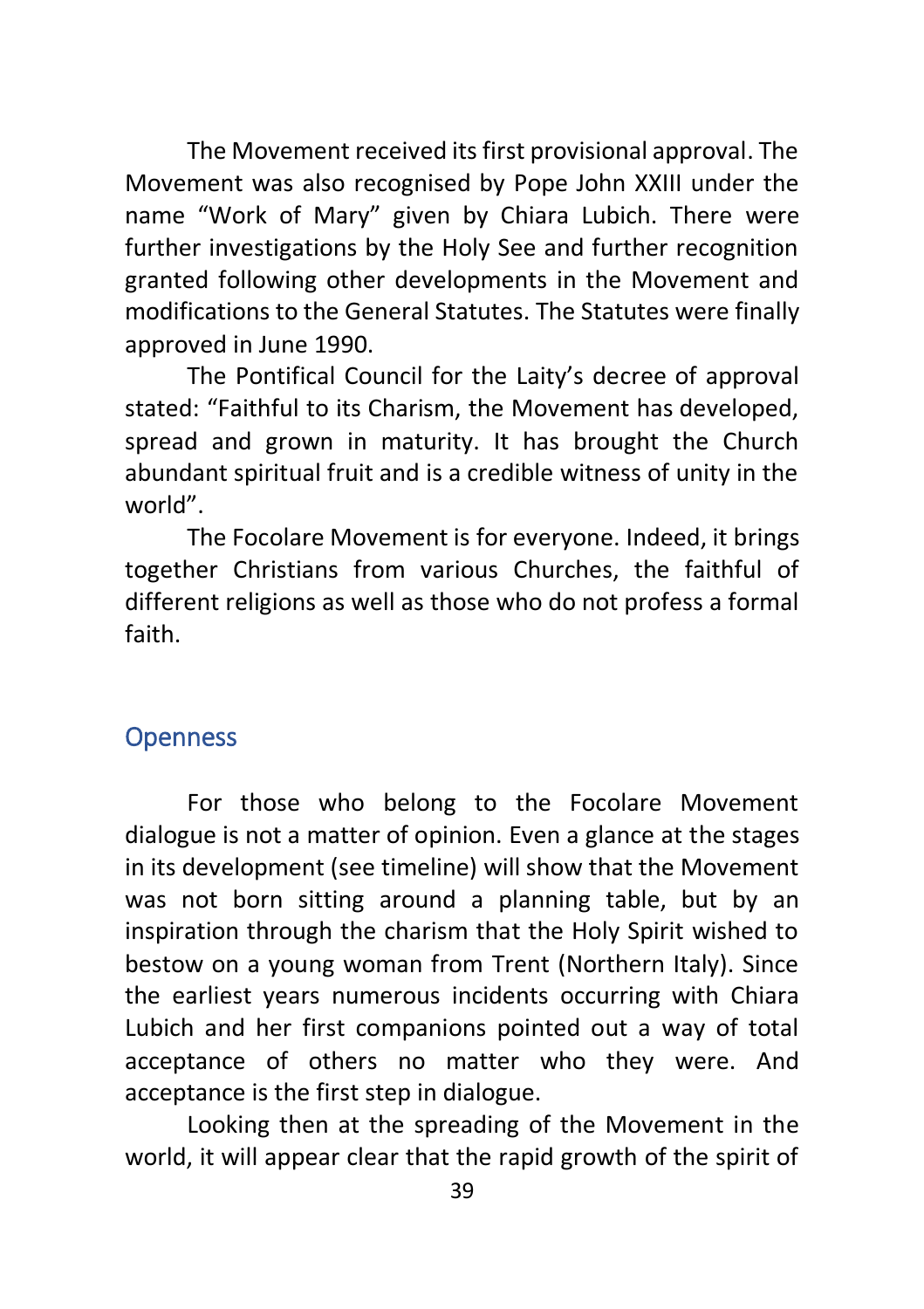The Movement received its first provisional approval. The Movement was also recognised by Pope John XXIII under the name "Work of Mary" given by Chiara Lubich. There were further investigations by the Holy See and further recognition granted following other developments in the Movement and modifications to the General Statutes. The Statutes were finally approved in June 1990.

The Pontifical Council for the Laity's decree of approval stated: "Faithful to its Charism, the Movement has developed, spread and grown in maturity. It has brought the Church abundant spiritual fruit and is a credible witness of unity in the world".

The Focolare Movement is for everyone. Indeed, it brings together Christians from various Churches, the faithful of different religions as well as those who do not profess a formal faith.

# <span id="page-38-0"></span>**Openness**

For those who belong to the Focolare Movement dialogue is not a matter of opinion. Even a glance at the stages in its development (see timeline) will show that the Movement was not born sitting around a planning table, but by an inspiration through the charism that the Holy Spirit wished to bestow on a young woman from Trent (Northern Italy). Since the earliest years numerous incidents occurring with Chiara Lubich and her first companions pointed out a way of total acceptance of others no matter who they were. And acceptance is the first step in dialogue.

Looking then at the spreading of the Movement in the world, it will appear clear that the rapid growth of the spirit of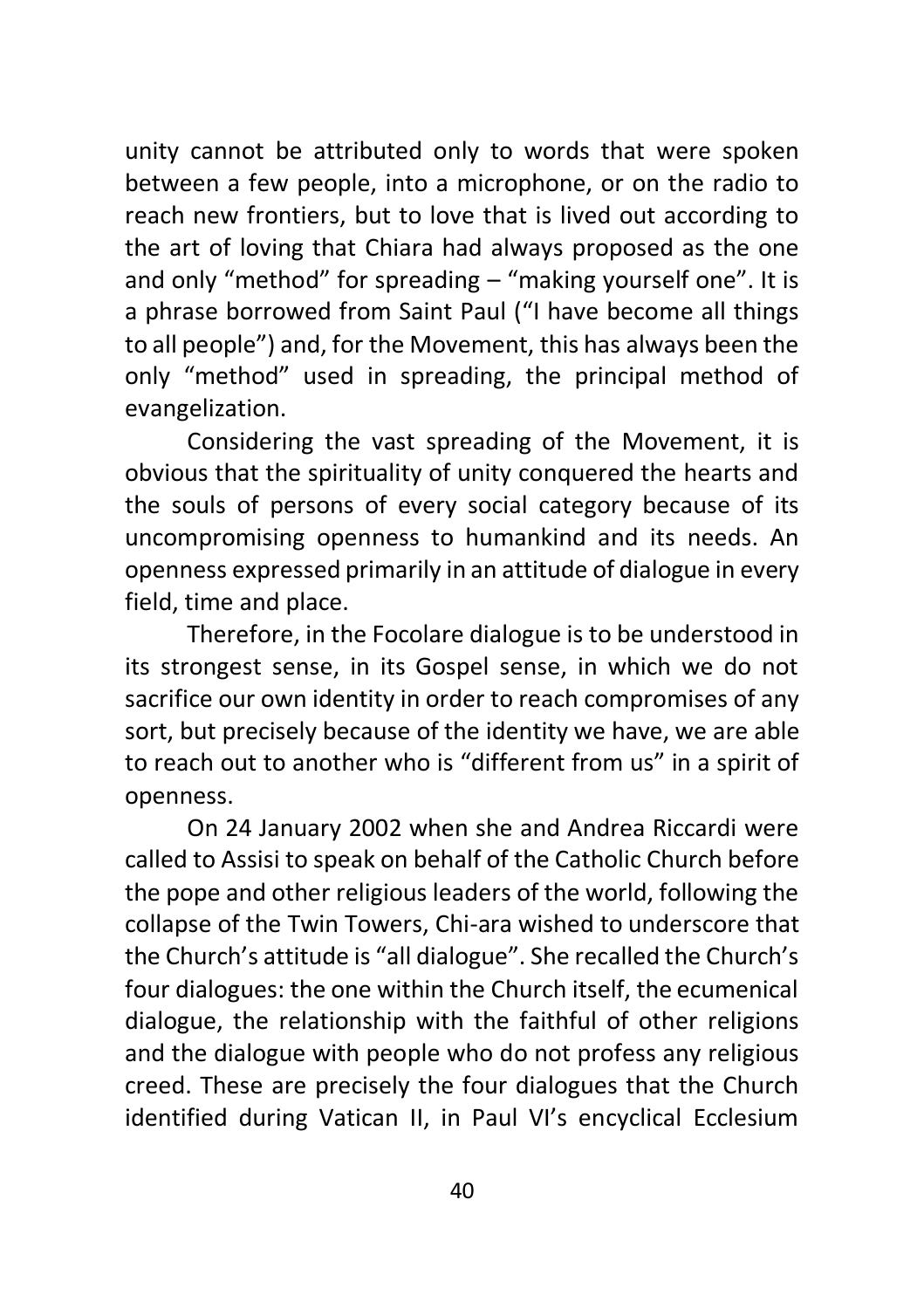unity cannot be attributed only to words that were spoken between a few people, into a microphone, or on the radio to reach new frontiers, but to love that is lived out according to the art of loving that Chiara had always proposed as the one and only "method" for spreading – "making yourself one". It is a phrase borrowed from Saint Paul ("I have become all things to all people") and, for the Movement, this has always been the only "method" used in spreading, the principal method of evangelization.

Considering the vast spreading of the Movement, it is obvious that the spirituality of unity conquered the hearts and the souls of persons of every social category because of its uncompromising openness to humankind and its needs. An openness expressed primarily in an attitude of dialogue in every field, time and place.

Therefore, in the Focolare dialogue is to be understood in its strongest sense, in its Gospel sense, in which we do not sacrifice our own identity in order to reach compromises of any sort, but precisely because of the identity we have, we are able to reach out to another who is "different from us" in a spirit of openness.

On 24 January 2002 when she and Andrea Riccardi were called to Assisi to speak on behalf of the Catholic Church before the pope and other religious leaders of the world, following the collapse of the Twin Towers, Chi-ara wished to underscore that the Church's attitude is "all dialogue". She recalled the Church's four dialogues: the one within the Church itself, the ecumenical dialogue, the relationship with the faithful of other religions and the dialogue with people who do not profess any religious creed. These are precisely the four dialogues that the Church identified during Vatican II, in Paul VI's encyclical Ecclesium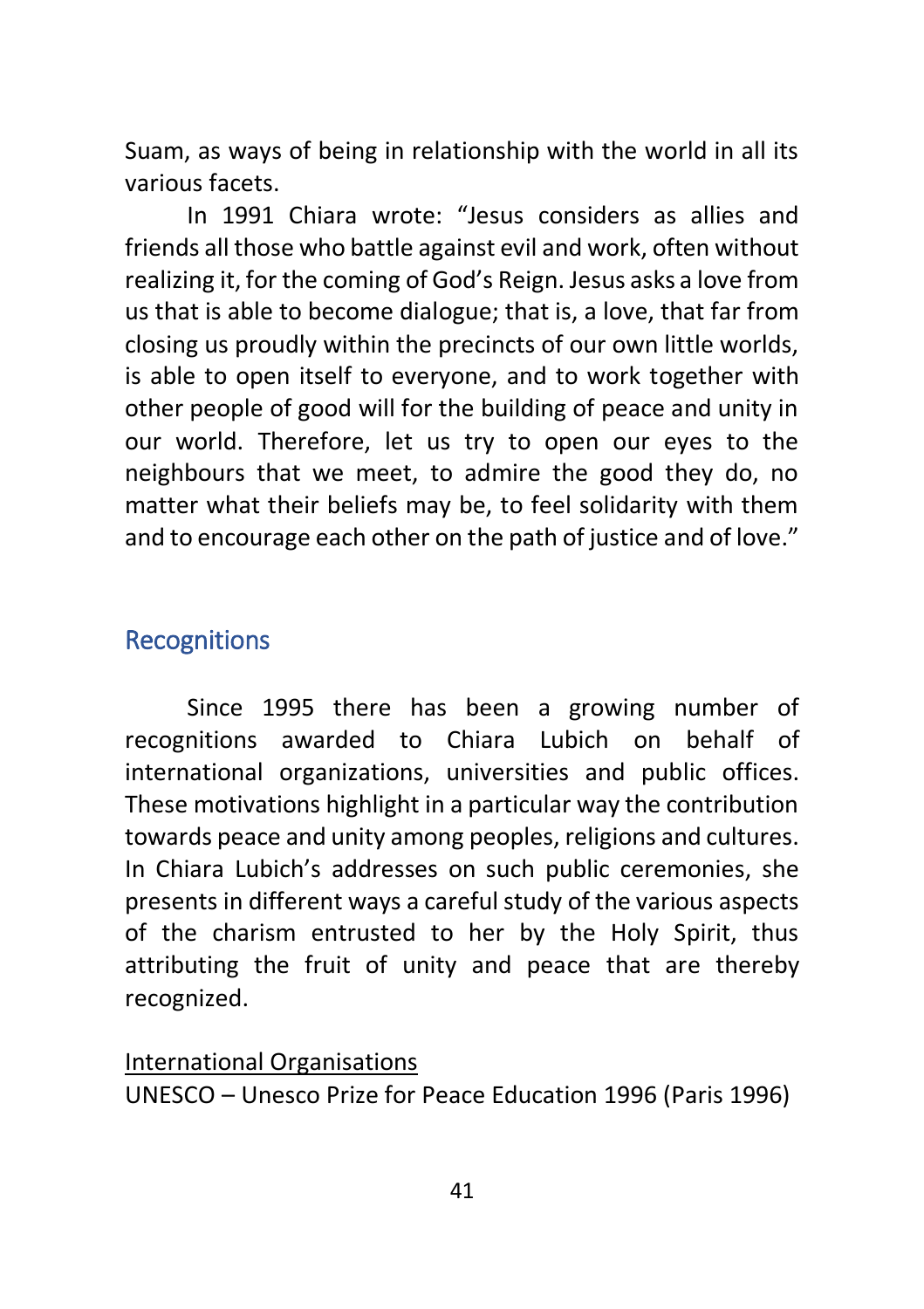Suam, as ways of being in relationship with the world in all its various facets.

In 1991 Chiara wrote: "Jesus considers as allies and friends all those who battle against evil and work, often without realizing it, for the coming of God's Reign. Jesus asks a love from us that is able to become dialogue; that is, a love, that far from closing us proudly within the precincts of our own little worlds, is able to open itself to everyone, and to work together with other people of good will for the building of peace and unity in our world. Therefore, let us try to open our eyes to the neighbours that we meet, to admire the good they do, no matter what their beliefs may be, to feel solidarity with them and to encourage each other on the path of justice and of love."

# <span id="page-40-0"></span>**Recognitions**

Since 1995 there has been a growing number of recognitions awarded to [Chiara Lubich](https://www.focolare.org/en/chiara-lubich/) on behalf of international organizations, universities and public offices. These motivations highlight in a particular way the contribution towards peace and unity among peoples, religions and cultures. In Chiara Lubich's addresses on such public ceremonies, she presents in different ways a careful study of the various aspects of the charism entrusted to her by the Holy Spirit, thus attributing the fruit of unity and peace that are thereby recognized.

#### International Organisations

UNESCO – Unesco Prize for Peace Education 1996 (Paris 1996)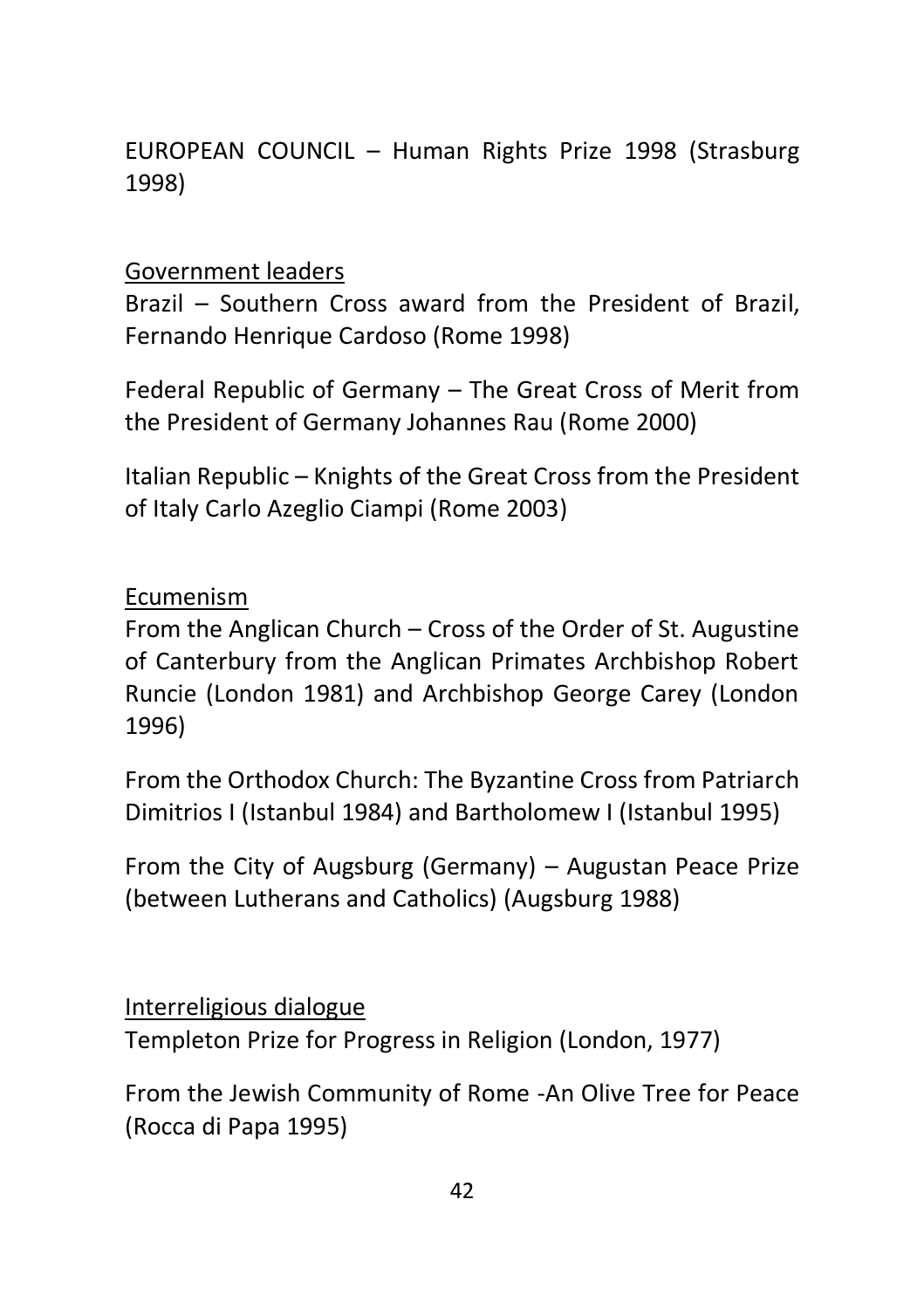EUROPEAN COUNCIL – Human Rights Prize 1998 (Strasburg 1998)

Government leaders

Brazil – Southern Cross award from the President of Brazil, Fernando Henrique Cardoso (Rome 1998)

Federal Republic of Germany – The Great Cross of Merit from the President of Germany Johannes Rau (Rome 2000)

Italian Republic – Knights of the Great Cross from the President of Italy Carlo Azeglio Ciampi (Rome 2003)

Ecumenism

From the Anglican Church – Cross of the Order of St. Augustine of Canterbury from the Anglican Primates Archbishop Robert Runcie (London 1981) and Archbishop George Carey (London 1996)

From the Orthodox Church: The Byzantine Cross from Patriarch Dimitrios I (Istanbul 1984) and Bartholomew I (Istanbul 1995)

From the City of Augsburg (Germany) – Augustan Peace Prize (between Lutherans and Catholics) (Augsburg 1988)

Interreligious dialogue

Templeton Prize for Progress in Religion (London, 1977)

From the Jewish Community of Rome -An Olive Tree for Peace (Rocca di Papa 1995)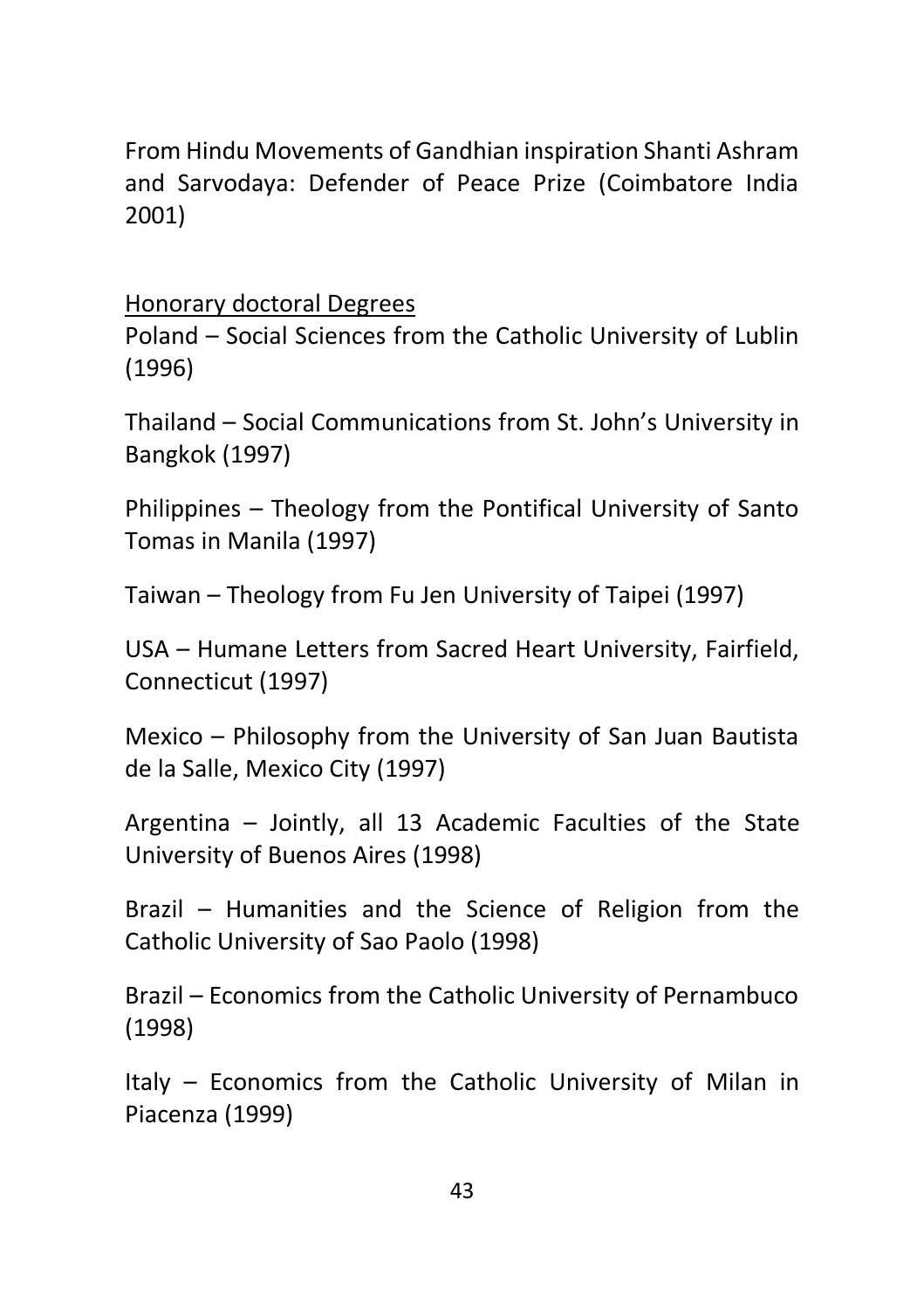From Hindu Movements of Gandhian inspiration Shanti Ashram and Sarvodaya: Defender of Peace Prize (Coimbatore India 2001)

Honorary doctoral Degrees

Poland – Social Sciences from the Catholic University of Lublin (1996)

Thailand – Social Communications from St. John's University in Bangkok (1997)

Philippines – Theology from the Pontifical University of Santo Tomas in Manila (1997)

Taiwan – Theology from Fu Jen University of Taipei (1997)

USA – Humane Letters from Sacred Heart University, Fairfield, Connecticut (1997)

Mexico – Philosophy from the University of San Juan Bautista de la Salle, Mexico City (1997)

Argentina – Jointly, all 13 Academic Faculties of the State University of Buenos Aires (1998)

Brazil – Humanities and the Science of Religion from the Catholic University of Sao Paolo (1998)

Brazil – Economics from the Catholic University of Pernambuco (1998)

Italy – Economics from the Catholic University of Milan in Piacenza (1999)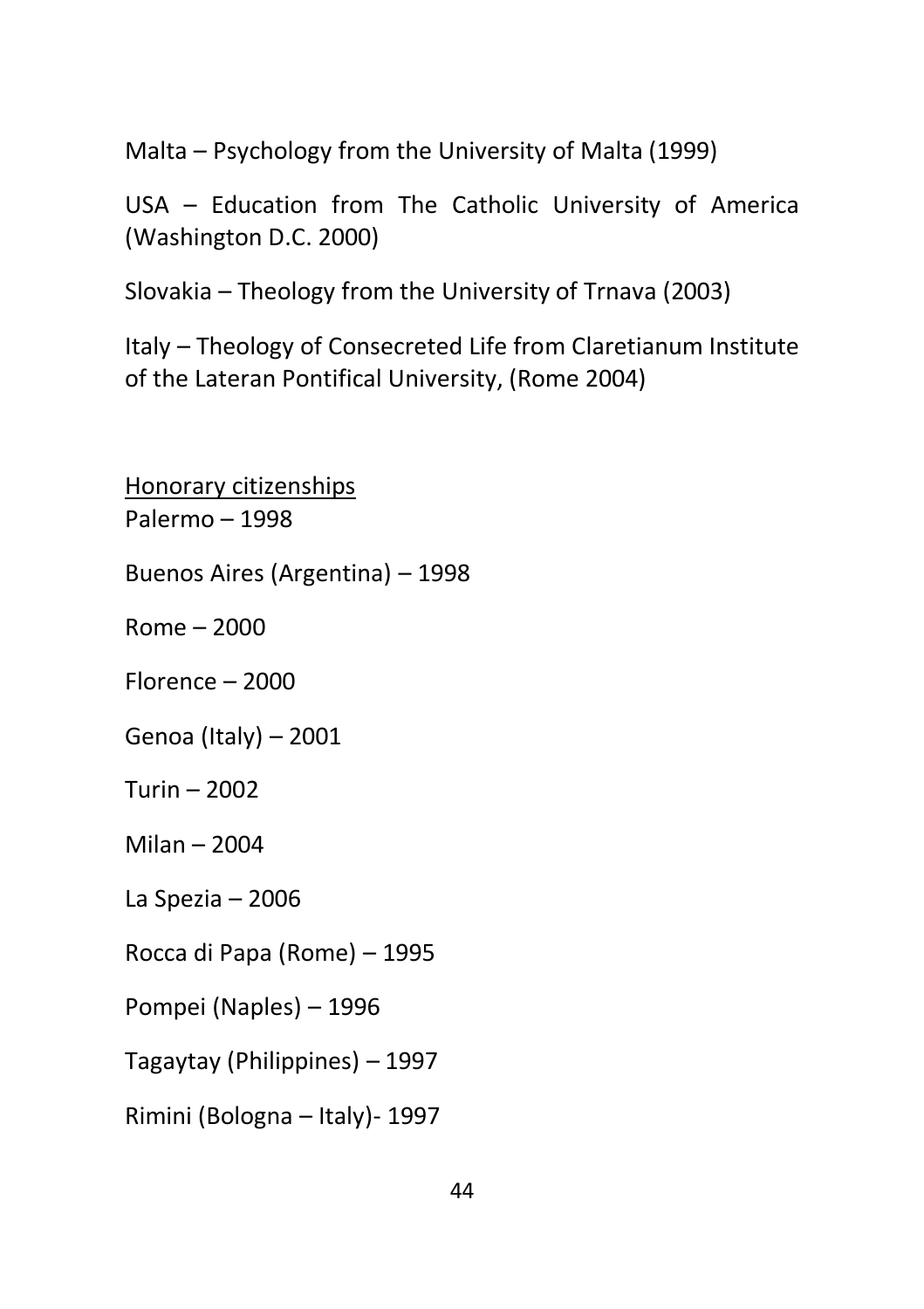Malta – Psychology from the University of Malta (1999)

USA – Education from The Catholic University of America (Washington D.C. 2000)

Slovakia – Theology from the University of Trnava (2003)

Italy – Theology of Consecreted Life from Claretianum Institute of the Lateran Pontifical University, (Rome 2004)

Honorary citizenships Palermo – 1998 Buenos Aires (Argentina) – 1998 Rome – 2000 Florence – 2000 Genoa (Italy) – 2001 Turin – 2002 Milan – 2004 La Spezia – 2006 Rocca di Papa (Rome) – 1995 Pompei (Naples) – 1996 Tagaytay (Philippines) – 1997 Rimini (Bologna – Italy)- 1997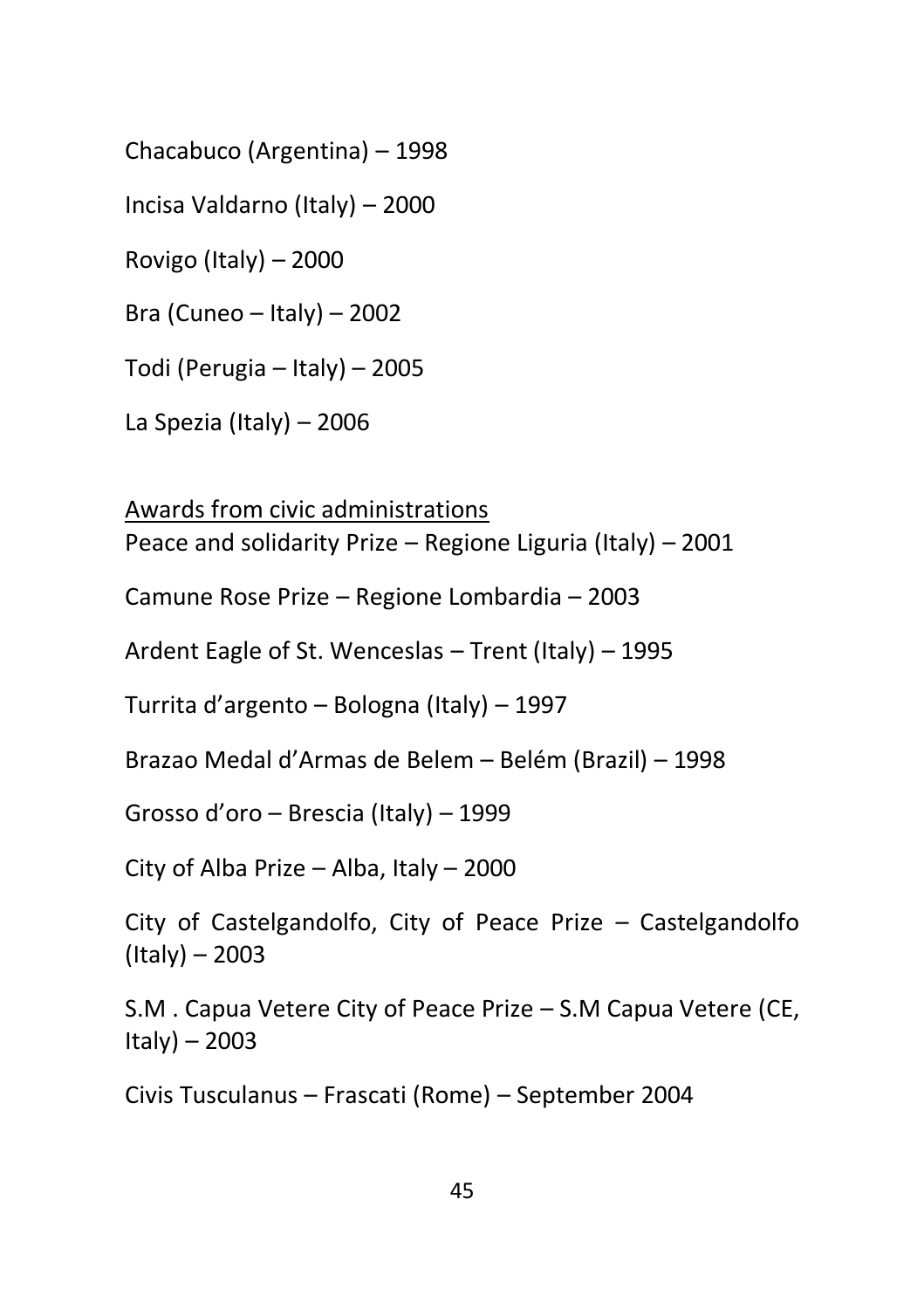Chacabuco (Argentina) – 1998

Incisa Valdarno (Italy) – 2000

Rovigo (Italy) – 2000

Bra (Cuneo – Italy) – 2002

Todi (Perugia – Italy) – 2005

La Spezia (Italy) – 2006

Awards from civic administrations Peace and solidarity Prize – Regione Liguria (Italy) – 2001

Camune Rose Prize – Regione Lombardia – 2003

Ardent Eagle of St. Wenceslas – Trent (Italy) – 1995

Turrita d'argento – Bologna (Italy) – 1997

Brazao Medal d'Armas de Belem – Belém (Brazil) – 1998

Grosso d'oro – Brescia (Italy) – 1999

City of Alba Prize – Alba, Italy – 2000

City of Castelgandolfo, City of Peace Prize – Castelgandolfo (Italy) – 2003

S.M . Capua Vetere City of Peace Prize – S.M Capua Vetere (CE, Italy) – 2003

Civis Tusculanus – Frascati (Rome) – September 2004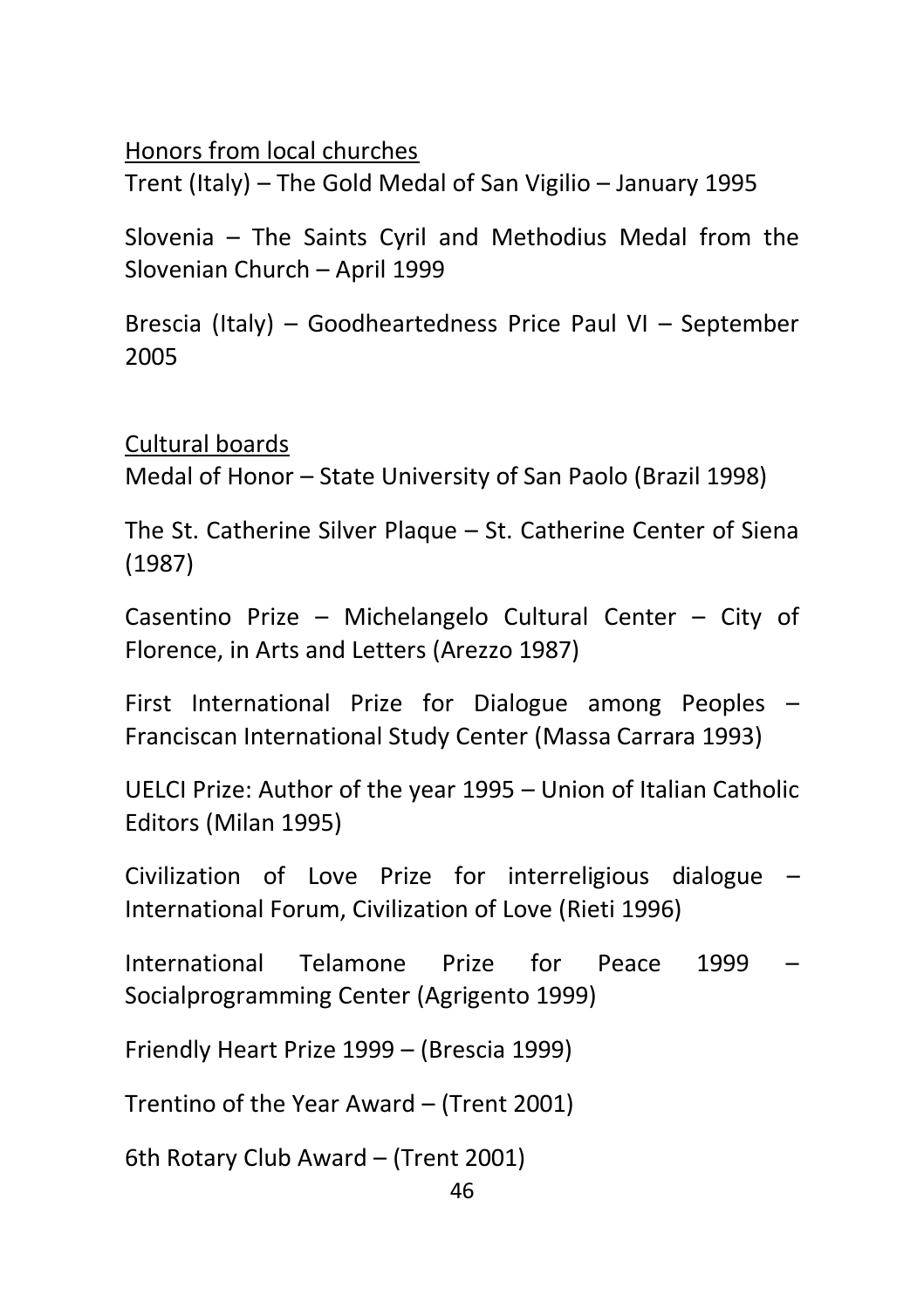Honors from local churches

Trent (Italy) – The Gold Medal of San Vigilio – January 1995

Slovenia – The Saints Cyril and Methodius Medal from the Slovenian Church – April 1999

Brescia (Italy) – Goodheartedness Price Paul VI – September 2005

Cultural boards Medal of Honor – State University of San Paolo (Brazil 1998)

The St. Catherine Silver Plaque – St. Catherine Center of Siena (1987)

Casentino Prize – Michelangelo Cultural Center – City of Florence, in Arts and Letters (Arezzo 1987)

First International Prize for Dialogue among Peoples – Franciscan International Study Center (Massa Carrara 1993)

UELCI Prize: Author of the year 1995 – Union of Italian Catholic Editors (Milan 1995)

Civilization of Love Prize for interreligious dialogue – International Forum, Civilization of Love (Rieti 1996)

International Telamone Prize for Peace 1999 – Socialprogramming Center (Agrigento 1999)

Friendly Heart Prize 1999 – (Brescia 1999)

Trentino of the Year Award – (Trent 2001)

6th Rotary Club Award – (Trent 2001)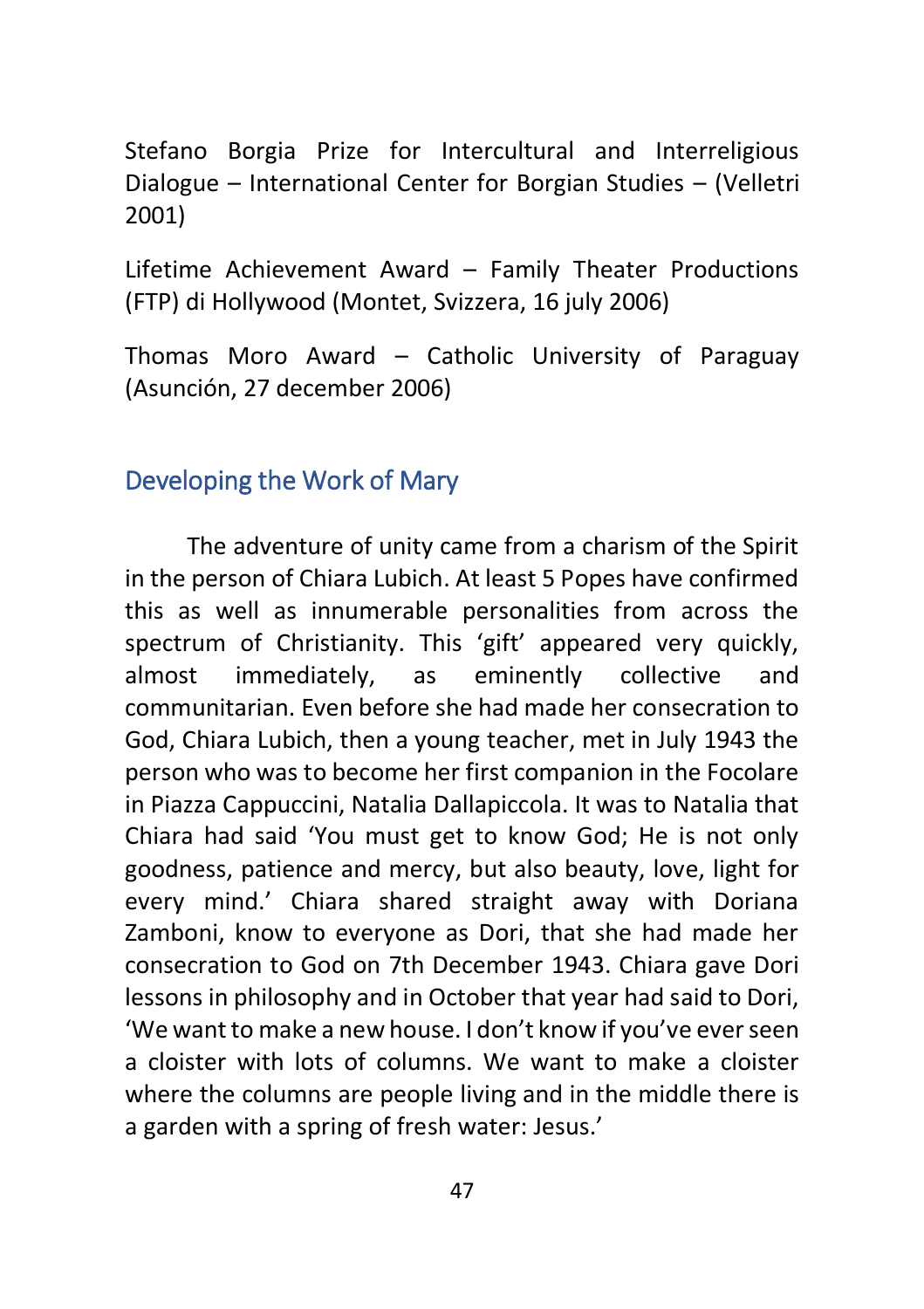Stefano Borgia Prize for Intercultural and Interreligious Dialogue – International Center for Borgian Studies – (Velletri 2001)

Lifetime Achievement Award – Family Theater Productions (FTP) di Hollywood (Montet, Svizzera, 16 july 2006)

Thomas Moro Award – Catholic University of Paraguay (Asunción, 27 december 2006)

## <span id="page-46-0"></span>Developing the Work of Mary

The adventure of unity came from a charism of the Spirit in the person of Chiara Lubich. At least 5 Popes have confirmed this as well as innumerable personalities from across the spectrum of Christianity. This 'gift' appeared very quickly, almost immediately, as eminently collective and communitarian. Even before she had made her consecration to God, Chiara Lubich, then a young teacher, met in July 1943 the person who was to become her first companion in the Focolare in Piazza Cappuccini, Natalia Dallapiccola. It was to Natalia that Chiara had said 'You must get to know God; He is not only goodness, patience and mercy, but also beauty, love, light for every mind.' Chiara shared straight away with Doriana Zamboni, know to everyone as Dori, that she had made her consecration to God on 7th December 1943. Chiara gave Dori lessons in philosophy and in October that year had said to Dori, 'We want to make a new house. I don't know if you've ever seen a cloister with lots of columns. We want to make a cloister where the columns are people living and in the middle there is a garden with a spring of fresh water: Jesus.'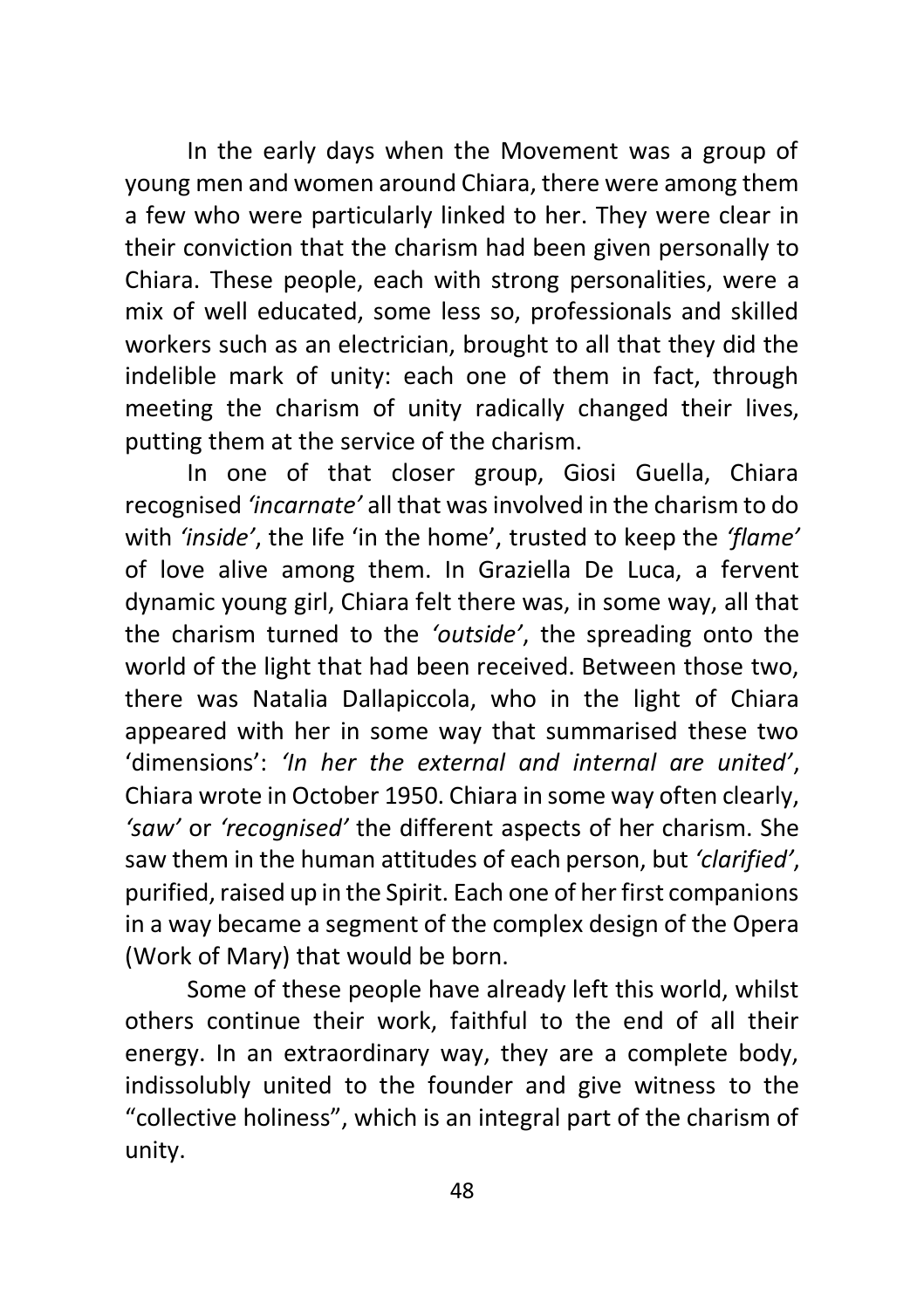In the early days when the Movement was a group of young men and women around Chiara, there were among them a few who were particularly linked to her. They were clear in their conviction that the charism had been given personally to Chiara. These people, each with strong personalities, were a mix of well educated, some less so, professionals and skilled workers such as an electrician, brought to all that they did the indelible mark of unity: each one of them in fact, through meeting the charism of unity radically changed their lives, putting them at the service of the charism.

In one of that closer group, Giosi Guella, Chiara recognised *'incarnate'* all that was involved in the charism to do with *'inside'*, the life 'in the home', trusted to keep the *'flame'* of love alive among them. In Graziella De Luca, a fervent dynamic young girl, Chiara felt there was, in some way, all that the charism turned to the *'outside'*, the spreading onto the world of the light that had been received. Between those two, there was Natalia Dallapiccola, who in the light of Chiara appeared with her in some way that summarised these two 'dimensions': *'In her the external and internal are united'*, Chiara wrote in October 1950. Chiara in some way often clearly, *'saw'* or *'recognised'* the different aspects of her charism. She saw them in the human attitudes of each person, but *'clarified'*, purified, raised up in the Spirit. Each one of her first companions in a way became a segment of the complex design of the Opera (Work of Mary) that would be born.

Some of these people have already left this world, whilst others continue their work, faithful to the end of all their energy. In an extraordinary way, they are a complete body, indissolubly united to the founder and give witness to the "collective holiness", which is an integral part of the charism of unity.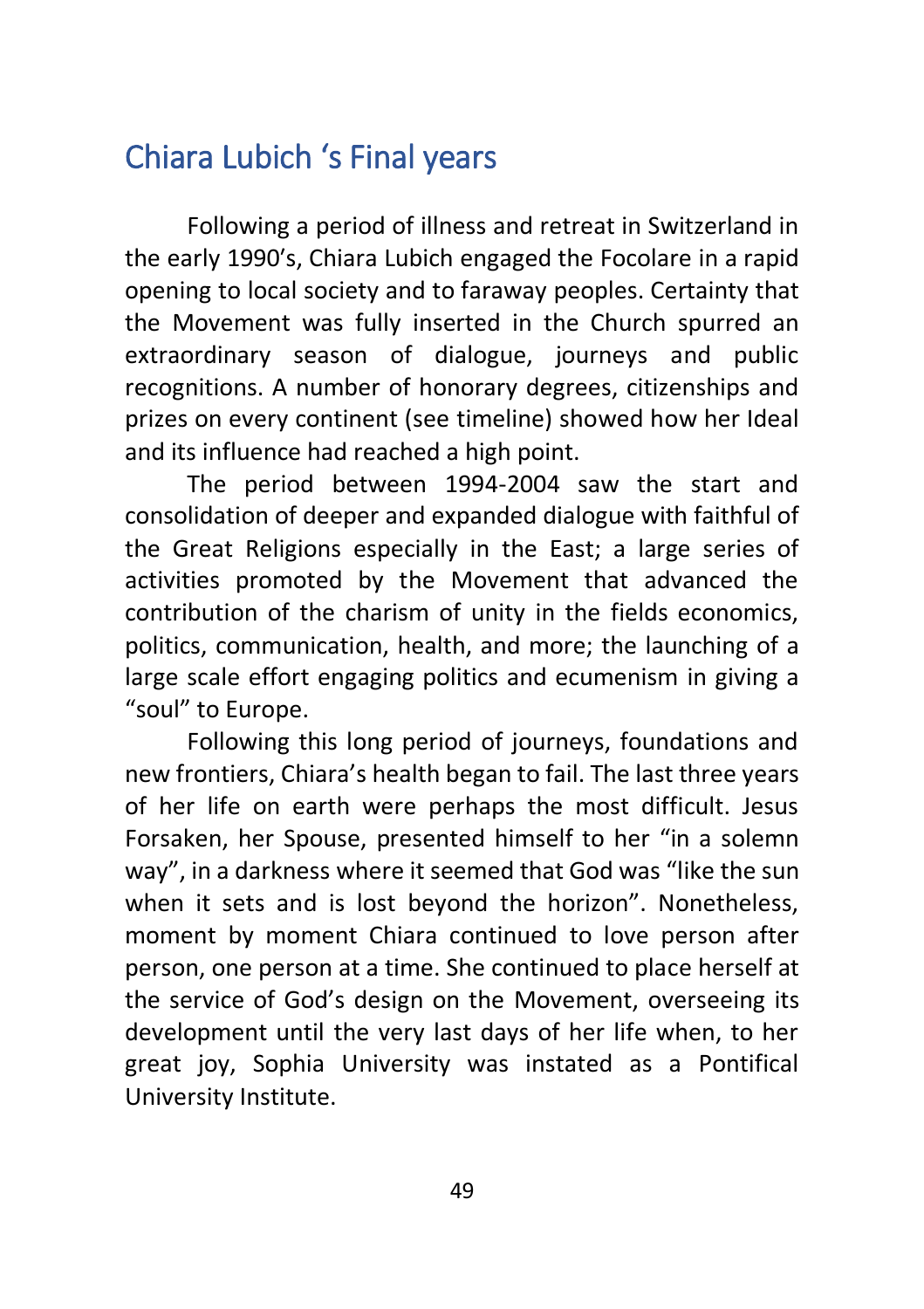# <span id="page-48-0"></span>Chiara Lubich 's Final years

Following a period of illness and retreat in Switzerland in the early 1990′s, Chiara Lubich engaged the Focolare in a rapid opening to local society and to faraway peoples. Certainty that the Movement was fully inserted in the Church spurred an extraordinary season of dialogue, journeys and public recognitions. A number of honorary degrees, citizenships and prizes on every continent (see timeline) showed how her Ideal and its influence had reached a high point.

The period between 1994-2004 saw the start and consolidation of deeper and expanded dialogue with faithful of the Great Religions especially in the East; a large series of activities promoted by the Movement that advanced the contribution of the charism of unity in the fields economics, politics, communication, health, and more; the launching of a large scale effort engaging politics and ecumenism in giving a "soul" to Europe.

Following this long period of journeys, foundations and new frontiers, Chiara's health began to fail. The last three years of her life on earth were perhaps the most difficult. Jesus Forsaken, her Spouse, presented himself to her "in a solemn way", in a darkness where it seemed that God was "like the sun when it sets and is lost beyond the horizon". Nonetheless, moment by moment Chiara continued to love person after person, one person at a time. She continued to place herself at the service of God's design on the Movement, overseeing its development until the very last days of her life when, to her great joy, Sophia University was instated as a Pontifical University Institute.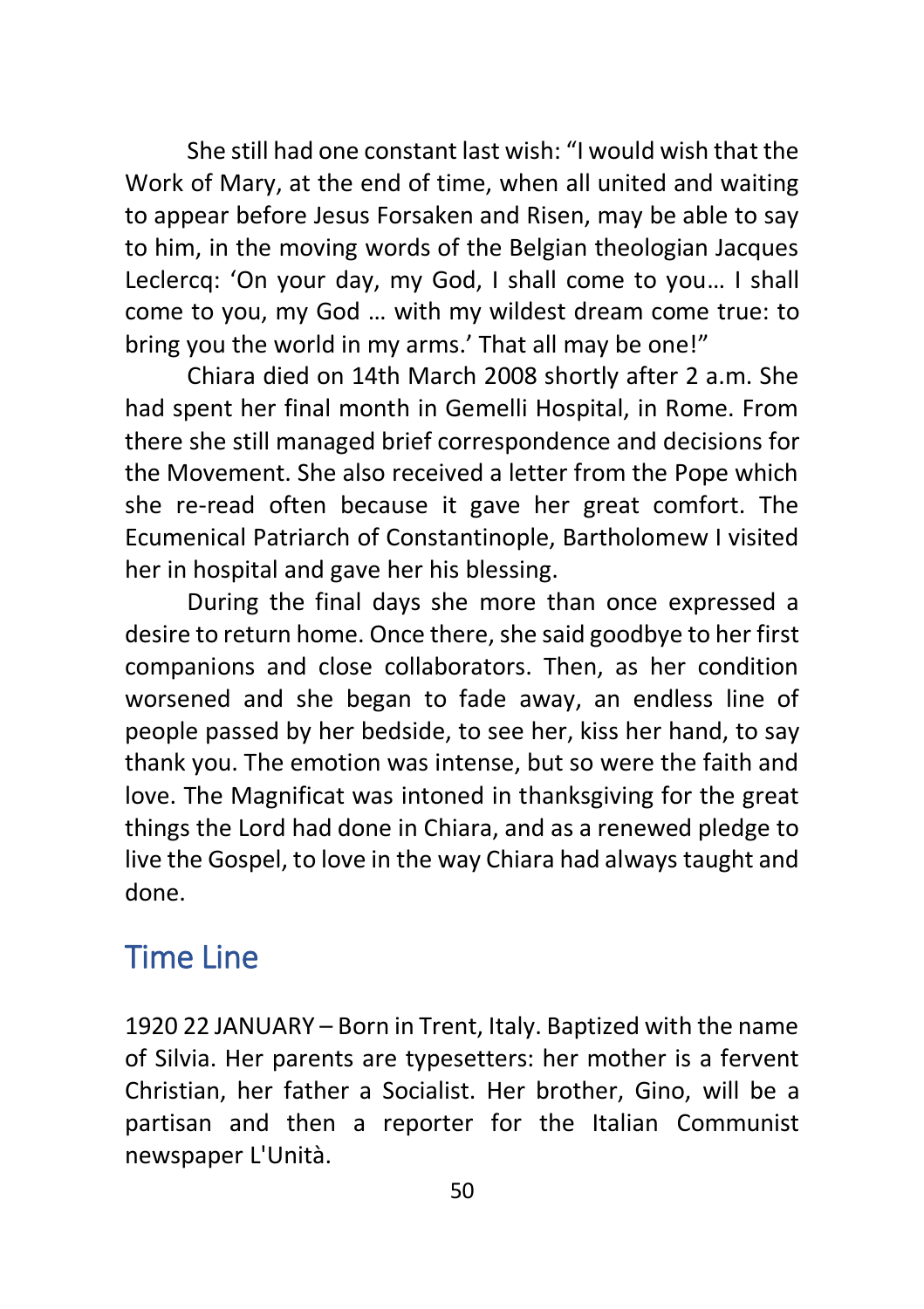She still had one constant last wish: "I would wish that the Work of Mary, at the end of time, when all united and waiting to appear before Jesus Forsaken and Risen, may be able to say to him, in the moving words of the Belgian theologian Jacques Leclercq: 'On your day, my God, I shall come to you… I shall come to you, my God … with my wildest dream come true: to bring you the world in my arms.' That all may be one!"

Chiara died on 14th March 2008 shortly after 2 a.m. She had spent her final month in Gemelli Hospital, in Rome. From there she still managed brief correspondence and decisions for the Movement. She also received a letter from the Pope which she re-read often because it gave her great comfort. The Ecumenical Patriarch of Constantinople, Bartholomew I visited her in hospital and gave her his blessing.

During the final days she more than once expressed a desire to return home. Once there, she said goodbye to her first companions and close collaborators. Then, as her condition worsened and she began to fade away, an endless line of people passed by her bedside, to see her, kiss her hand, to say thank you. The emotion was intense, but so were the faith and love. The Magnificat was intoned in thanksgiving for the great things the Lord had done in Chiara, and as a renewed pledge to live the Gospel, to love in the way Chiara had always taught and done.

# <span id="page-49-0"></span>Time Line

1920 22 JANUARY – Born in Trent, Italy. Baptized with the name of Silvia. Her parents are typesetters: her mother is a fervent Christian, her father a Socialist. Her brother, Gino, will be a partisan and then a reporter for the Italian Communist newspaper L'Unità.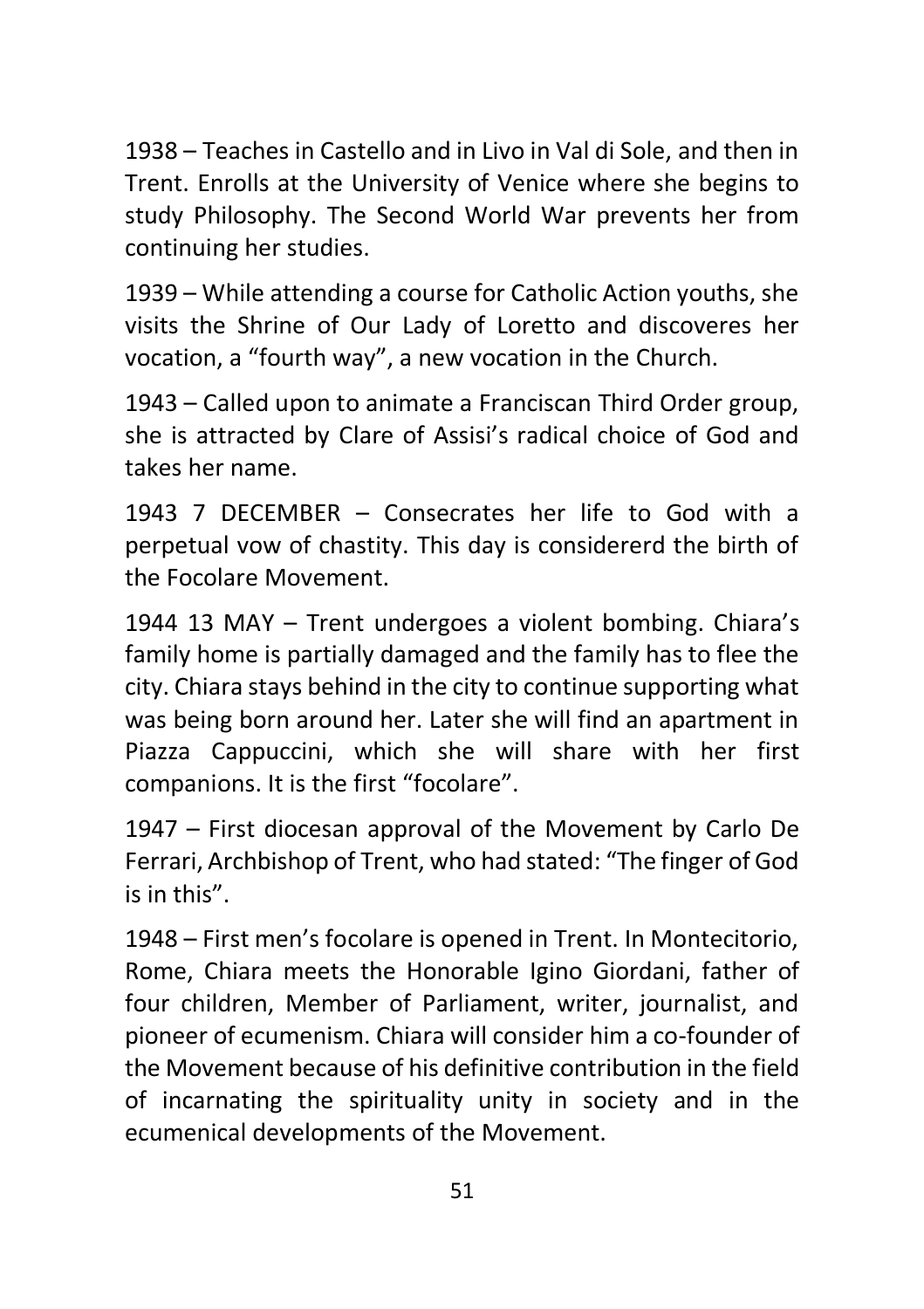1938 – Teaches in Castello and in Livo in Val di Sole, and then in Trent. Enrolls at the University of Venice where she begins to study Philosophy. The Second World War prevents her from continuing her studies.

1939 – While attending a course for Catholic Action youths, she visits the Shrine of Our Lady of Loretto and discoveres her vocation, a "fourth way", a new vocation in the Church.

1943 – Called upon to animate a Franciscan Third Order group, she is attracted by Clare of Assisi's radical choice of God and takes her name.

1943 7 DECEMBER – Consecrates her life to God with a perpetual vow of chastity. This day is considererd the birth of the Focolare Movement.

1944 13 MAY – Trent undergoes a violent bombing. Chiara's family home is partially damaged and the family has to flee the city. Chiara stays behind in the city to continue supporting what was being born around her. Later she will find an apartment in Piazza Cappuccini, which she will share with her first companions. It is the first "focolare".

1947 – First diocesan approval of the Movement by Carlo De Ferrari, Archbishop of Trent, who had stated: "The finger of God is in this".

1948 – First men's focolare is opened in Trent. In Montecitorio, Rome, Chiara meets the Honorable Igino Giordani, father of four children, Member of Parliament, writer, journalist, and pioneer of ecumenism. Chiara will consider him a co-founder of the Movement because of his definitive contribution in the field of incarnating the spirituality unity in society and in the ecumenical developments of the Movement.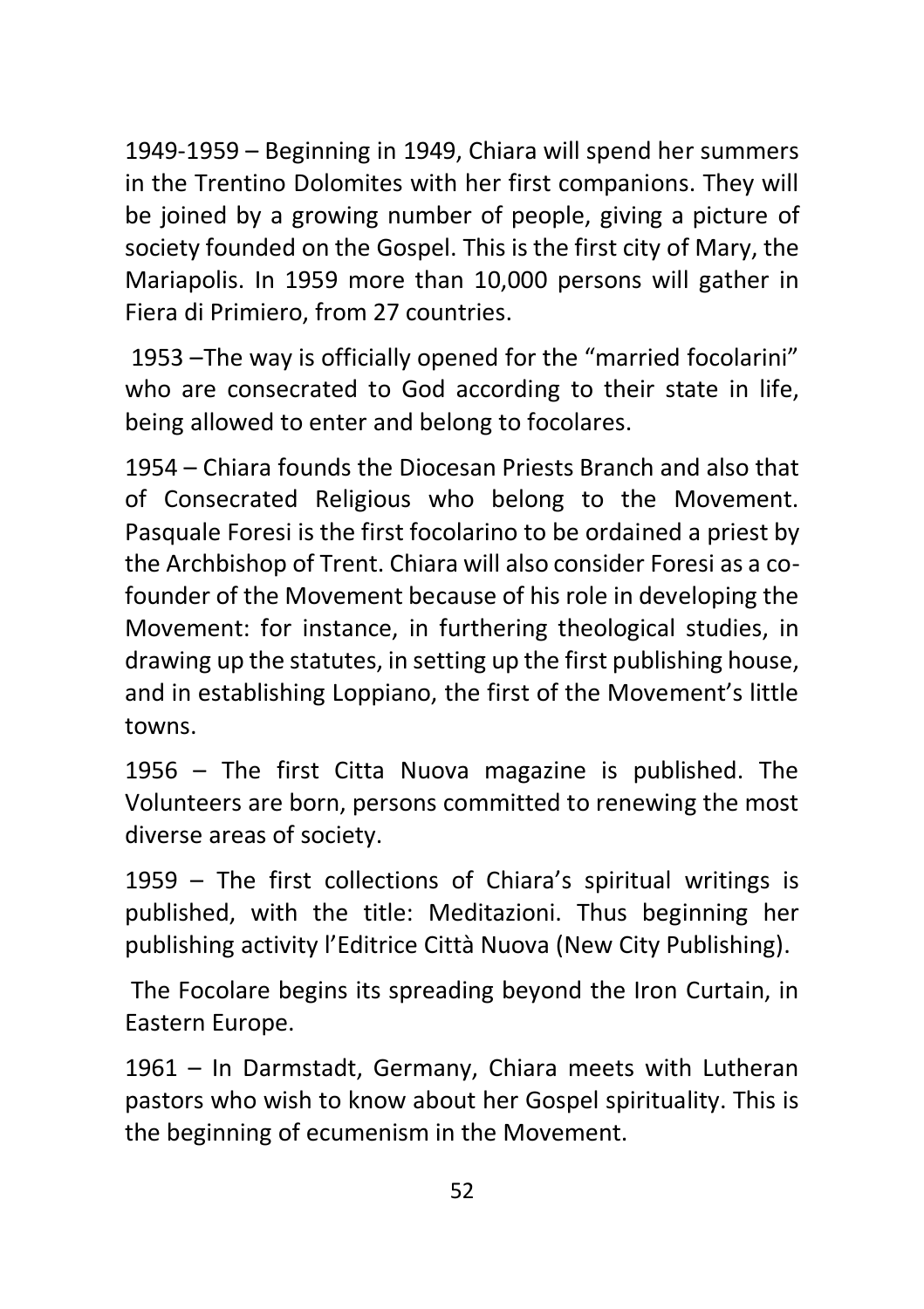1949-1959 – Beginning in 1949, Chiara will spend her summers in the Trentino Dolomites with her first companions. They will be joined by a growing number of people, giving a picture of society founded on the Gospel. This is the first city of Mary, the Mariapolis. In 1959 more than 10,000 persons will gather in Fiera di Primiero, from 27 countries.

1953 –The way is officially opened for the "married focolarini" who are consecrated to God according to their state in life, being allowed to enter and belong to focolares.

1954 – Chiara founds the Diocesan Priests Branch and also that of Consecrated Religious who belong to the Movement. Pasquale Foresi is the first focolarino to be ordained a priest by the Archbishop of Trent. Chiara will also consider Foresi as a cofounder of the Movement because of his role in developing the Movement: for instance, in furthering theological studies, in drawing up the statutes, in setting up the first publishing house, and in establishing Loppiano, the first of the Movement's little towns.

1956 – The first Citta Nuova magazine is published. The Volunteers are born, persons committed to renewing the most diverse areas of society.

1959 – The first collections of Chiara's spiritual writings is published, with the title: Meditazioni. Thus beginning her publishing activity l'Editrice Città Nuova (New City Publishing).

The Focolare begins its spreading beyond the Iron Curtain, in Eastern Europe.

1961 – In Darmstadt, Germany, Chiara meets with Lutheran pastors who wish to know about her Gospel spirituality. This is the beginning of ecumenism in the Movement.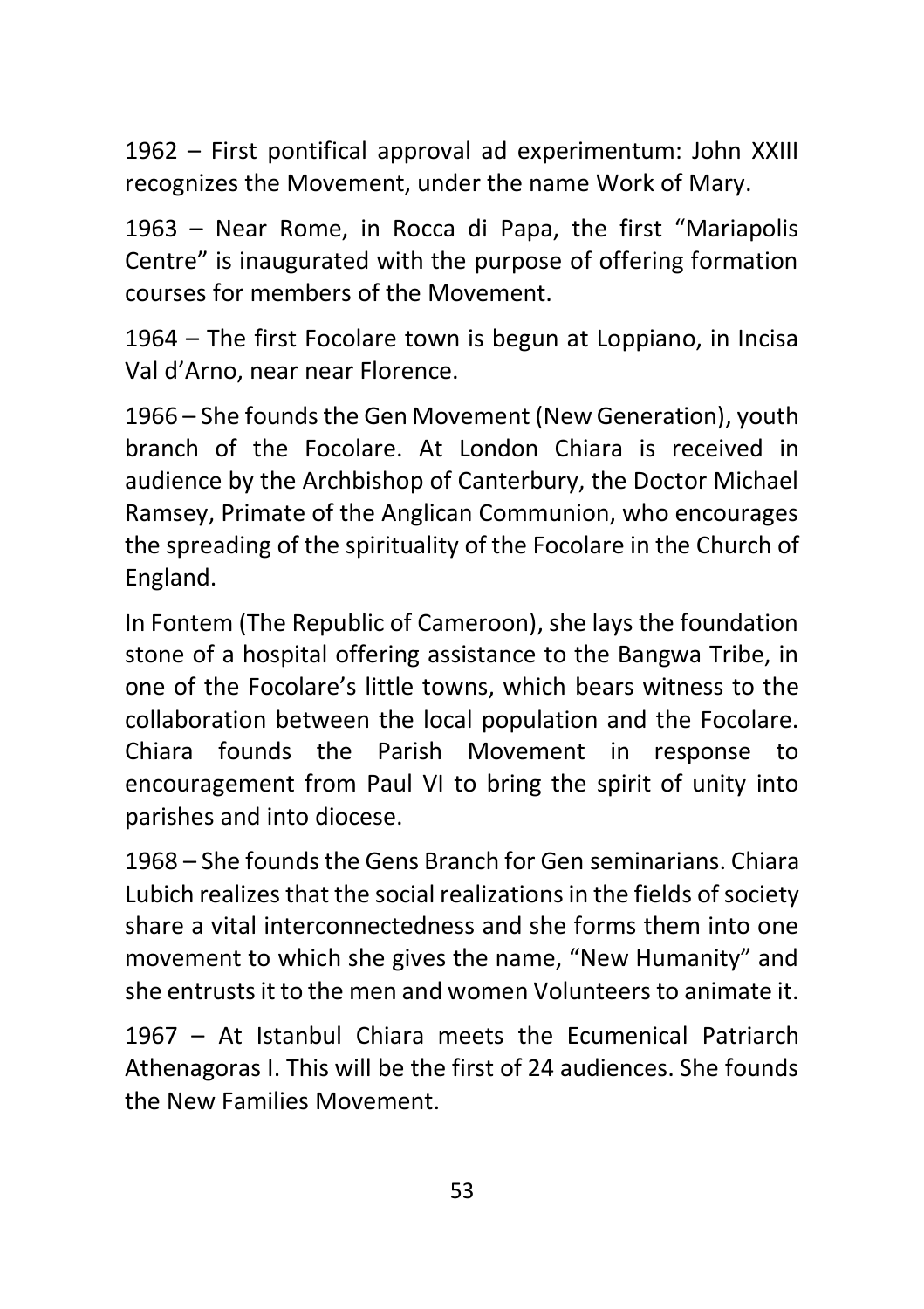1962 – First pontifical approval ad experimentum: John XXIII recognizes the Movement, under the name Work of Mary.

1963 – Near Rome, in Rocca di Papa, the first "Mariapolis Centre" is inaugurated with the purpose of offering formation courses for members of the Movement.

1964 – The first Focolare town is begun at Loppiano, in Incisa Val d'Arno, near near Florence.

1966 – She founds the Gen Movement (New Generation), youth branch of the Focolare. At London Chiara is received in audience by the Archbishop of Canterbury, the Doctor Michael Ramsey, Primate of the Anglican Communion, who encourages the spreading of the spirituality of the Focolare in the Church of England.

In Fontem (The Republic of Cameroon), she lays the foundation stone of a hospital offering assistance to the Bangwa Tribe, in one of the Focolare's little towns, which bears witness to the collaboration between the local population and the Focolare. Chiara founds the Parish Movement in response to encouragement from Paul VI to bring the spirit of unity into parishes and into diocese.

1968 – She founds the Gens Branch for Gen seminarians. Chiara Lubich realizes that the social realizations in the fields of society share a vital interconnectedness and she forms them into one movement to which she gives the name, "New Humanity" and she entrusts it to the men and women Volunteers to animate it.

1967 – At Istanbul Chiara meets the Ecumenical Patriarch Athenagoras I. This will be the first of 24 audiences. She founds the New Families Movement.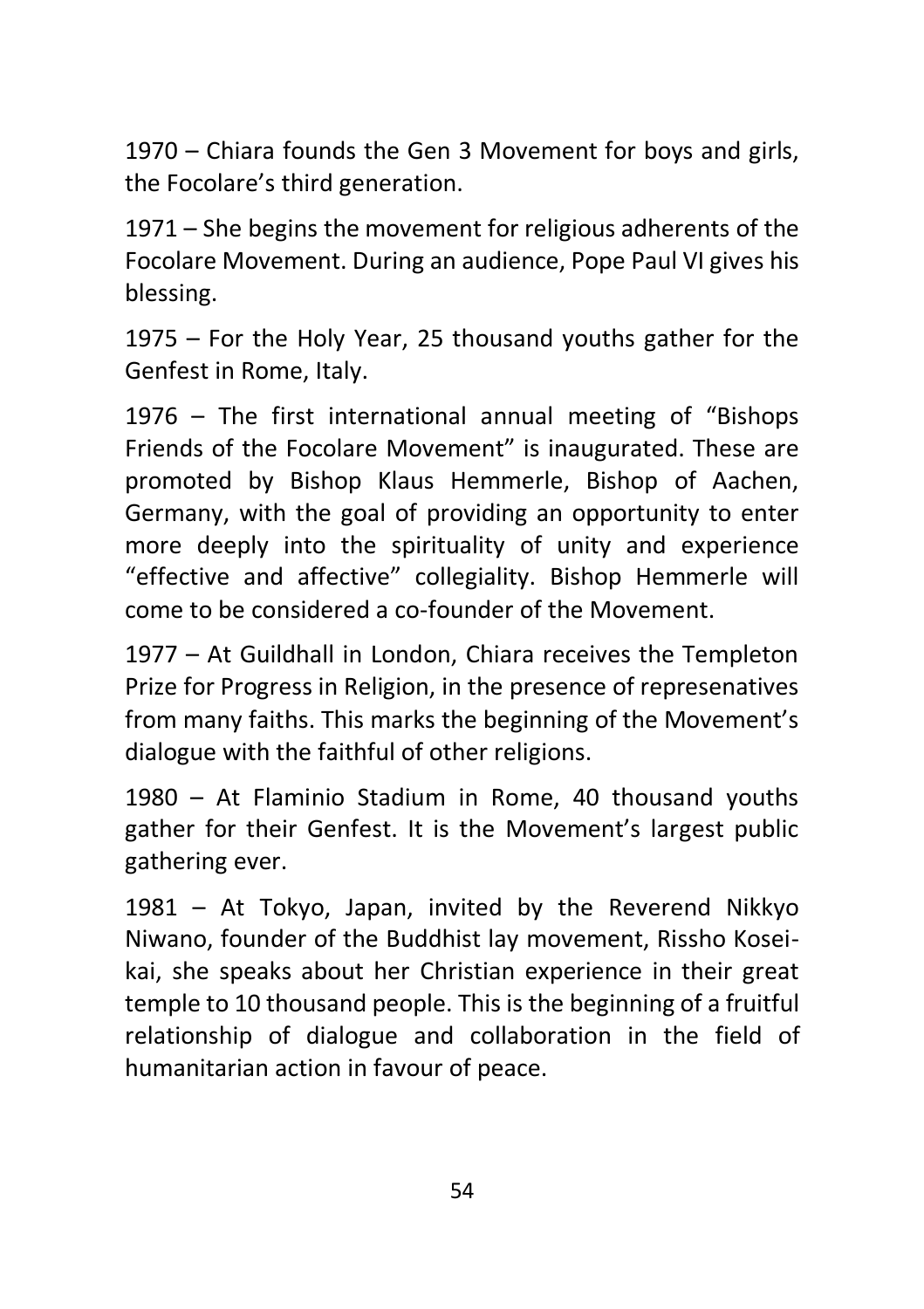1970 – Chiara founds the Gen 3 Movement for boys and girls, the Focolare's third generation.

1971 – She begins the movement for religious adherents of the Focolare Movement. During an audience, Pope Paul VI gives his blessing.

1975 – For the Holy Year, 25 thousand youths gather for the Genfest in Rome, Italy.

1976 – The first international annual meeting of "Bishops Friends of the Focolare Movement" is inaugurated. These are promoted by Bishop Klaus Hemmerle, Bishop of Aachen, Germany, with the goal of providing an opportunity to enter more deeply into the spirituality of unity and experience "effective and affective" collegiality. Bishop Hemmerle will come to be considered a co-founder of the Movement.

1977 – At Guildhall in London, Chiara receives the Templeton Prize for Progress in Religion, in the presence of represenatives from many faiths. This marks the beginning of the Movement's dialogue with the faithful of other religions.

1980 – At Flaminio Stadium in Rome, 40 thousand youths gather for their Genfest. It is the Movement's largest public gathering ever.

1981 – At Tokyo, Japan, invited by the Reverend Nikkyo Niwano, founder of the Buddhist lay movement, Rissho Koseikai, she speaks about her Christian experience in their great temple to 10 thousand people. This is the beginning of a fruitful relationship of dialogue and collaboration in the field of humanitarian action in favour of peace.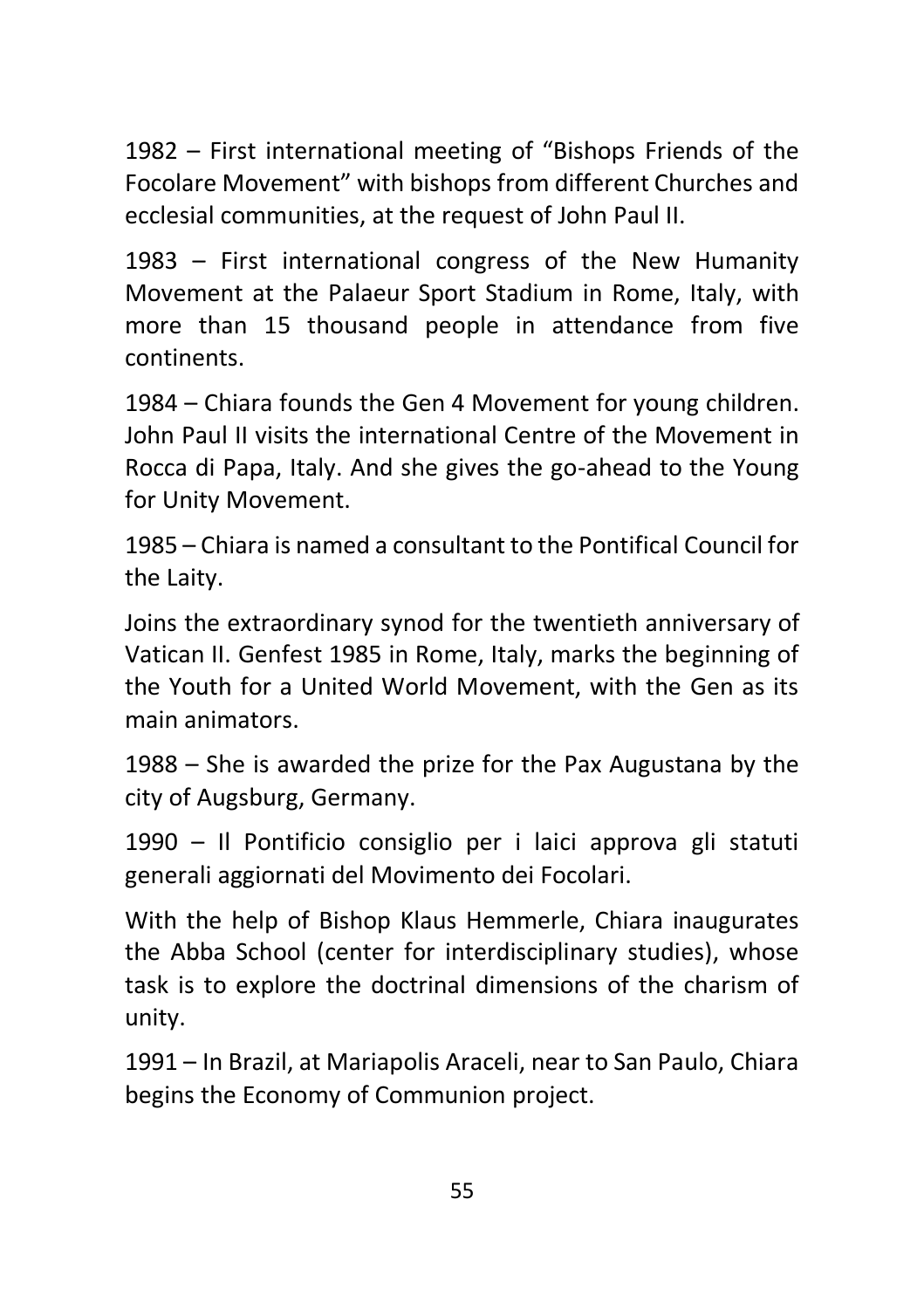1982 – First international meeting of "Bishops Friends of the Focolare Movement" with bishops from different Churches and ecclesial communities, at the request of John Paul II.

1983 – First international congress of the New Humanity Movement at the Palaeur Sport Stadium in Rome, Italy, with more than 15 thousand people in attendance from five continents.

1984 – Chiara founds the Gen 4 Movement for young children. John Paul II visits the international Centre of the Movement in Rocca di Papa, Italy. And she gives the go-ahead to the Young for Unity Movement.

1985 – Chiara is named a consultant to the Pontifical Council for the Laity.

Joins the extraordinary synod for the twentieth anniversary of Vatican II. Genfest 1985 in Rome, Italy, marks the beginning of the Youth for a United World Movement, with the Gen as its main animators.

1988 – She is awarded the prize for the Pax Augustana by the city of Augsburg, Germany.

1990 – Il Pontificio consiglio per i laici approva gli statuti generali aggiornati del Movimento dei Focolari.

With the help of Bishop Klaus Hemmerle, Chiara inaugurates the Abba School (center for interdisciplinary studies), whose task is to explore the doctrinal dimensions of the charism of unity.

1991 – In Brazil, at Mariapolis Araceli, near to San Paulo, Chiara begins the Economy of Communion project.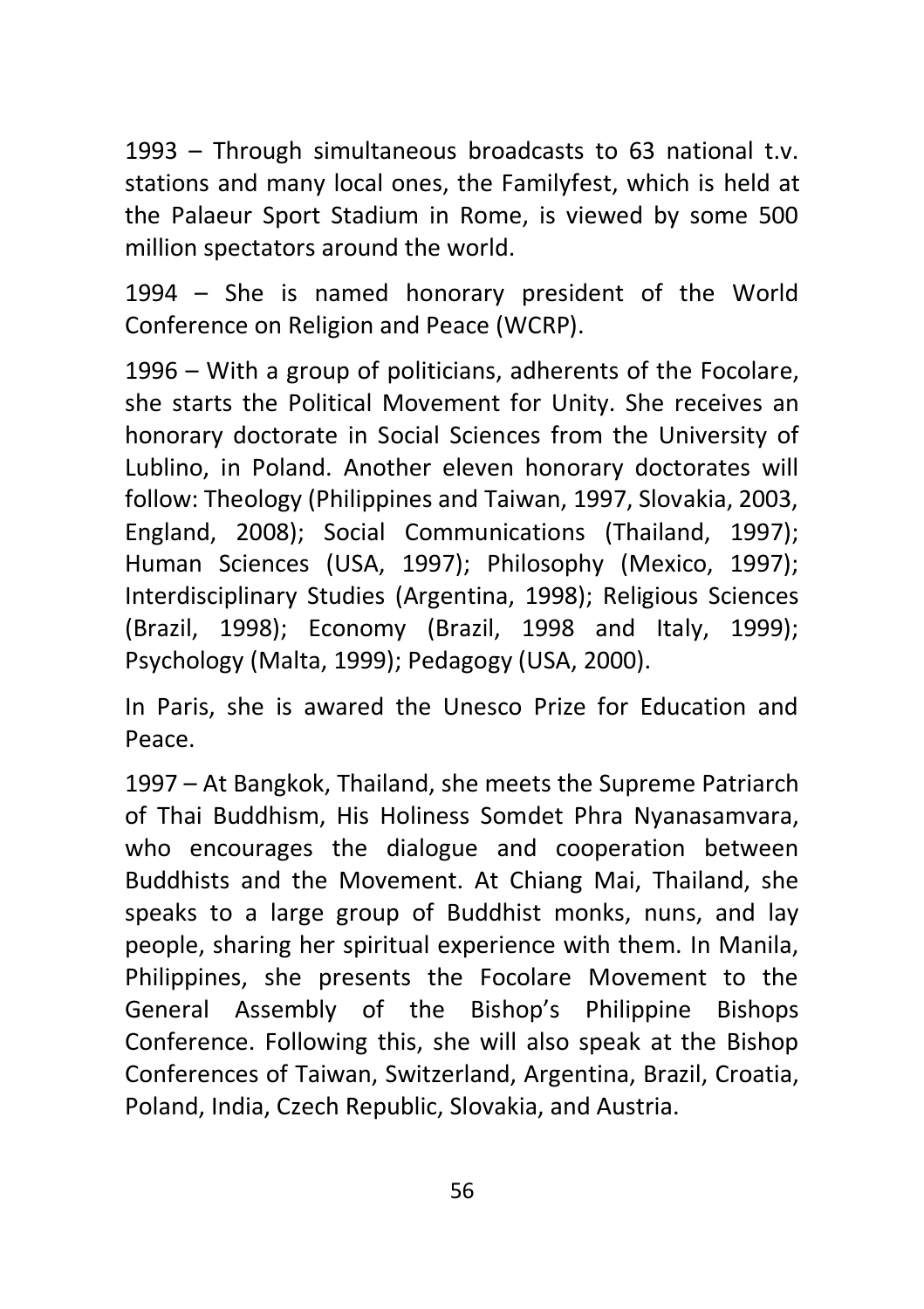1993 – Through simultaneous broadcasts to 63 national t.v. stations and many local ones, the Familyfest, which is held at the Palaeur Sport Stadium in Rome, is viewed by some 500 million spectators around the world.

1994 – She is named honorary president of the World Conference on Religion and Peace (WCRP).

1996 – With a group of politicians, adherents of the Focolare, she starts the Political Movement for Unity. She receives an honorary doctorate in Social Sciences from the University of Lublino, in Poland. Another eleven honorary doctorates will follow: Theology (Philippines and Taiwan, 1997, Slovakia, 2003, England, 2008); Social Communications (Thailand, 1997); Human Sciences (USA, 1997); Philosophy (Mexico, 1997); Interdisciplinary Studies (Argentina, 1998); Religious Sciences (Brazil, 1998); Economy (Brazil, 1998 and Italy, 1999); Psychology (Malta, 1999); Pedagogy (USA, 2000).

In Paris, she is awared the Unesco Prize for Education and Peace.

1997 – At Bangkok, Thailand, she meets the Supreme Patriarch of Thai Buddhism, His Holiness Somdet Phra Nyanasamvara, who encourages the dialogue and cooperation between Buddhists and the Movement. At Chiang Mai, Thailand, she speaks to a large group of Buddhist monks, nuns, and lay people, sharing her spiritual experience with them. In Manila, Philippines, she presents the Focolare Movement to the General Assembly of the Bishop's Philippine Bishops Conference. Following this, she will also speak at the Bishop Conferences of Taiwan, Switzerland, Argentina, Brazil, Croatia, Poland, India, Czech Republic, Slovakia, and Austria.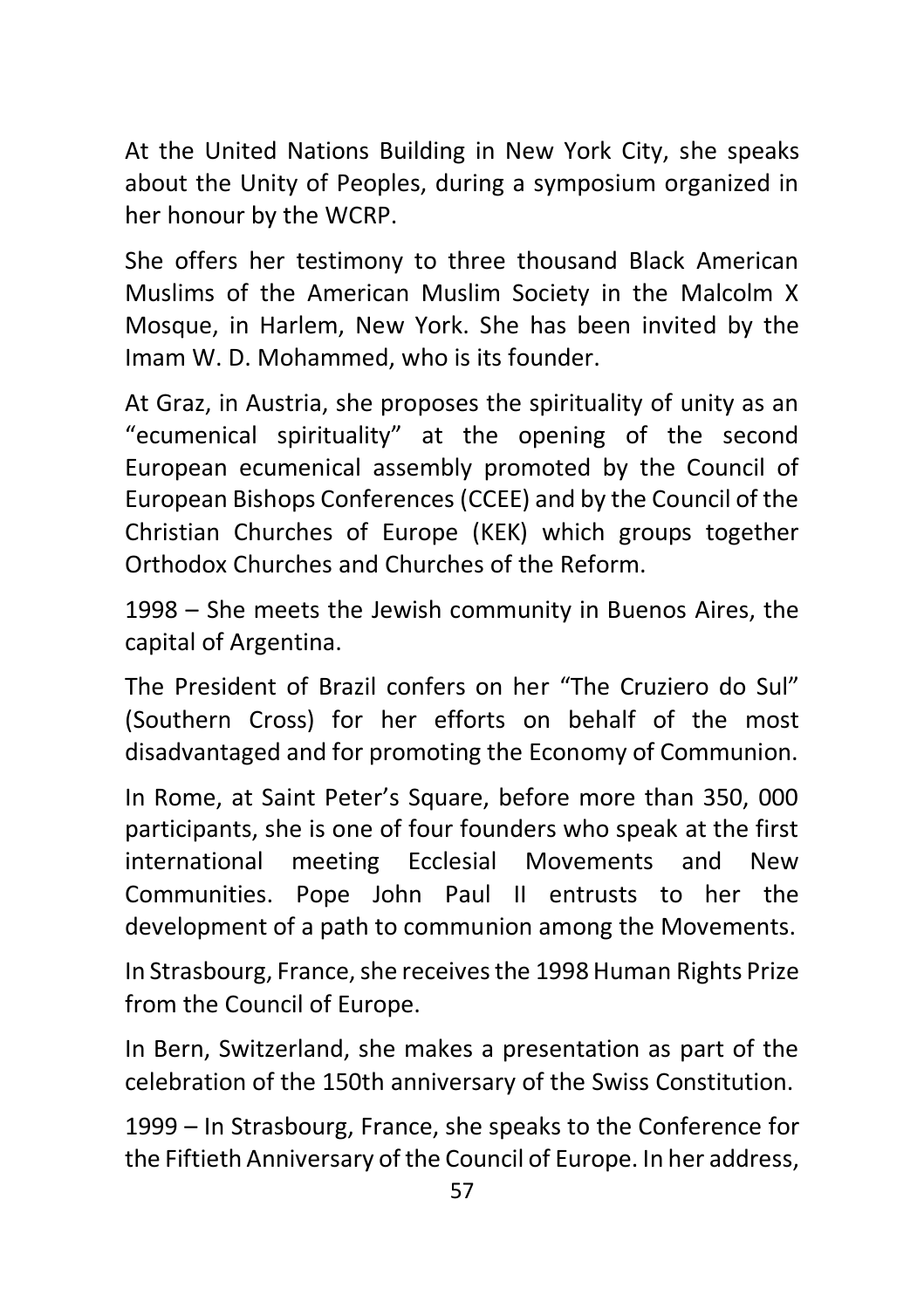At the United Nations Building in New York City, she speaks about the Unity of Peoples, during a symposium organized in her honour by the WCRP.

She offers her testimony to three thousand Black American Muslims of the American Muslim Society in the Malcolm X Mosque, in Harlem, New York. She has been invited by the Imam W. D. Mohammed, who is its founder.

At Graz, in Austria, she proposes the spirituality of unity as an "ecumenical spirituality" at the opening of the second European ecumenical assembly promoted by the Council of European Bishops Conferences (CCEE) and by the Council of the Christian Churches of Europe (KEK) which groups together Orthodox Churches and Churches of the Reform.

1998 – She meets the Jewish community in Buenos Aires, the capital of Argentina.

The President of Brazil confers on her "The Cruziero do Sul" (Southern Cross) for her efforts on behalf of the most disadvantaged and for promoting the Economy of Communion.

In Rome, at Saint Peter's Square, before more than 350, 000 participants, she is one of four founders who speak at the first international meeting Ecclesial Movements and New Communities. Pope John Paul II entrusts to her the development of a path to communion among the Movements.

In Strasbourg, France, she receives the 1998 Human Rights Prize from the Council of Europe.

In Bern, Switzerland, she makes a presentation as part of the celebration of the 150th anniversary of the Swiss Constitution.

1999 – In Strasbourg, France, she speaks to the Conference for the Fiftieth Anniversary of the Council of Europe. In her address,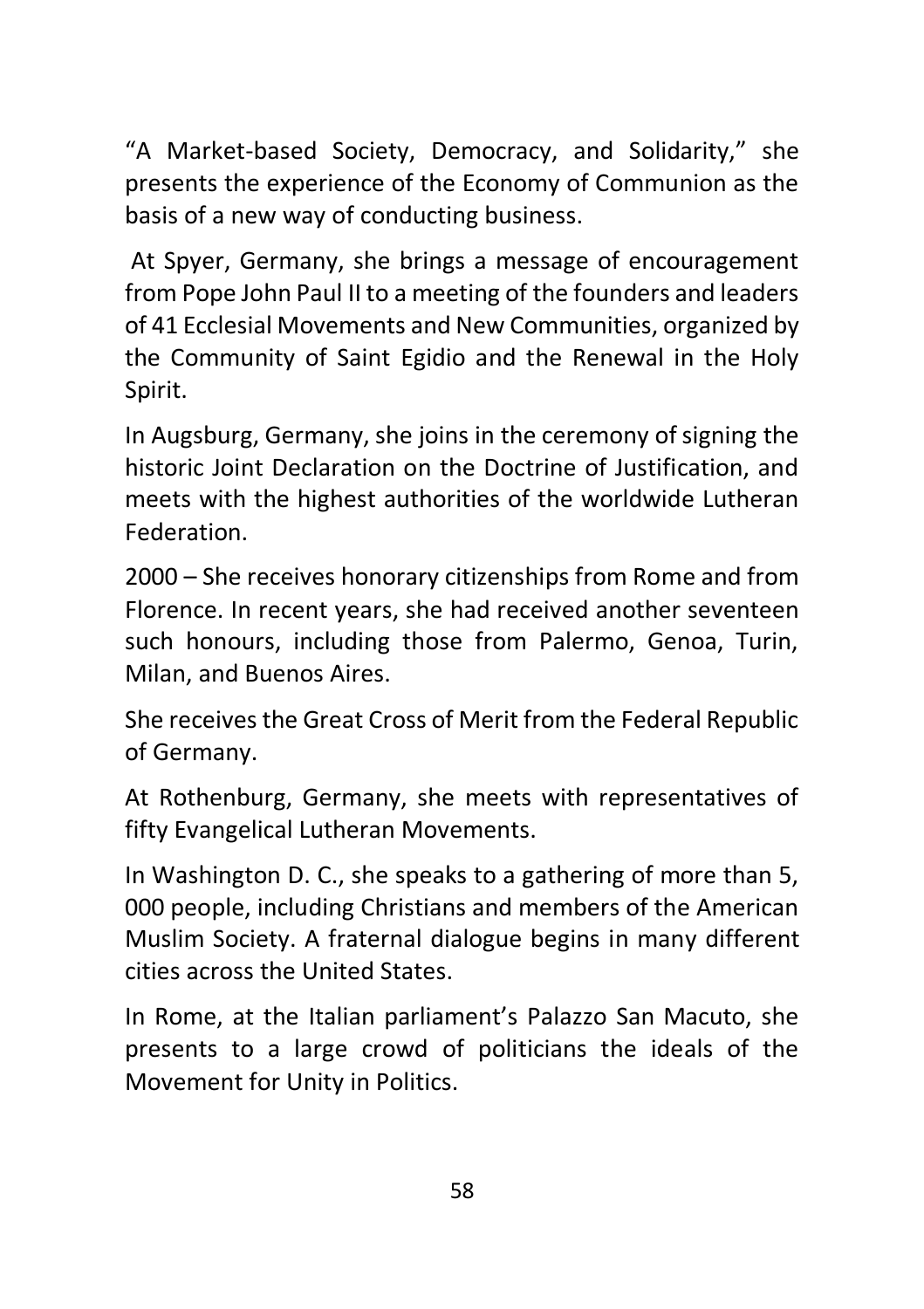"A Market-based Society, Democracy, and Solidarity," she presents the experience of the Economy of Communion as the basis of a new way of conducting business.

At Spyer, Germany, she brings a message of encouragement from Pope John Paul II to a meeting of the founders and leaders of 41 Ecclesial Movements and New Communities, organized by the Community of Saint Egidio and the Renewal in the Holy Spirit.

In Augsburg, Germany, she joins in the ceremony of signing the historic Joint Declaration on the Doctrine of Justification, and meets with the highest authorities of the worldwide Lutheran Federation.

2000 – She receives honorary citizenships from Rome and from Florence. In recent years, she had received another seventeen such honours, including those from Palermo, Genoa, Turin, Milan, and Buenos Aires.

She receives the Great Cross of Merit from the Federal Republic of Germany.

At Rothenburg, Germany, she meets with representatives of fifty Evangelical Lutheran Movements.

In Washington D. C., she speaks to a gathering of more than 5, 000 people, including Christians and members of the American Muslim Society. A fraternal dialogue begins in many different cities across the United States.

In Rome, at the Italian parliament's Palazzo San Macuto, she presents to a large crowd of politicians the ideals of the Movement for Unity in Politics.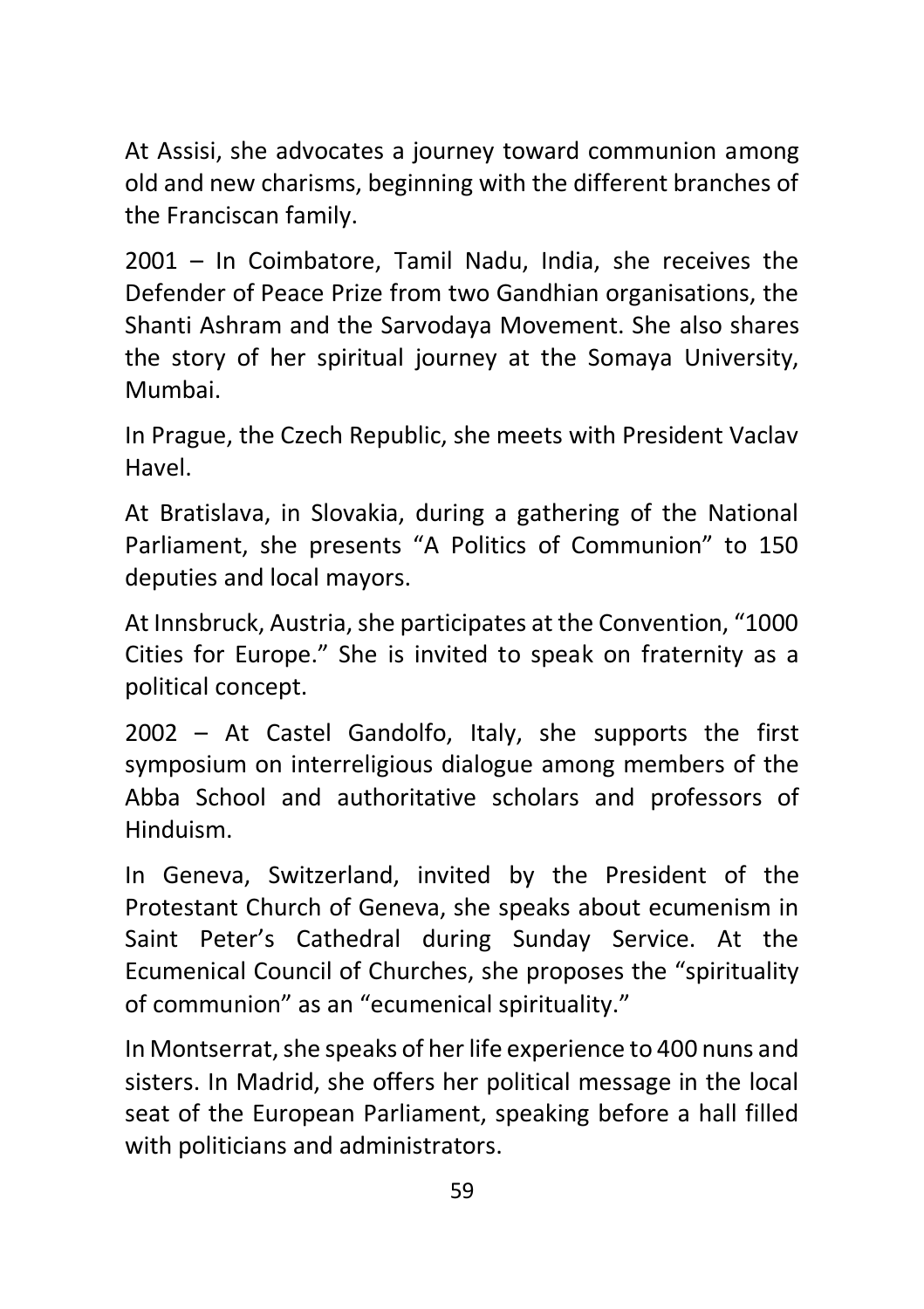At Assisi, she advocates a journey toward communion among old and new charisms, beginning with the different branches of the Franciscan family.

2001 – In Coimbatore, Tamil Nadu, India, she receives the Defender of Peace Prize from two Gandhian organisations, the Shanti Ashram and the Sarvodaya Movement. She also shares the story of her spiritual journey at the Somaya University, Mumbai.

In Prague, the Czech Republic, she meets with President Vaclav Havel.

At Bratislava, in Slovakia, during a gathering of the National Parliament, she presents "A Politics of Communion" to 150 deputies and local mayors.

At Innsbruck, Austria, she participates at the Convention, "1000 Cities for Europe." She is invited to speak on fraternity as a political concept.

2002 – At Castel Gandolfo, Italy, she supports the first symposium on interreligious dialogue among members of the Abba School and authoritative scholars and professors of Hinduism.

In Geneva, Switzerland, invited by the President of the Protestant Church of Geneva, she speaks about ecumenism in Saint Peter's Cathedral during Sunday Service. At the Ecumenical Council of Churches, she proposes the "spirituality of communion" as an "ecumenical spirituality."

In Montserrat, she speaks of her life experience to 400 nuns and sisters. In Madrid, she offers her political message in the local seat of the European Parliament, speaking before a hall filled with politicians and administrators.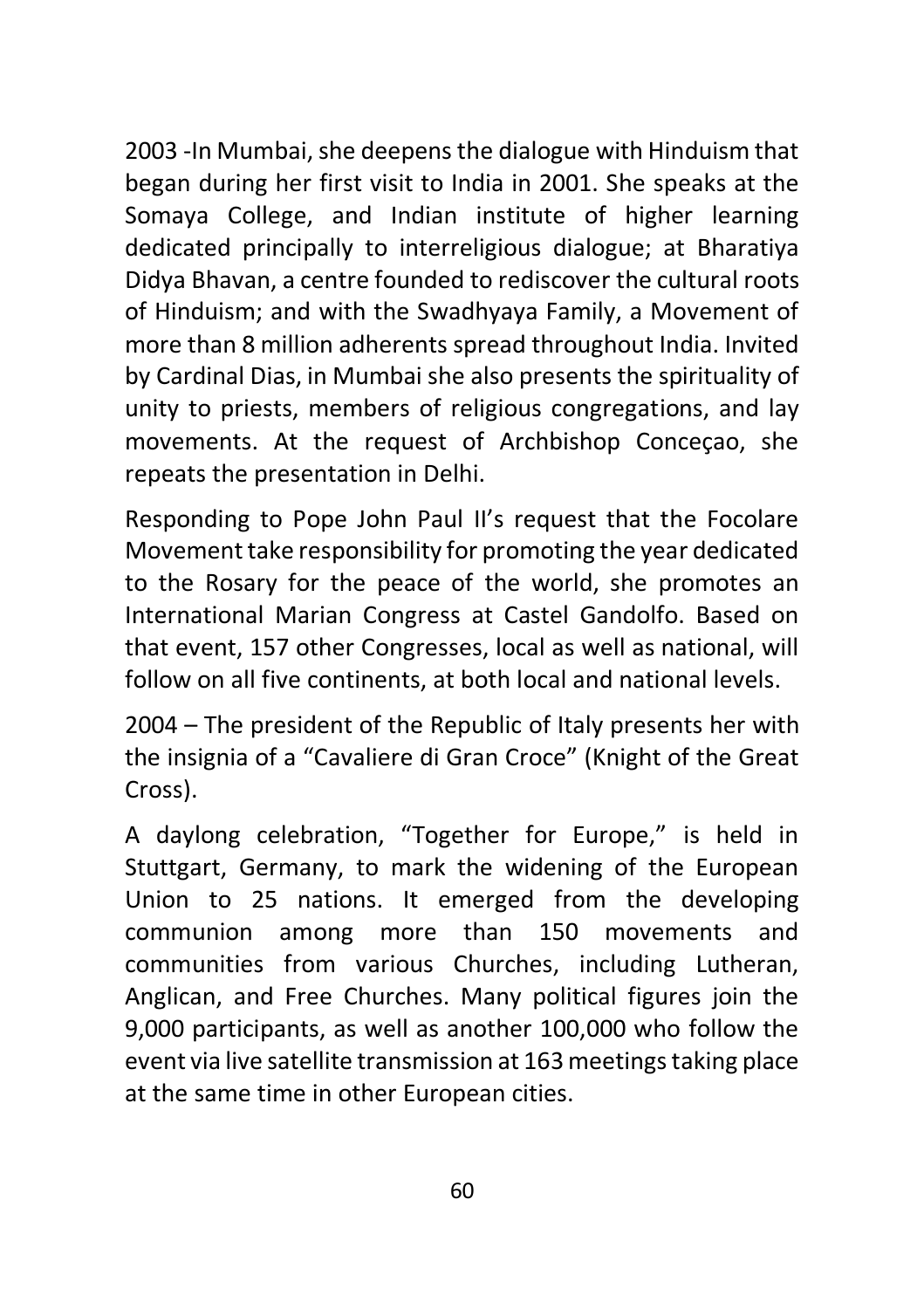2003 -In Mumbai, she deepens the dialogue with Hinduism that began during her first visit to India in 2001. She speaks at the Somaya College, and Indian institute of higher learning dedicated principally to interreligious dialogue; at Bharatiya Didya Bhavan, a centre founded to rediscover the cultural roots of Hinduism; and with the Swadhyaya Family, a Movement of more than 8 million adherents spread throughout India. Invited by Cardinal Dias, in Mumbai she also presents the spirituality of unity to priests, members of religious congregations, and lay movements. At the request of Archbishop Conceçao, she repeats the presentation in Delhi.

Responding to Pope John Paul II's request that the Focolare Movement take responsibility for promoting the year dedicated to the Rosary for the peace of the world, she promotes an International Marian Congress at Castel Gandolfo. Based on that event, 157 other Congresses, local as well as national, will follow on all five continents, at both local and national levels.

2004 – The president of the Republic of Italy presents her with the insignia of a "Cavaliere di Gran Croce" (Knight of the Great Cross).

A daylong celebration, "Together for Europe," is held in Stuttgart, Germany, to mark the widening of the European Union to 25 nations. It emerged from the developing communion among more than 150 movements and communities from various Churches, including Lutheran, Anglican, and Free Churches. Many political figures join the 9,000 participants, as well as another 100,000 who follow the event via live satellite transmission at 163 meetings taking place at the same time in other European cities.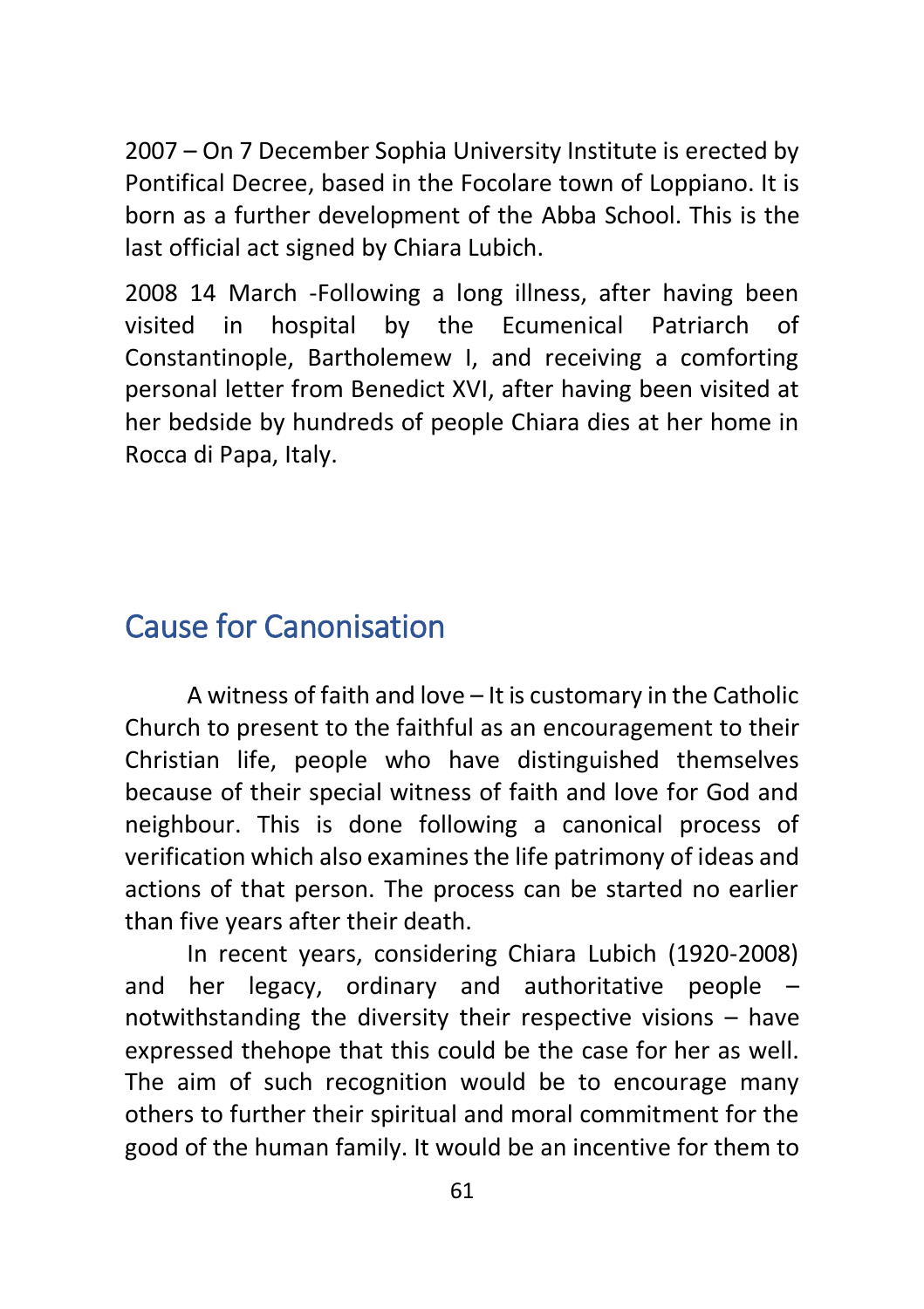2007 – On 7 December Sophia University Institute is erected by Pontifical Decree, based in the Focolare town of Loppiano. It is born as a further development of the Abba School. This is the last official act signed by Chiara Lubich.

2008 14 March -Following a long illness, after having been visited in hospital by the Ecumenical Patriarch of Constantinople, Bartholemew I, and receiving a comforting personal letter from Benedict XVI, after having been visited at her bedside by hundreds of people Chiara dies at her home in Rocca di Papa, Italy.

# <span id="page-60-0"></span>Cause for Canonisation

A witness of faith and love – It is customary in the Catholic Church to present to the faithful as an encouragement to their Christian life, people who have distinguished themselves because of their special witness of faith and love for God and neighbour. This is done following a canonical process of verification which also examines the life patrimony of ideas and actions of that person. The process can be started no earlier than five years after their death.

In recent years, considering Chiara Lubich (1920-2008) and her legacy, ordinary and authoritative people – notwithstanding the diversity their respective visions – have expressed thehope that this could be the case for her as well. The aim of such recognition would be to encourage many others to further their spiritual and moral commitment for the good of the human family. It would be an incentive for them to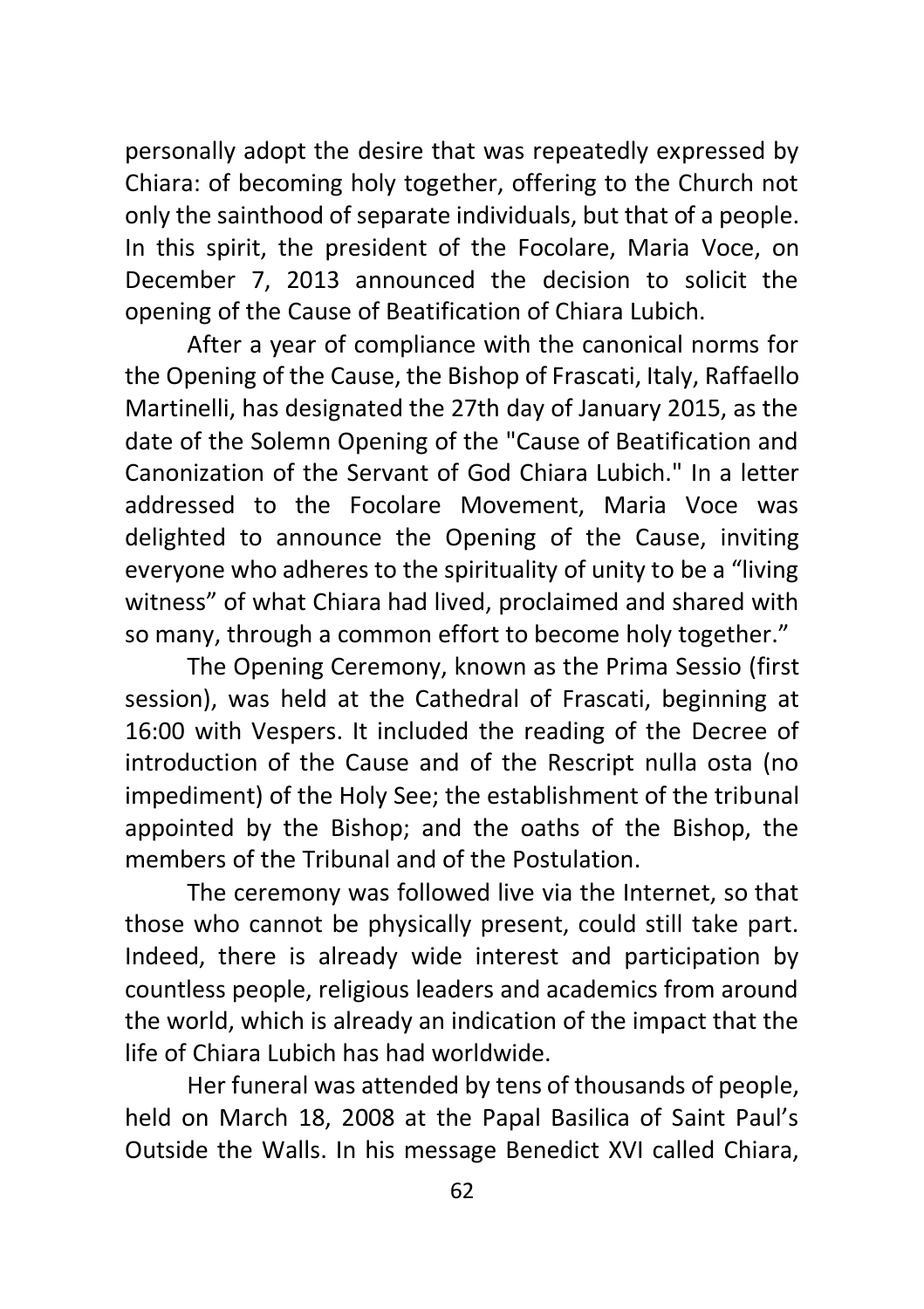personally adopt the desire that was repeatedly expressed by Chiara: of becoming holy together, offering to the Church not only the sainthood of separate individuals, but that of a people. In this spirit, the president of the Focolare, Maria Voce, on December 7, 2013 announced the decision to solicit the opening of the Cause of Beatification of Chiara Lubich.

After a year of compliance with the canonical norms for the Opening of the Cause, the Bishop of Frascati, Italy, Raffaello Martinelli, has designated the 27th day of January 2015, as the date of the Solemn Opening of the "Cause of Beatification and Canonization of the Servant of God Chiara Lubich." In a letter addressed to the Focolare Movement, Maria Voce was delighted to announce the Opening of the Cause, inviting everyone who adheres to the spirituality of unity to be a "living witness" of what Chiara had lived, proclaimed and shared with so many, through a common effort to become holy together."

The Opening Ceremony, known as the Prima Sessio (first session), was held at the Cathedral of Frascati, beginning at 16:00 with Vespers. It included the reading of the Decree of introduction of the Cause and of the Rescript nulla osta (no impediment) of the Holy See; the establishment of the tribunal appointed by the Bishop; and the oaths of the Bishop, the members of the Tribunal and of the Postulation.

The ceremony was followed live via the Internet, so that those who cannot be physically present, could still take part. Indeed, there is already wide interest and participation by countless people, religious leaders and academics from around the world, which is already an indication of the impact that the life of Chiara Lubich has had worldwide.

Her funeral was attended by tens of thousands of people, held on March 18, 2008 at the Papal Basilica of Saint Paul's Outside the Walls. In his message Benedict XVI called Chiara,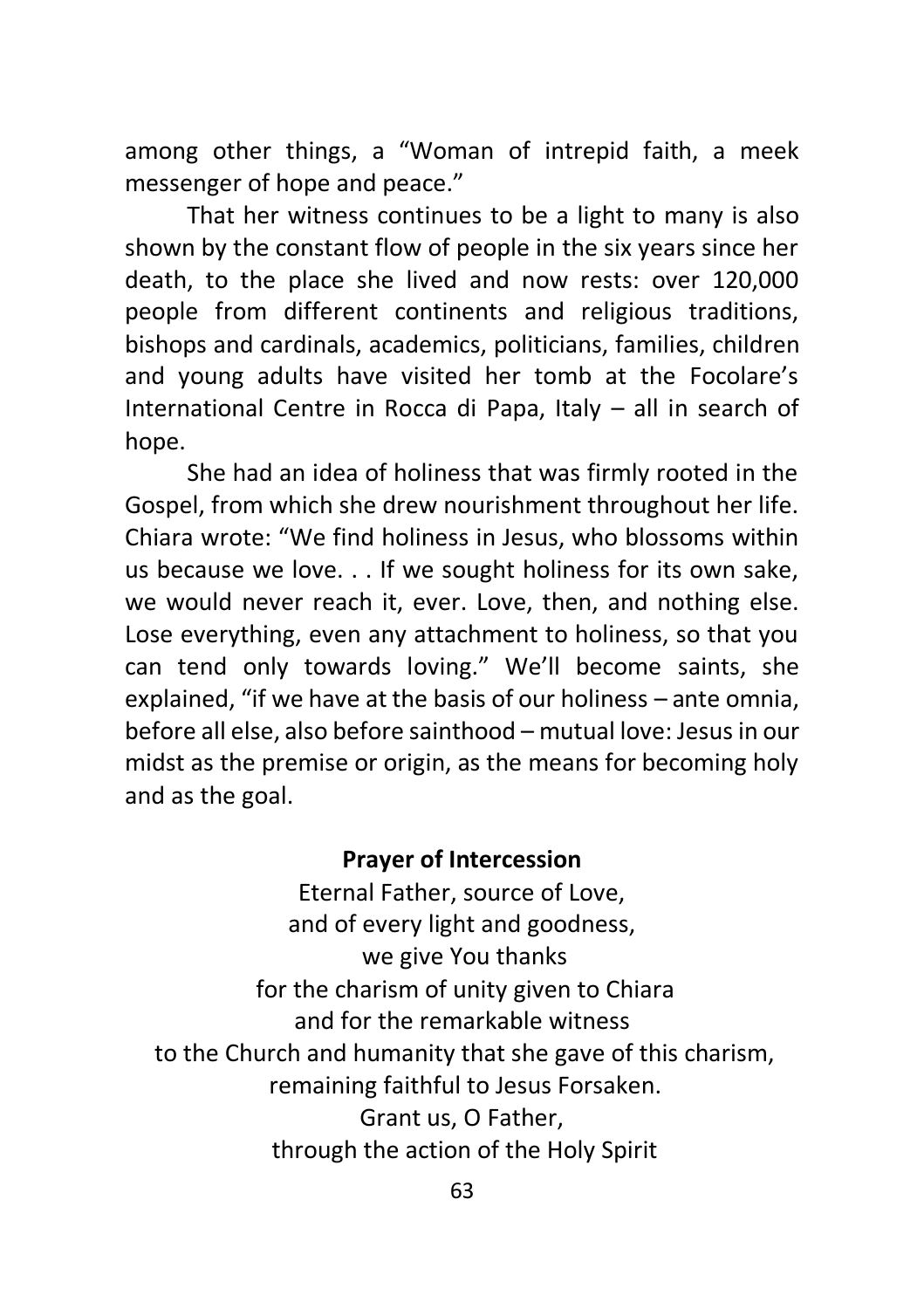among other things, a "Woman of intrepid faith, a meek messenger of hope and peace."

That her witness continues to be a light to many is also shown by the constant flow of people in the six years since her death, to the place she lived and now rests: over 120,000 people from different continents and religious traditions, bishops and cardinals, academics, politicians, families, children and young adults have visited her tomb at the Focolare's International Centre in Rocca di Papa, Italy – all in search of hope.

She had an idea of holiness that was firmly rooted in the Gospel, from which she drew nourishment throughout her life. Chiara wrote: "We find holiness in Jesus, who blossoms within us because we love. . . If we sought holiness for its own sake, we would never reach it, ever. Love, then, and nothing else. Lose everything, even any attachment to holiness, so that you can tend only towards loving." We'll become saints, she explained, "if we have at the basis of our holiness – ante omnia, before all else, also before sainthood – mutual love: Jesus in our midst as the premise or origin, as the means for becoming holy and as the goal.

#### **Prayer of Intercession**

Eternal Father, source of Love, and of every light and goodness, we give You thanks for the charism of unity given to Chiara and for the remarkable witness to the Church and humanity that she gave of this charism, remaining faithful to Jesus Forsaken. Grant us, O Father, through the action of the Holy Spirit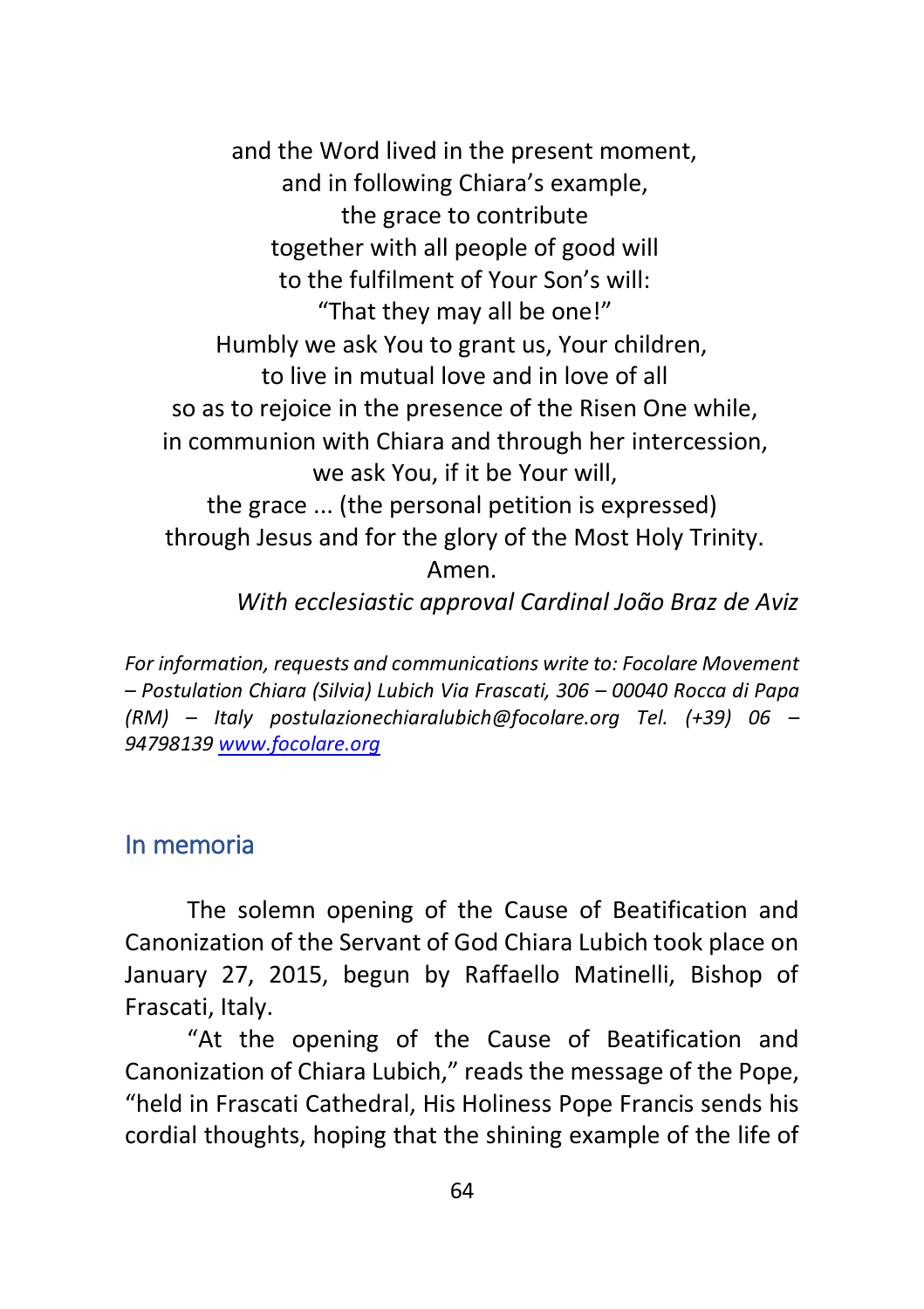and the Word lived in the present moment, and in following Chiara's example, the grace to contribute together with all people of good will to the fulfilment of Your Son's will: "That they may all be one!" Humbly we ask You to grant us, Your children, to live in mutual love and in love of all so as to rejoice in the presence of the Risen One while, in communion with Chiara and through her intercession, we ask You, if it be Your will, the grace ... (the personal petition is expressed) through Jesus and for the glory of the Most Holy Trinity. Amen. *With ecclesiastic approval Cardinal João Braz de Aviz* 

*For information, requests and communications write to: Focolare Movement – Postulation Chiara (Silvia) Lubich Via Frascati, 306 – 00040 Rocca di Papa (RM) – Italy postulazionechiaralubich@focolare.org Tel. (+39) 06 – 9479813[9 www.focolare.org](http://www.focolare.org/)*

#### <span id="page-63-0"></span>In memoria

The solemn opening of the Cause of Beatification and Canonization of the Servant of God Chiara Lubich took place on January 27, 2015, begun by Raffaello Matinelli, Bishop of Frascati, Italy.

"At the opening of the Cause of Beatification and Canonization of Chiara Lubich," reads the message of the Pope, "held in Frascati Cathedral, His Holiness Pope Francis sends his cordial thoughts, hoping that the shining example of the life of